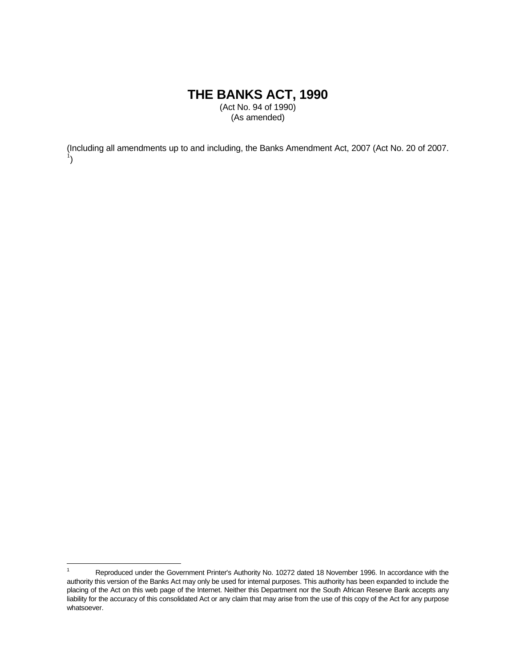# **THE BANKS ACT, 1990**

(Act No. 94 of 1990) (As amended)

(Including all amendments up to and including, the Banks Amendment Act, 2007 (Act No. 20 of 2007. 1 )

 $\frac{1}{1}$  Reproduced under the Government Printer's Authority No. 10272 dated 18 November 1996. In accordance with the authority this version of the Banks Act may only be used for internal purposes. This authority has been expanded to include the placing of the Act on this web page of the Internet. Neither this Department nor the South African Reserve Bank accepts any liability for the accuracy of this consolidated Act or any claim that may arise from the use of this copy of the Act for any purpose whatsoever.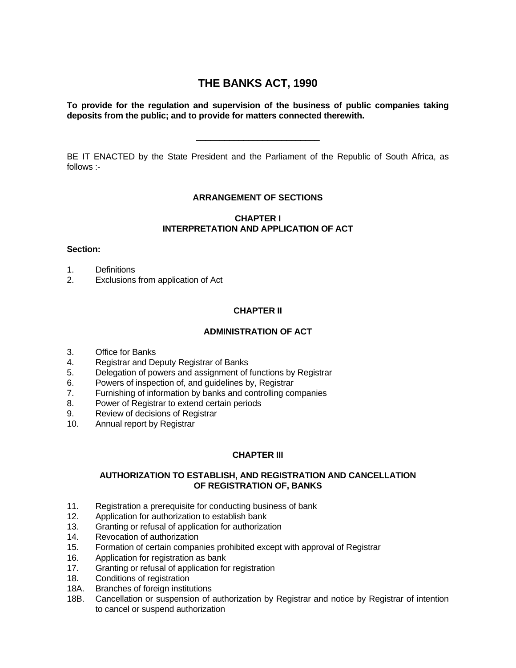## **THE BANKS ACT, 1990**

#### **To provide for the regulation and supervision of the business of public companies taking deposits from the public; and to provide for matters connected therewith.**

BE IT ENACTED by the State President and the Parliament of the Republic of South Africa, as follows :-

\_\_\_\_\_\_\_\_\_\_\_\_\_\_\_\_\_\_\_\_\_\_\_\_\_\_

## **ARRANGEMENT OF SECTIONS**

#### **CHAPTER I INTERPRETATION AND APPLICATION OF ACT**

#### **Section:**

- 1. Definitions
- 2. Exclusions from application of Act

## **CHAPTER II**

## **ADMINISTRATION OF ACT**

- 3. Office for Banks
- 4. Registrar and Deputy Registrar of Banks
- 5. Delegation of powers and assignment of functions by Registrar
- 6. Powers of inspection of, and guidelines by, Registrar
- 7. Furnishing of information by banks and controlling companies
- 8. Power of Registrar to extend certain periods
- 9. Review of decisions of Registrar
- 10. Annual report by Registrar

## **CHAPTER III**

## **AUTHORIZATION TO ESTABLISH, AND REGISTRATION AND CANCELLATION OF REGISTRATION OF, BANKS**

- 11. Registration a prerequisite for conducting business of bank
- 12. Application for authorization to establish bank
- 13. Granting or refusal of application for authorization
- 14. Revocation of authorization
- 15. Formation of certain companies prohibited except with approval of Registrar
- 16. Application for registration as bank
- 17. Granting or refusal of application for registration
- 18. Conditions of registration
- 18A. Branches of foreign institutions
- 18B. Cancellation or suspension of authorization by Registrar and notice by Registrar of intention to cancel or suspend authorization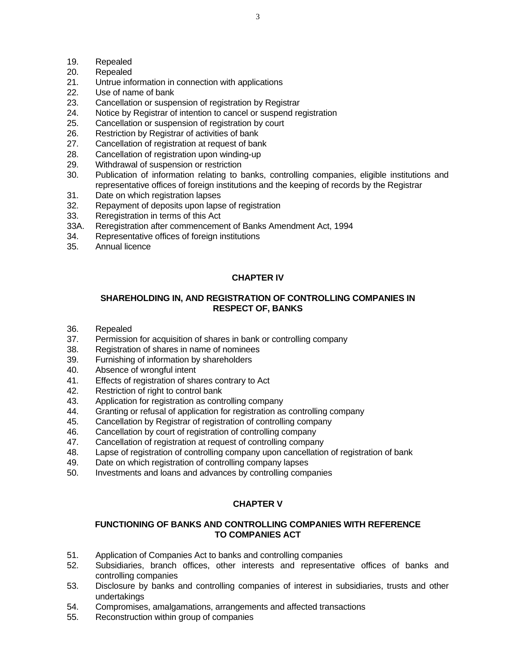- 19. Repealed
- 20. Repealed
- 21. Untrue information in connection with applications
- 22. Use of name of bank
- 23. Cancellation or suspension of registration by Registrar
- 24. Notice by Registrar of intention to cancel or suspend registration
- 25. Cancellation or suspension of registration by court
- 26. Restriction by Registrar of activities of bank
- 27. Cancellation of registration at request of bank
- 28. Cancellation of registration upon winding-up
- 29. Withdrawal of suspension or restriction
- 30. Publication of information relating to banks, controlling companies, eligible institutions and representative offices of foreign institutions and the keeping of records by the Registrar
- 31. Date on which registration lapses
- 32. Repayment of deposits upon lapse of registration
- 33. Reregistration in terms of this Act
- 33A. Reregistration after commencement of Banks Amendment Act, 1994
- 34. Representative offices of foreign institutions
- 35. Annual licence

## **CHAPTER IV**

## **SHAREHOLDING IN, AND REGISTRATION OF CONTROLLING COMPANIES IN RESPECT OF, BANKS**

- 36. Repealed
- 37. Permission for acquisition of shares in bank or controlling company
- 38. Registration of shares in name of nominees
- 39. Furnishing of information by shareholders
- 40. Absence of wrongful intent
- 41. Effects of registration of shares contrary to Act
- 42. Restriction of right to control bank
- 43. Application for registration as controlling company
- 44. Granting or refusal of application for registration as controlling company
- 45. Cancellation by Registrar of registration of controlling company
- 46. Cancellation by court of registration of controlling company
- 47. Cancellation of registration at request of controlling company
- 48. Lapse of registration of controlling company upon cancellation of registration of bank
- 49. Date on which registration of controlling company lapses
- 50. Investments and loans and advances by controlling companies

## **CHAPTER V**

#### **FUNCTIONING OF BANKS AND CONTROLLING COMPANIES WITH REFERENCE TO COMPANIES ACT**

- 51. Application of Companies Act to banks and controlling companies
- 52. Subsidiaries, branch offices, other interests and representative offices of banks and controlling companies
- 53. Disclosure by banks and controlling companies of interest in subsidiaries, trusts and other undertakings
- 54. Compromises, amalgamations, arrangements and affected transactions
- 55. Reconstruction within group of companies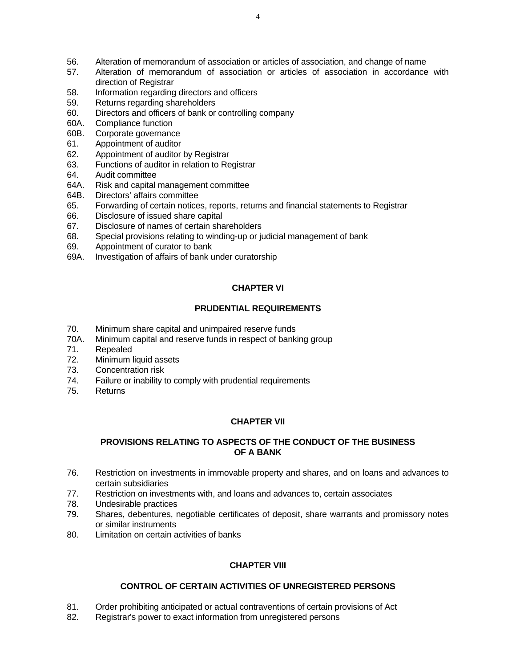- 56. Alteration of memorandum of association or articles of association, and change of name
- 57. Alteration of memorandum of association or articles of association in accordance with direction of Registrar
- 58. Information regarding directors and officers
- 59. Returns regarding shareholders
- 60. Directors and officers of bank or controlling company
- 60A. Compliance function
- 60B. Corporate governance
- 61. Appointment of auditor
- 62. Appointment of auditor by Registrar
- 63. Functions of auditor in relation to Registrar
- 64. Audit committee
- 64A. Risk and capital management committee
- 64B. Directors' affairs committee
- 65. Forwarding of certain notices, reports, returns and financial statements to Registrar
- 66. Disclosure of issued share capital
- 67. Disclosure of names of certain shareholders
- 68. Special provisions relating to winding-up or judicial management of bank
- 69. Appointment of curator to bank
- 69A. Investigation of affairs of bank under curatorship

## **CHAPTER VI**

## **PRUDENTIAL REQUIREMENTS**

- 70. Minimum share capital and unimpaired reserve funds
- 70A. Minimum capital and reserve funds in respect of banking group
- 71. Repealed
- 72. Minimum liquid assets
- 73. Concentration risk
- 74. Failure or inability to comply with prudential requirements
- 75. Returns

## **CHAPTER VII**

## **PROVISIONS RELATING TO ASPECTS OF THE CONDUCT OF THE BUSINESS OF A BANK**

- 76. Restriction on investments in immovable property and shares, and on loans and advances to certain subsidiaries
- 77. Restriction on investments with, and loans and advances to, certain associates
- 78. Undesirable practices
- 79. Shares, debentures, negotiable certificates of deposit, share warrants and promissory notes or similar instruments
- 80. Limitation on certain activities of banks

## **CHAPTER VIII**

## **CONTROL OF CERTAIN ACTIVITIES OF UNREGISTERED PERSONS**

- 81. Order prohibiting anticipated or actual contraventions of certain provisions of Act
- 82. Registrar's power to exact information from unregistered persons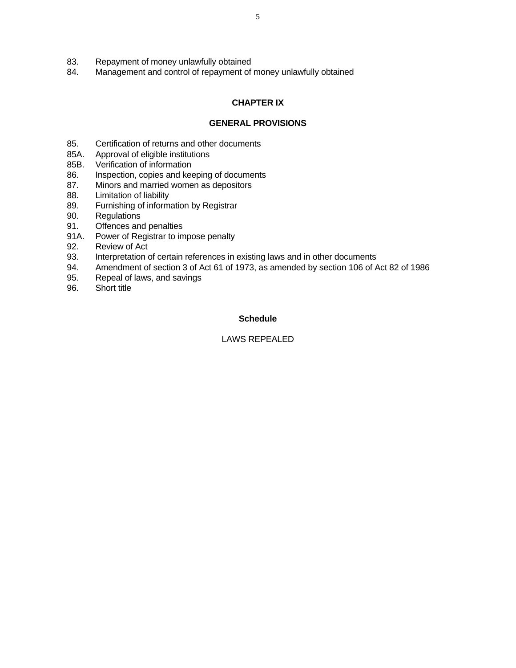- 83. Repayment of money unlawfully obtained
- 84. Management and control of repayment of money unlawfully obtained

## **CHAPTER IX**

#### **GENERAL PROVISIONS**

- 85. Certification of returns and other documents
- 85A. Approval of eligible institutions
- 85B. Verification of information
- 86. Inspection, copies and keeping of documents
- 87. Minors and married women as depositors
- 88. Limitation of liability
- 89. Furnishing of information by Registrar
- 90. Regulations
- 91. Offences and penalties
- 91A. Power of Registrar to impose penalty
- 92. Review of Act
- 93. Interpretation of certain references in existing laws and in other documents
- 94. Amendment of section 3 of Act 61 of 1973, as amended by section 106 of Act 82 of 1986
- 95. Repeal of laws, and savings
- 96. Short title

#### **Schedule**

#### LAWS REPEALED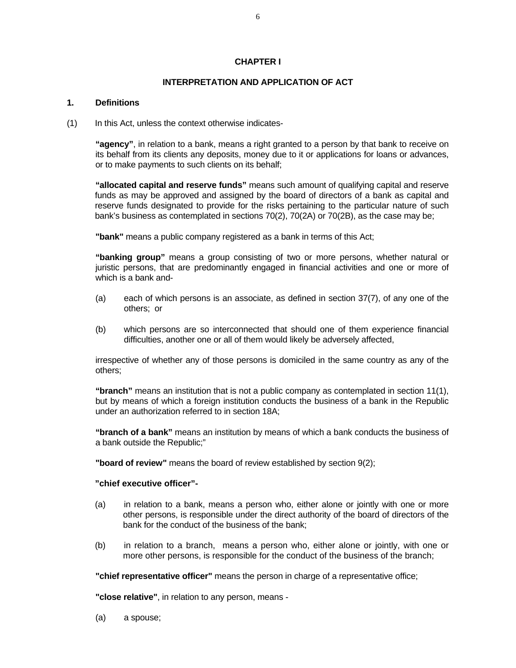#### **CHAPTER I**

#### **INTERPRETATION AND APPLICATION OF ACT**

#### **1. Definitions**

(1) In this Act, unless the context otherwise indicates-

**"agency"**, in relation to a bank, means a right granted to a person by that bank to receive on its behalf from its clients any deposits, money due to it or applications for loans or advances, or to make payments to such clients on its behalf;

**"allocated capital and reserve funds"** means such amount of qualifying capital and reserve funds as may be approved and assigned by the board of directors of a bank as capital and reserve funds designated to provide for the risks pertaining to the particular nature of such bank's business as contemplated in sections 70(2), 70(2A) or 70(2B), as the case may be;

**"bank"** means a public company registered as a bank in terms of this Act;

**"banking group"** means a group consisting of two or more persons, whether natural or juristic persons, that are predominantly engaged in financial activities and one or more of which is a bank and-

- (a) each of which persons is an associate, as defined in section 37(7), of any one of the others; or
- (b) which persons are so interconnected that should one of them experience financial difficulties, another one or all of them would likely be adversely affected,

irrespective of whether any of those persons is domiciled in the same country as any of the others;

**"branch"** means an institution that is not a public company as contemplated in section 11(1), but by means of which a foreign institution conducts the business of a bank in the Republic under an authorization referred to in section 18A;

**"branch of a bank"** means an institution by means of which a bank conducts the business of a bank outside the Republic;"

**"board of review"** means the board of review established by section 9(2);

#### **"chief executive officer"-**

- (a) in relation to a bank, means a person who, either alone or jointly with one or more other persons, is responsible under the direct authority of the board of directors of the bank for the conduct of the business of the bank;
- (b) in relation to a branch, means a person who, either alone or jointly, with one or more other persons, is responsible for the conduct of the business of the branch;

**"chief representative officer"** means the person in charge of a representative office;

**"close relative"**, in relation to any person, means -

(a) a spouse;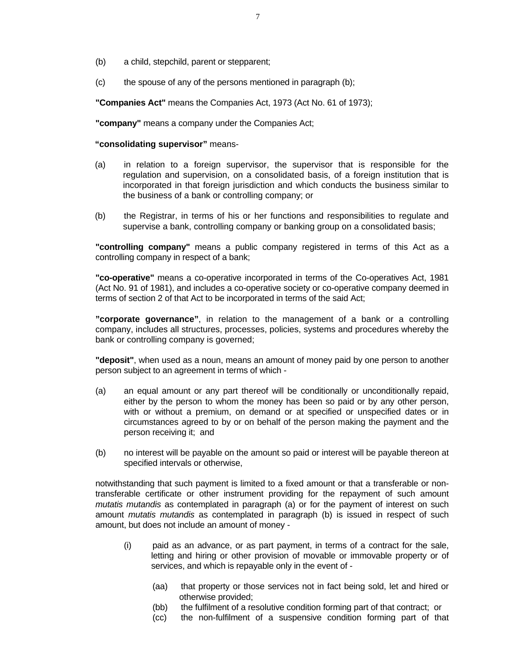- (b) a child, stepchild, parent or stepparent;
- (c) the spouse of any of the persons mentioned in paragraph (b);

**"Companies Act"** means the Companies Act, 1973 (Act No. 61 of 1973);

**"company"** means a company under the Companies Act;

#### **"consolidating supervisor"** means-

- (a) in relation to a foreign supervisor, the supervisor that is responsible for the regulation and supervision, on a consolidated basis, of a foreign institution that is incorporated in that foreign jurisdiction and which conducts the business similar to the business of a bank or controlling company; or
- (b) the Registrar, in terms of his or her functions and responsibilities to regulate and supervise a bank, controlling company or banking group on a consolidated basis;

**"controlling company"** means a public company registered in terms of this Act as a controlling company in respect of a bank;

**"co-operative"** means a co-operative incorporated in terms of the Co-operatives Act, 1981 (Act No. 91 of 1981), and includes a co-operative society or co-operative company deemed in terms of section 2 of that Act to be incorporated in terms of the said Act;

**"corporate governance"**, in relation to the management of a bank or a controlling company, includes all structures, processes, policies, systems and procedures whereby the bank or controlling company is governed;

**"deposit"**, when used as a noun, means an amount of money paid by one person to another person subject to an agreement in terms of which -

- (a) an equal amount or any part thereof will be conditionally or unconditionally repaid, either by the person to whom the money has been so paid or by any other person, with or without a premium, on demand or at specified or unspecified dates or in circumstances agreed to by or on behalf of the person making the payment and the person receiving it; and
- (b) no interest will be payable on the amount so paid or interest will be payable thereon at specified intervals or otherwise,

 notwithstanding that such payment is limited to a fixed amount or that a transferable or nontransferable certificate or other instrument providing for the repayment of such amount *mutatis mutandis* as contemplated in paragraph (a) or for the payment of interest on such amount *mutatis mutandis* as contemplated in paragraph (b) is issued in respect of such amount, but does not include an amount of money -

- (i) paid as an advance, or as part payment, in terms of a contract for the sale, letting and hiring or other provision of movable or immovable property or of services, and which is repayable only in the event of -
	- (aa) that property or those services not in fact being sold, let and hired or otherwise provided;
	- (bb) the fulfilment of a resolutive condition forming part of that contract; or
	- (cc) the non-fulfilment of a suspensive condition forming part of that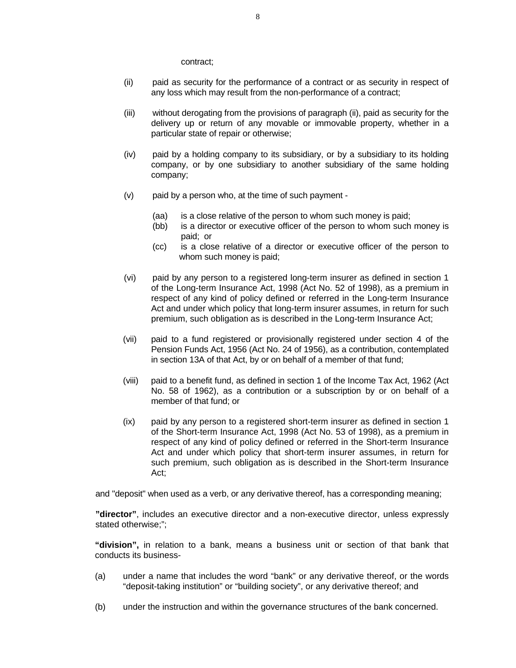contract;

- (ii) paid as security for the performance of a contract or as security in respect of any loss which may result from the non-performance of a contract;
- (iii) without derogating from the provisions of paragraph (ii), paid as security for the delivery up or return of any movable or immovable property, whether in a particular state of repair or otherwise;
- (iv) paid by a holding company to its subsidiary, or by a subsidiary to its holding company, or by one subsidiary to another subsidiary of the same holding company;
- (v) paid by a person who, at the time of such payment
	- (aa) is a close relative of the person to whom such money is paid;
	- (bb) is a director or executive officer of the person to whom such money is paid; or
	- (cc) is a close relative of a director or executive officer of the person to whom such money is paid;
- (vi) paid by any person to a registered long-term insurer as defined in section 1 of the Long-term Insurance Act, 1998 (Act No. 52 of 1998), as a premium in respect of any kind of policy defined or referred in the Long-term Insurance Act and under which policy that long-term insurer assumes, in return for such premium, such obligation as is described in the Long-term Insurance Act;
- (vii) paid to a fund registered or provisionally registered under section 4 of the Pension Funds Act, 1956 (Act No. 24 of 1956), as a contribution, contemplated in section 13A of that Act, by or on behalf of a member of that fund;
- (viii) paid to a benefit fund, as defined in section 1 of the Income Tax Act, 1962 (Act No. 58 of 1962), as a contribution or a subscription by or on behalf of a member of that fund; or
- (ix) paid by any person to a registered short-term insurer as defined in section 1 of the Short-term Insurance Act, 1998 (Act No. 53 of 1998), as a premium in respect of any kind of policy defined or referred in the Short-term Insurance Act and under which policy that short-term insurer assumes, in return for such premium, such obligation as is described in the Short-term Insurance Act;

and "deposit" when used as a verb, or any derivative thereof, has a corresponding meaning;

**"director"**, includes an executive director and a non-executive director, unless expressly stated otherwise;";

**"division",** in relation to a bank, means a business unit or section of that bank that conducts its business-

- (a) under a name that includes the word "bank" or any derivative thereof, or the words "deposit-taking institution" or "building society", or any derivative thereof; and
- (b) under the instruction and within the governance structures of the bank concerned.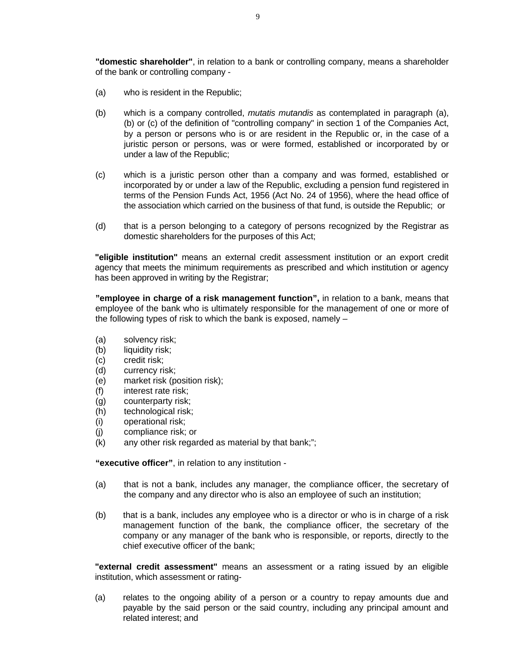**"domestic shareholder"**, in relation to a bank or controlling company, means a shareholder of the bank or controlling company -

- (a) who is resident in the Republic;
- (b) which is a company controlled, *mutatis mutandis* as contemplated in paragraph (a), (b) or (c) of the definition of "controlling company" in section 1 of the Companies Act, by a person or persons who is or are resident in the Republic or, in the case of a juristic person or persons, was or were formed, established or incorporated by or under a law of the Republic;
- (c) which is a juristic person other than a company and was formed, established or incorporated by or under a law of the Republic, excluding a pension fund registered in terms of the Pension Funds Act, 1956 (Act No. 24 of 1956), where the head office of the association which carried on the business of that fund, is outside the Republic; or
- (d) that is a person belonging to a category of persons recognized by the Registrar as domestic shareholders for the purposes of this Act;

**"eligible institution"** means an external credit assessment institution or an export credit agency that meets the minimum requirements as prescribed and which institution or agency has been approved in writing by the Registrar;

**"employee in charge of a risk management function",** in relation to a bank, means that employee of the bank who is ultimately responsible for the management of one or more of the following types of risk to which the bank is exposed, namely –

- (a) solvency risk;
- (b) liquidity risk:
- (c) credit risk;
- (d) currency risk;
- (e) market risk (position risk);
- (f) interest rate risk;
- (g) counterparty risk;
- (h) technological risk;
- (i) operational risk;
- (j) compliance risk; or
- (k) any other risk regarded as material by that bank;";

**"executive officer"**, in relation to any institution -

- (a) that is not a bank, includes any manager, the compliance officer, the secretary of the company and any director who is also an employee of such an institution;
- (b) that is a bank, includes any employee who is a director or who is in charge of a risk management function of the bank, the compliance officer, the secretary of the company or any manager of the bank who is responsible, or reports, directly to the chief executive officer of the bank;

**"external credit assessment"** means an assessment or a rating issued by an eligible institution, which assessment or rating-

(a) relates to the ongoing ability of a person or a country to repay amounts due and payable by the said person or the said country, including any principal amount and related interest; and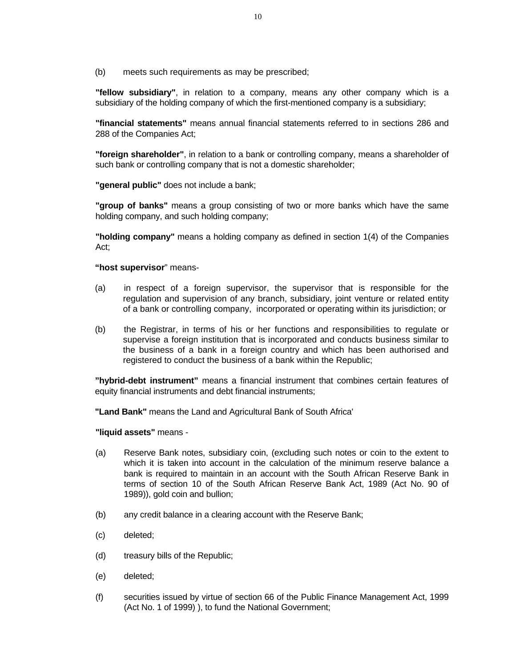(b) meets such requirements as may be prescribed;

**"fellow subsidiary"**, in relation to a company, means any other company which is a subsidiary of the holding company of which the first-mentioned company is a subsidiary;

**"financial statements"** means annual financial statements referred to in sections 286 and 288 of the Companies Act;

**"foreign shareholder"**, in relation to a bank or controlling company, means a shareholder of such bank or controlling company that is not a domestic shareholder;

**"general public"** does not include a bank;

**"group of banks"** means a group consisting of two or more banks which have the same holding company, and such holding company;

**"holding company"** means a holding company as defined in section 1(4) of the Companies Act;

#### **"host supervisor**" means-

- (a) in respect of a foreign supervisor, the supervisor that is responsible for the regulation and supervision of any branch, subsidiary, joint venture or related entity of a bank or controlling company, incorporated or operating within its jurisdiction; or
- (b) the Registrar, in terms of his or her functions and responsibilities to regulate or supervise a foreign institution that is incorporated and conducts business similar to the business of a bank in a foreign country and which has been authorised and registered to conduct the business of a bank within the Republic;

**"hybrid-debt instrument"** means a financial instrument that combines certain features of equity financial instruments and debt financial instruments;

**"Land Bank"** means the Land and Agricultural Bank of South Africa'

**"liquid assets"** means -

- (a) Reserve Bank notes, subsidiary coin, (excluding such notes or coin to the extent to which it is taken into account in the calculation of the minimum reserve balance a bank is required to maintain in an account with the South African Reserve Bank in terms of section 10 of the South African Reserve Bank Act, 1989 (Act No. 90 of 1989)), gold coin and bullion;
- (b) any credit balance in a clearing account with the Reserve Bank;
- (c) deleted;
- (d) treasury bills of the Republic;
- (e) deleted;
- (f) securities issued by virtue of section 66 of the Public Finance Management Act, 1999 (Act No. 1 of 1999) ), to fund the National Government;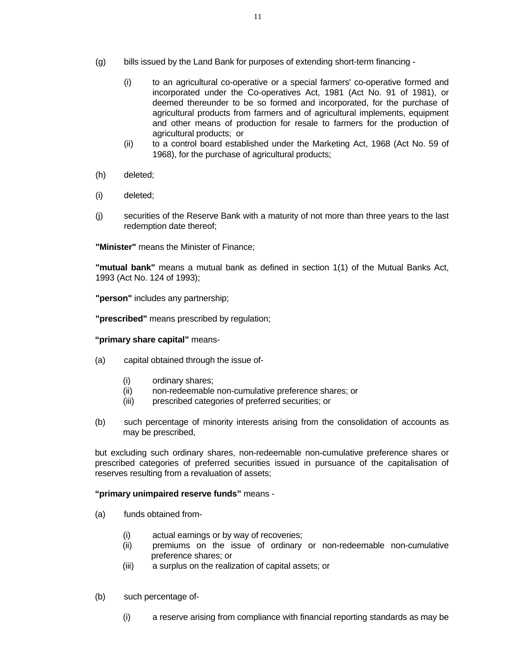- (g) bills issued by the Land Bank for purposes of extending short-term financing
	- (i) to an agricultural co-operative or a special farmers' co-operative formed and incorporated under the Co-operatives Act, 1981 (Act No. 91 of 1981), or deemed thereunder to be so formed and incorporated, for the purchase of agricultural products from farmers and of agricultural implements, equipment and other means of production for resale to farmers for the production of agricultural products; or
	- (ii) to a control board established under the Marketing Act, 1968 (Act No. 59 of 1968), for the purchase of agricultural products;
- (h) deleted;
- (i) deleted;
- (j) securities of the Reserve Bank with a maturity of not more than three years to the last redemption date thereof;

**"Minister"** means the Minister of Finance;

**"mutual bank"** means a mutual bank as defined in section 1(1) of the Mutual Banks Act, 1993 (Act No. 124 of 1993);

**"person"** includes any partnership;

**"prescribed"** means prescribed by regulation;

#### **"primary share capital"** means-

- (a) capital obtained through the issue of-
	- (i) ordinary shares;
	- (ii) non-redeemable non-cumulative preference shares; or
	- (iii) prescribed categories of preferred securities; or
- (b) such percentage of minority interests arising from the consolidation of accounts as may be prescribed,

but excluding such ordinary shares, non-redeemable non-cumulative preference shares or prescribed categories of preferred securities issued in pursuance of the capitalisation of reserves resulting from a revaluation of assets;

**"primary unimpaired reserve funds"** means -

- (a) funds obtained from-
	- (i) actual earnings or by way of recoveries;
	- (ii) premiums on the issue of ordinary or non-redeemable non-cumulative preference shares; or
	- (iii) a surplus on the realization of capital assets; or
- (b) such percentage of-
	- (i) a reserve arising from compliance with financial reporting standards as may be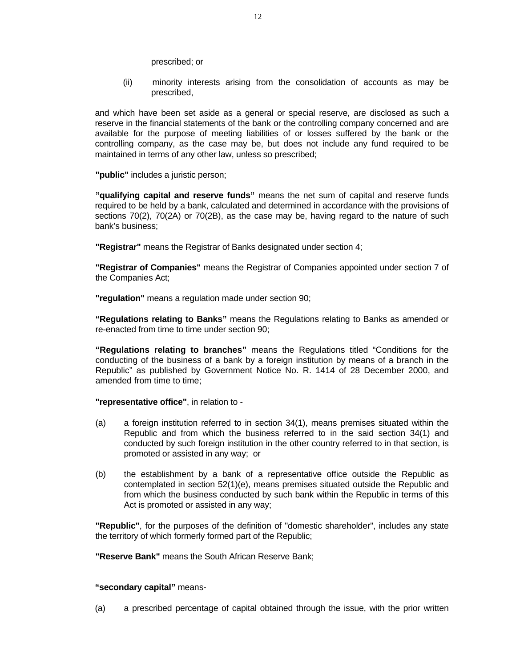prescribed; or

(ii) minority interests arising from the consolidation of accounts as may be prescribed,

and which have been set aside as a general or special reserve, are disclosed as such a reserve in the financial statements of the bank or the controlling company concerned and are available for the purpose of meeting liabilities of or losses suffered by the bank or the controlling company, as the case may be, but does not include any fund required to be maintained in terms of any other law, unless so prescribed;

**"public"** includes a juristic person;

**"qualifying capital and reserve funds"** means the net sum of capital and reserve funds required to be held by a bank, calculated and determined in accordance with the provisions of sections 70(2), 70(2A) or 70(2B), as the case may be, having regard to the nature of such bank's business;

**"Registrar"** means the Registrar of Banks designated under section 4;

**"Registrar of Companies"** means the Registrar of Companies appointed under section 7 of the Companies Act;

**"regulation"** means a regulation made under section 90;

**"Regulations relating to Banks"** means the Regulations relating to Banks as amended or re-enacted from time to time under section 90;

**"Regulations relating to branches"** means the Regulations titled "Conditions for the conducting of the business of a bank by a foreign institution by means of a branch in the Republic" as published by Government Notice No. R. 1414 of 28 December 2000, and amended from time to time;

**"representative office"**, in relation to -

- (a) a foreign institution referred to in section 34(1), means premises situated within the Republic and from which the business referred to in the said section 34(1) and conducted by such foreign institution in the other country referred to in that section, is promoted or assisted in any way; or
- (b) the establishment by a bank of a representative office outside the Republic as contemplated in section 52(1)(e), means premises situated outside the Republic and from which the business conducted by such bank within the Republic in terms of this Act is promoted or assisted in any way;

**"Republic"**, for the purposes of the definition of "domestic shareholder", includes any state the territory of which formerly formed part of the Republic;

**"Reserve Bank"** means the South African Reserve Bank;

#### **"secondary capital"** means-

(a) a prescribed percentage of capital obtained through the issue, with the prior written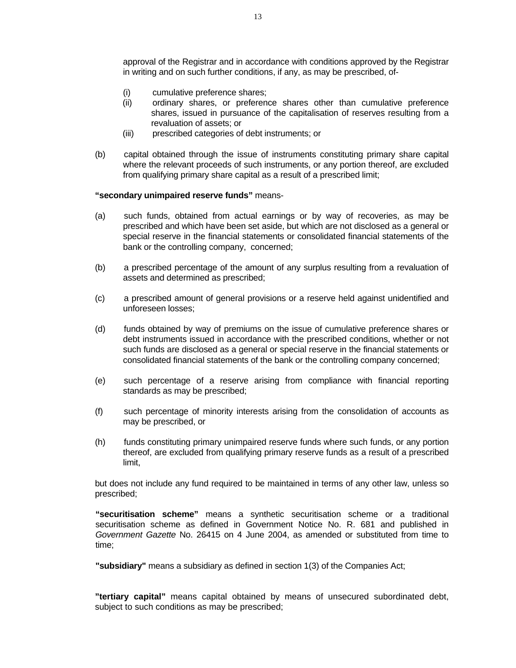approval of the Registrar and in accordance with conditions approved by the Registrar in writing and on such further conditions, if any, as may be prescribed, of-

- (i) cumulative preference shares;
- (ii) ordinary shares, or preference shares other than cumulative preference shares, issued in pursuance of the capitalisation of reserves resulting from a revaluation of assets; or
- (iii) prescribed categories of debt instruments; or
- (b) capital obtained through the issue of instruments constituting primary share capital where the relevant proceeds of such instruments, or any portion thereof, are excluded from qualifying primary share capital as a result of a prescribed limit;

#### **"secondary unimpaired reserve funds"** means-

- (a) such funds, obtained from actual earnings or by way of recoveries, as may be prescribed and which have been set aside, but which are not disclosed as a general or special reserve in the financial statements or consolidated financial statements of the bank or the controlling company, concerned;
- (b) a prescribed percentage of the amount of any surplus resulting from a revaluation of assets and determined as prescribed;
- (c) a prescribed amount of general provisions or a reserve held against unidentified and unforeseen losses;
- (d) funds obtained by way of premiums on the issue of cumulative preference shares or debt instruments issued in accordance with the prescribed conditions, whether or not such funds are disclosed as a general or special reserve in the financial statements or consolidated financial statements of the bank or the controlling company concerned;
- (e) such percentage of a reserve arising from compliance with financial reporting standards as may be prescribed;
- (f) such percentage of minority interests arising from the consolidation of accounts as may be prescribed, or
- (h) funds constituting primary unimpaired reserve funds where such funds, or any portion thereof, are excluded from qualifying primary reserve funds as a result of a prescribed limit,

but does not include any fund required to be maintained in terms of any other law, unless so prescribed;

**"securitisation scheme"** means a synthetic securitisation scheme or a traditional securitisation scheme as defined in Government Notice No. R. 681 and published in *Government Gazette* No. 26415 on 4 June 2004, as amended or substituted from time to time;

**"subsidiary"** means a subsidiary as defined in section 1(3) of the Companies Act;

**"tertiary capital"** means capital obtained by means of unsecured subordinated debt, subject to such conditions as may be prescribed;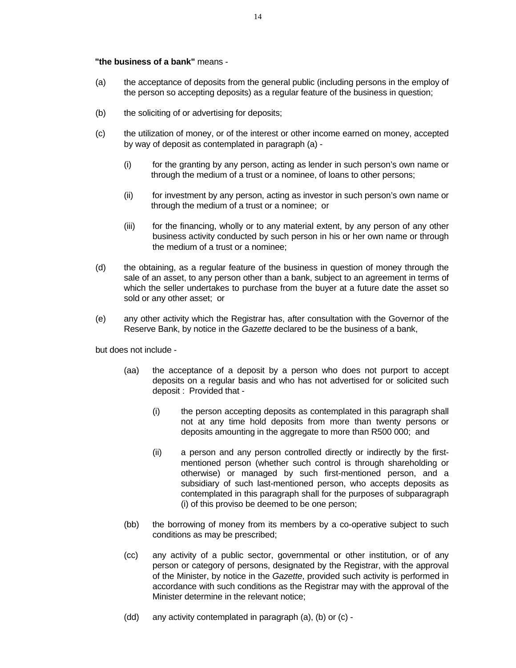#### **"the business of a bank"** means -

- (a) the acceptance of deposits from the general public (including persons in the employ of the person so accepting deposits) as a regular feature of the business in question;
- (b) the soliciting of or advertising for deposits;
- (c) the utilization of money, or of the interest or other income earned on money, accepted by way of deposit as contemplated in paragraph (a) -
	- (i) for the granting by any person, acting as lender in such person's own name or through the medium of a trust or a nominee, of loans to other persons;
	- (ii) for investment by any person, acting as investor in such person's own name or through the medium of a trust or a nominee; or
	- (iii) for the financing, wholly or to any material extent, by any person of any other business activity conducted by such person in his or her own name or through the medium of a trust or a nominee;
- (d) the obtaining, as a regular feature of the business in question of money through the sale of an asset, to any person other than a bank, subject to an agreement in terms of which the seller undertakes to purchase from the buyer at a future date the asset so sold or any other asset; or
- (e) any other activity which the Registrar has, after consultation with the Governor of the Reserve Bank, by notice in the *Gazette* declared to be the business of a bank,

but does not include -

- (aa) the acceptance of a deposit by a person who does not purport to accept deposits on a regular basis and who has not advertised for or solicited such deposit : Provided that -
	- (i) the person accepting deposits as contemplated in this paragraph shall not at any time hold deposits from more than twenty persons or deposits amounting in the aggregate to more than R500 000; and
	- (ii) a person and any person controlled directly or indirectly by the firstmentioned person (whether such control is through shareholding or otherwise) or managed by such first-mentioned person, and a subsidiary of such last-mentioned person, who accepts deposits as contemplated in this paragraph shall for the purposes of subparagraph (i) of this proviso be deemed to be one person;
- (bb) the borrowing of money from its members by a co-operative subject to such conditions as may be prescribed;
- (cc) any activity of a public sector, governmental or other institution, or of any person or category of persons, designated by the Registrar, with the approval of the Minister, by notice in the *Gazette*, provided such activity is performed in accordance with such conditions as the Registrar may with the approval of the Minister determine in the relevant notice;
- (dd) any activity contemplated in paragraph (a), (b) or (c) -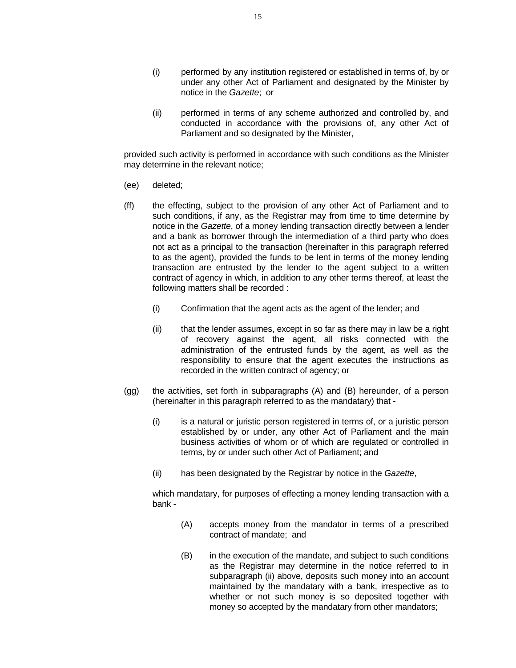- (i) performed by any institution registered or established in terms of, by or under any other Act of Parliament and designated by the Minister by notice in the *Gazette*; or
- (ii) performed in terms of any scheme authorized and controlled by, and conducted in accordance with the provisions of, any other Act of Parliament and so designated by the Minister,

 provided such activity is performed in accordance with such conditions as the Minister may determine in the relevant notice;

- (ee) deleted;
- (ff) the effecting, subject to the provision of any other Act of Parliament and to such conditions, if any, as the Registrar may from time to time determine by notice in the *Gazette*, of a money lending transaction directly between a lender and a bank as borrower through the intermediation of a third party who does not act as a principal to the transaction (hereinafter in this paragraph referred to as the agent), provided the funds to be lent in terms of the money lending transaction are entrusted by the lender to the agent subject to a written contract of agency in which, in addition to any other terms thereof, at least the following matters shall be recorded :
	- (i) Confirmation that the agent acts as the agent of the lender; and
	- (ii) that the lender assumes, except in so far as there may in law be a right of recovery against the agent, all risks connected with the administration of the entrusted funds by the agent, as well as the responsibility to ensure that the agent executes the instructions as recorded in the written contract of agency; or
- (gg) the activities, set forth in subparagraphs (A) and (B) hereunder, of a person (hereinafter in this paragraph referred to as the mandatary) that -
	- (i) is a natural or juristic person registered in terms of, or a juristic person established by or under, any other Act of Parliament and the main business activities of whom or of which are regulated or controlled in terms, by or under such other Act of Parliament; and
	- (ii) has been designated by the Registrar by notice in the *Gazette*,

 which mandatary, for purposes of effecting a money lending transaction with a bank -

- (A) accepts money from the mandator in terms of a prescribed contract of mandate; and
- (B) in the execution of the mandate, and subject to such conditions as the Registrar may determine in the notice referred to in subparagraph (ii) above, deposits such money into an account maintained by the mandatary with a bank, irrespective as to whether or not such money is so deposited together with money so accepted by the mandatary from other mandators;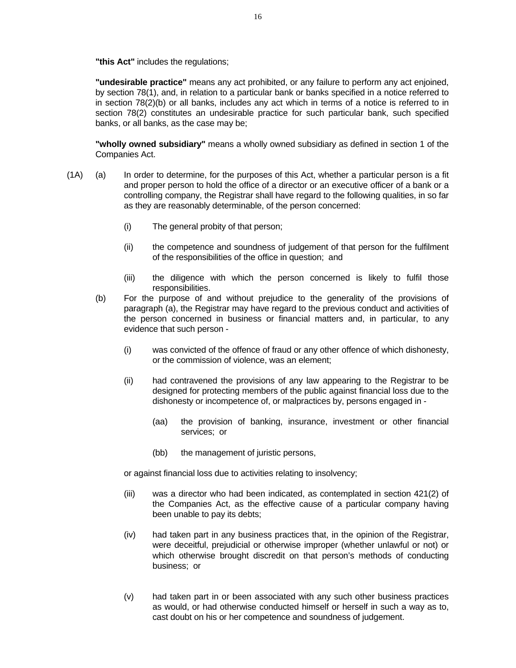**"this Act"** includes the regulations;

**"undesirable practice"** means any act prohibited, or any failure to perform any act enjoined, by section 78(1), and, in relation to a particular bank or banks specified in a notice referred to in section 78(2)(b) or all banks, includes any act which in terms of a notice is referred to in section 78(2) constitutes an undesirable practice for such particular bank, such specified banks, or all banks, as the case may be;

**"wholly owned subsidiary"** means a wholly owned subsidiary as defined in section 1 of the Companies Act.

- (1A) (a) In order to determine, for the purposes of this Act, whether a particular person is a fit and proper person to hold the office of a director or an executive officer of a bank or a controlling company, the Registrar shall have regard to the following qualities, in so far as they are reasonably determinable, of the person concerned:
	- (i) The general probity of that person;
	- (ii) the competence and soundness of judgement of that person for the fulfilment of the responsibilities of the office in question; and
	- (iii) the diligence with which the person concerned is likely to fulfil those responsibilities.
	- (b) For the purpose of and without prejudice to the generality of the provisions of paragraph (a), the Registrar may have regard to the previous conduct and activities of the person concerned in business or financial matters and, in particular, to any evidence that such person -
		- (i) was convicted of the offence of fraud or any other offence of which dishonesty, or the commission of violence, was an element;
		- (ii) had contravened the provisions of any law appearing to the Registrar to be designed for protecting members of the public against financial loss due to the dishonesty or incompetence of, or malpractices by, persons engaged in -
			- (aa) the provision of banking, insurance, investment or other financial services; or
			- (bb) the management of juristic persons,

or against financial loss due to activities relating to insolvency;

- (iii) was a director who had been indicated, as contemplated in section 421(2) of the Companies Act, as the effective cause of a particular company having been unable to pay its debts;
- (iv) had taken part in any business practices that, in the opinion of the Registrar, were deceitful, prejudicial or otherwise improper (whether unlawful or not) or which otherwise brought discredit on that person's methods of conducting business; or
- (v) had taken part in or been associated with any such other business practices as would, or had otherwise conducted himself or herself in such a way as to, cast doubt on his or her competence and soundness of judgement.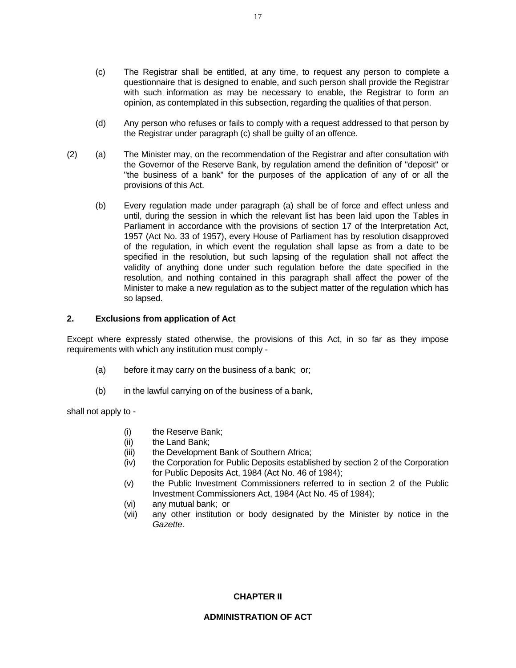- (c) The Registrar shall be entitled, at any time, to request any person to complete a questionnaire that is designed to enable, and such person shall provide the Registrar with such information as may be necessary to enable, the Registrar to form an opinion, as contemplated in this subsection, regarding the qualities of that person.
- (d) Any person who refuses or fails to comply with a request addressed to that person by the Registrar under paragraph (c) shall be guilty of an offence.
- (2) (a) The Minister may, on the recommendation of the Registrar and after consultation with the Governor of the Reserve Bank, by regulation amend the definition of "deposit" or "the business of a bank" for the purposes of the application of any of or all the provisions of this Act.
	- (b) Every regulation made under paragraph (a) shall be of force and effect unless and until, during the session in which the relevant list has been laid upon the Tables in Parliament in accordance with the provisions of section 17 of the Interpretation Act, 1957 (Act No. 33 of 1957), every House of Parliament has by resolution disapproved of the regulation, in which event the regulation shall lapse as from a date to be specified in the resolution, but such lapsing of the regulation shall not affect the validity of anything done under such regulation before the date specified in the resolution, and nothing contained in this paragraph shall affect the power of the Minister to make a new regulation as to the subject matter of the regulation which has so lapsed.

#### **2. Exclusions from application of Act**

Except where expressly stated otherwise, the provisions of this Act, in so far as they impose requirements with which any institution must comply -

- (a) before it may carry on the business of a bank; or;
- (b) in the lawful carrying on of the business of a bank,

shall not apply to -

- (i) the Reserve Bank;
- (ii) the Land Bank;
- (iii) the Development Bank of Southern Africa;
- (iv) the Corporation for Public Deposits established by section 2 of the Corporation for Public Deposits Act, 1984 (Act No. 46 of 1984);
- (v) the Public Investment Commissioners referred to in section 2 of the Public Investment Commissioners Act, 1984 (Act No. 45 of 1984);
- (vi) any mutual bank; or
- (vii) any other institution or body designated by the Minister by notice in the *Gazette*.

#### **CHAPTER II**

#### **ADMINISTRATION OF ACT**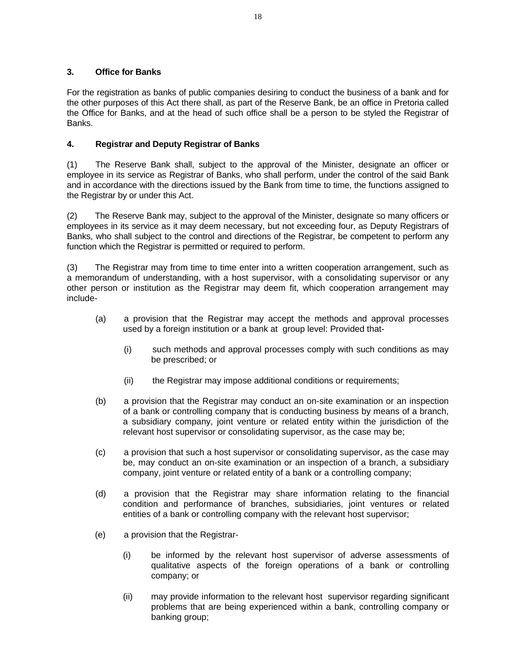## **3. Office for Banks**

For the registration as banks of public companies desiring to conduct the business of a bank and for the other purposes of this Act there shall, as part of the Reserve Bank, be an office in Pretoria called the Office for Banks, and at the head of such office shall be a person to be styled the Registrar of Banks.

## **4. Registrar and Deputy Registrar of Banks**

(1) The Reserve Bank shall, subject to the approval of the Minister, designate an officer or employee in its service as Registrar of Banks, who shall perform, under the control of the said Bank and in accordance with the directions issued by the Bank from time to time, the functions assigned to the Registrar by or under this Act.

(2) The Reserve Bank may, subject to the approval of the Minister, designate so many officers or employees in its service as it may deem necessary, but not exceeding four, as Deputy Registrars of Banks, who shall subject to the control and directions of the Registrar, be competent to perform any function which the Registrar is permitted or required to perform.

(3) The Registrar may from time to time enter into a written cooperation arrangement, such as a memorandum of understanding, with a host supervisor, with a consolidating supervisor or any other person or institution as the Registrar may deem fit, which cooperation arrangement may include-

- (a) a provision that the Registrar may accept the methods and approval processes used by a foreign institution or a bank at group level: Provided that-
	- (i) such methods and approval processes comply with such conditions as may be prescribed; or
	- (ii) the Registrar may impose additional conditions or requirements;
- (b) a provision that the Registrar may conduct an on-site examination or an inspection of a bank or controlling company that is conducting business by means of a branch, a subsidiary company, joint venture or related entity within the jurisdiction of the relevant host supervisor or consolidating supervisor, as the case may be;
- (c) a provision that such a host supervisor or consolidating supervisor, as the case may be, may conduct an on-site examination or an inspection of a branch, a subsidiary company, joint venture or related entity of a bank or a controlling company;
- (d) a provision that the Registrar may share information relating to the financial condition and performance of branches, subsidiaries, joint ventures or related entities of a bank or controlling company with the relevant host supervisor;
- (e) a provision that the Registrar-
	- (i) be informed by the relevant host supervisor of adverse assessments of qualitative aspects of the foreign operations of a bank or controlling company; or
	- (ii) may provide information to the relevant host supervisor regarding significant problems that are being experienced within a bank, controlling company or banking group;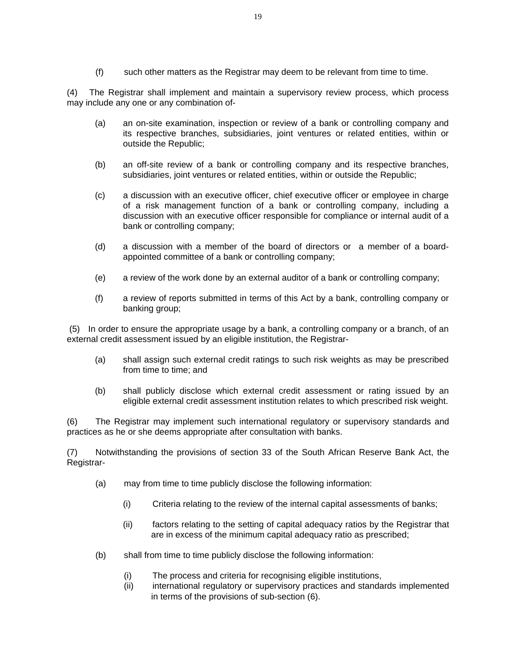(f) such other matters as the Registrar may deem to be relevant from time to time.

(4) The Registrar shall implement and maintain a supervisory review process, which process may include any one or any combination of-

- (a) an on-site examination, inspection or review of a bank or controlling company and its respective branches, subsidiaries, joint ventures or related entities, within or outside the Republic;
- (b) an off-site review of a bank or controlling company and its respective branches, subsidiaries, joint ventures or related entities, within or outside the Republic;
- (c) a discussion with an executive officer, chief executive officer or employee in charge of a risk management function of a bank or controlling company, including a discussion with an executive officer responsible for compliance or internal audit of a bank or controlling company;
- (d) a discussion with a member of the board of directors or a member of a boardappointed committee of a bank or controlling company;
- (e) a review of the work done by an external auditor of a bank or controlling company;
- (f) a review of reports submitted in terms of this Act by a bank, controlling company or banking group;

 (5) In order to ensure the appropriate usage by a bank, a controlling company or a branch, of an external credit assessment issued by an eligible institution, the Registrar-

- (a) shall assign such external credit ratings to such risk weights as may be prescribed from time to time; and
- (b) shall publicly disclose which external credit assessment or rating issued by an eligible external credit assessment institution relates to which prescribed risk weight.

(6) The Registrar may implement such international regulatory or supervisory standards and practices as he or she deems appropriate after consultation with banks.

(7) Notwithstanding the provisions of section 33 of the South African Reserve Bank Act, the Registrar-

- (a) may from time to time publicly disclose the following information:
	- (i) Criteria relating to the review of the internal capital assessments of banks;
	- (ii) factors relating to the setting of capital adequacy ratios by the Registrar that are in excess of the minimum capital adequacy ratio as prescribed;
- (b) shall from time to time publicly disclose the following information:
	- (i) The process and criteria for recognising eligible institutions,
	- (ii) international regulatory or supervisory practices and standards implemented in terms of the provisions of sub-section (6).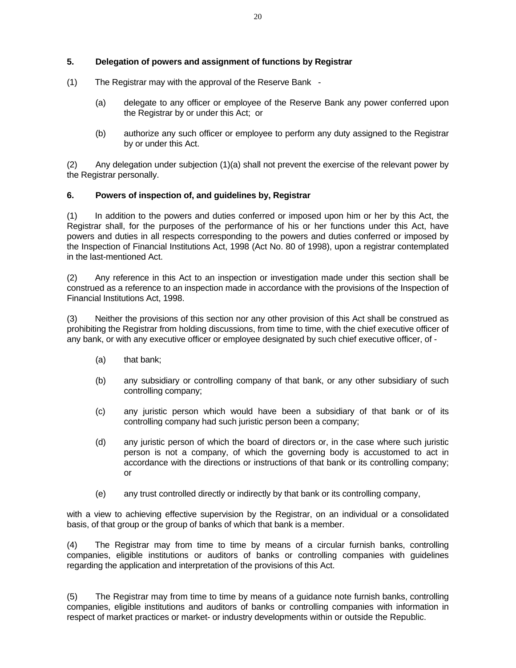## **5. Delegation of powers and assignment of functions by Registrar**

- (1) The Registrar may with the approval of the Reserve Bank
	- (a) delegate to any officer or employee of the Reserve Bank any power conferred upon the Registrar by or under this Act; or
	- (b) authorize any such officer or employee to perform any duty assigned to the Registrar by or under this Act.

(2) Any delegation under subjection (1)(a) shall not prevent the exercise of the relevant power by the Registrar personally.

#### **6. Powers of inspection of, and guidelines by, Registrar**

(1) In addition to the powers and duties conferred or imposed upon him or her by this Act, the Registrar shall, for the purposes of the performance of his or her functions under this Act, have powers and duties in all respects corresponding to the powers and duties conferred or imposed by the Inspection of Financial Institutions Act, 1998 (Act No. 80 of 1998), upon a registrar contemplated in the last-mentioned Act.

(2) Any reference in this Act to an inspection or investigation made under this section shall be construed as a reference to an inspection made in accordance with the provisions of the Inspection of Financial Institutions Act, 1998.

(3) Neither the provisions of this section nor any other provision of this Act shall be construed as prohibiting the Registrar from holding discussions, from time to time, with the chief executive officer of any bank, or with any executive officer or employee designated by such chief executive officer, of -

- (a) that bank;
- (b) any subsidiary or controlling company of that bank, or any other subsidiary of such controlling company;
- (c) any juristic person which would have been a subsidiary of that bank or of its controlling company had such juristic person been a company;
- (d) any juristic person of which the board of directors or, in the case where such juristic person is not a company, of which the governing body is accustomed to act in accordance with the directions or instructions of that bank or its controlling company; or
- (e) any trust controlled directly or indirectly by that bank or its controlling company,

with a view to achieving effective supervision by the Registrar, on an individual or a consolidated basis, of that group or the group of banks of which that bank is a member.

(4) The Registrar may from time to time by means of a circular furnish banks, controlling companies, eligible institutions or auditors of banks or controlling companies with guidelines regarding the application and interpretation of the provisions of this Act.

(5) The Registrar may from time to time by means of a guidance note furnish banks, controlling companies, eligible institutions and auditors of banks or controlling companies with information in respect of market practices or market- or industry developments within or outside the Republic.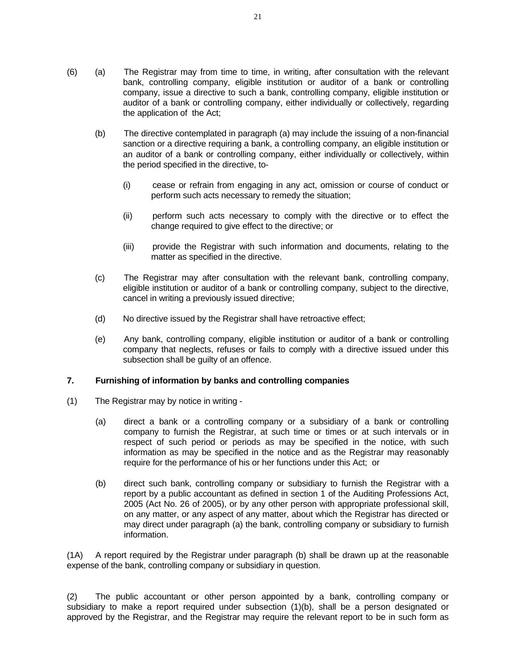- (6) (a) The Registrar may from time to time, in writing, after consultation with the relevant bank, controlling company, eligible institution or auditor of a bank or controlling company, issue a directive to such a bank, controlling company, eligible institution or auditor of a bank or controlling company, either individually or collectively, regarding the application of the Act;
	- (b) The directive contemplated in paragraph (a) may include the issuing of a non-financial sanction or a directive requiring a bank, a controlling company, an eligible institution or an auditor of a bank or controlling company, either individually or collectively, within the period specified in the directive, to-
		- (i) cease or refrain from engaging in any act, omission or course of conduct or perform such acts necessary to remedy the situation;
		- (ii) perform such acts necessary to comply with the directive or to effect the change required to give effect to the directive; or
		- (iii) provide the Registrar with such information and documents, relating to the matter as specified in the directive.
	- (c) The Registrar may after consultation with the relevant bank, controlling company, eligible institution or auditor of a bank or controlling company, subject to the directive, cancel in writing a previously issued directive;
	- (d) No directive issued by the Registrar shall have retroactive effect;
	- (e) Any bank, controlling company, eligible institution or auditor of a bank or controlling company that neglects, refuses or fails to comply with a directive issued under this subsection shall be guilty of an offence.

## **7. Furnishing of information by banks and controlling companies**

- (1) The Registrar may by notice in writing
	- (a) direct a bank or a controlling company or a subsidiary of a bank or controlling company to furnish the Registrar, at such time or times or at such intervals or in respect of such period or periods as may be specified in the notice, with such information as may be specified in the notice and as the Registrar may reasonably require for the performance of his or her functions under this Act; or
	- (b) direct such bank, controlling company or subsidiary to furnish the Registrar with a report by a public accountant as defined in section 1 of the Auditing Professions Act, 2005 (Act No. 26 of 2005), or by any other person with appropriate professional skill, on any matter, or any aspect of any matter, about which the Registrar has directed or may direct under paragraph (a) the bank, controlling company or subsidiary to furnish information.

(1A) A report required by the Registrar under paragraph (b) shall be drawn up at the reasonable expense of the bank, controlling company or subsidiary in question.

(2) The public accountant or other person appointed by a bank, controlling company or subsidiary to make a report required under subsection (1)(b), shall be a person designated or approved by the Registrar, and the Registrar may require the relevant report to be in such form as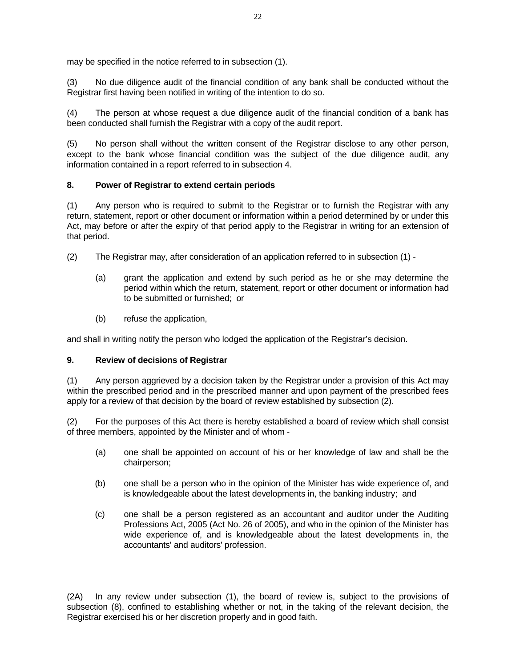may be specified in the notice referred to in subsection (1).

(3) No due diligence audit of the financial condition of any bank shall be conducted without the Registrar first having been notified in writing of the intention to do so.

(4) The person at whose request a due diligence audit of the financial condition of a bank has been conducted shall furnish the Registrar with a copy of the audit report.

(5) No person shall without the written consent of the Registrar disclose to any other person, except to the bank whose financial condition was the subject of the due diligence audit, any information contained in a report referred to in subsection 4.

## **8. Power of Registrar to extend certain periods**

(1) Any person who is required to submit to the Registrar or to furnish the Registrar with any return, statement, report or other document or information within a period determined by or under this Act, may before or after the expiry of that period apply to the Registrar in writing for an extension of that period.

- (2) The Registrar may, after consideration of an application referred to in subsection (1)
	- (a) grant the application and extend by such period as he or she may determine the period within which the return, statement, report or other document or information had to be submitted or furnished; or
	- (b) refuse the application,

and shall in writing notify the person who lodged the application of the Registrar's decision.

## **9. Review of decisions of Registrar**

(1) Any person aggrieved by a decision taken by the Registrar under a provision of this Act may within the prescribed period and in the prescribed manner and upon payment of the prescribed fees apply for a review of that decision by the board of review established by subsection (2).

(2) For the purposes of this Act there is hereby established a board of review which shall consist of three members, appointed by the Minister and of whom -

- (a) one shall be appointed on account of his or her knowledge of law and shall be the chairperson;
- (b) one shall be a person who in the opinion of the Minister has wide experience of, and is knowledgeable about the latest developments in, the banking industry; and
- (c) one shall be a person registered as an accountant and auditor under the Auditing Professions Act, 2005 (Act No. 26 of 2005), and who in the opinion of the Minister has wide experience of, and is knowledgeable about the latest developments in, the accountants' and auditors' profession.

(2A) In any review under subsection (1), the board of review is, subject to the provisions of subsection (8), confined to establishing whether or not, in the taking of the relevant decision, the Registrar exercised his or her discretion properly and in good faith.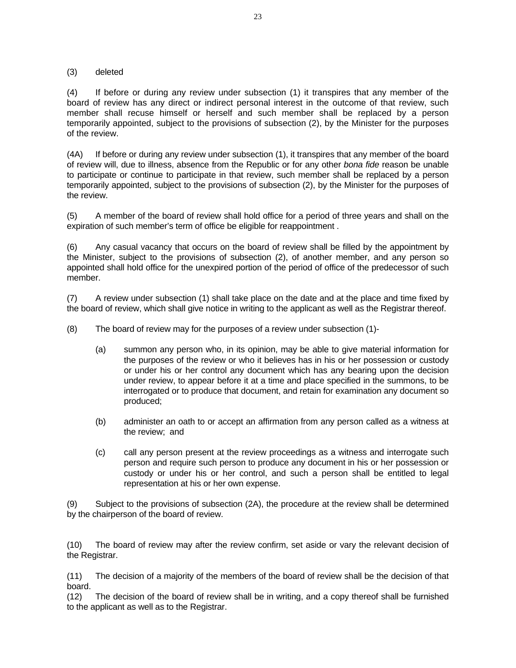#### (3) deleted

(4) If before or during any review under subsection (1) it transpires that any member of the board of review has any direct or indirect personal interest in the outcome of that review, such member shall recuse himself or herself and such member shall be replaced by a person temporarily appointed, subject to the provisions of subsection (2), by the Minister for the purposes of the review.

(4A) If before or during any review under subsection (1), it transpires that any member of the board of review will, due to illness, absence from the Republic or for any other *bona fide* reason be unable to participate or continue to participate in that review, such member shall be replaced by a person temporarily appointed, subject to the provisions of subsection (2), by the Minister for the purposes of the review.

(5) A member of the board of review shall hold office for a period of three years and shall on the expiration of such member's term of office be eligible for reappointment .

(6) Any casual vacancy that occurs on the board of review shall be filled by the appointment by the Minister, subject to the provisions of subsection (2), of another member, and any person so appointed shall hold office for the unexpired portion of the period of office of the predecessor of such member.

(7) A review under subsection (1) shall take place on the date and at the place and time fixed by the board of review, which shall give notice in writing to the applicant as well as the Registrar thereof.

(8) The board of review may for the purposes of a review under subsection (1)-

- (a) summon any person who, in its opinion, may be able to give material information for the purposes of the review or who it believes has in his or her possession or custody or under his or her control any document which has any bearing upon the decision under review, to appear before it at a time and place specified in the summons, to be interrogated or to produce that document, and retain for examination any document so produced;
- (b) administer an oath to or accept an affirmation from any person called as a witness at the review; and
- (c) call any person present at the review proceedings as a witness and interrogate such person and require such person to produce any document in his or her possession or custody or under his or her control, and such a person shall be entitled to legal representation at his or her own expense.

(9) Subject to the provisions of subsection (2A), the procedure at the review shall be determined by the chairperson of the board of review.

(10) The board of review may after the review confirm, set aside or vary the relevant decision of the Registrar.

(11) The decision of a majority of the members of the board of review shall be the decision of that board.

(12) The decision of the board of review shall be in writing, and a copy thereof shall be furnished to the applicant as well as to the Registrar.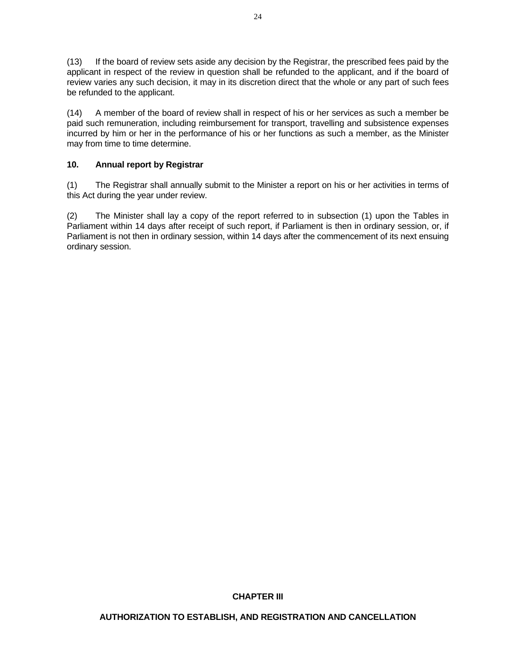(13) If the board of review sets aside any decision by the Registrar, the prescribed fees paid by the applicant in respect of the review in question shall be refunded to the applicant, and if the board of review varies any such decision, it may in its discretion direct that the whole or any part of such fees be refunded to the applicant.

(14) A member of the board of review shall in respect of his or her services as such a member be paid such remuneration, including reimbursement for transport, travelling and subsistence expenses incurred by him or her in the performance of his or her functions as such a member, as the Minister may from time to time determine.

## **10. Annual report by Registrar**

(1) The Registrar shall annually submit to the Minister a report on his or her activities in terms of this Act during the year under review.

(2) The Minister shall lay a copy of the report referred to in subsection (1) upon the Tables in Parliament within 14 days after receipt of such report, if Parliament is then in ordinary session, or, if Parliament is not then in ordinary session, within 14 days after the commencement of its next ensuing ordinary session.

#### **CHAPTER III**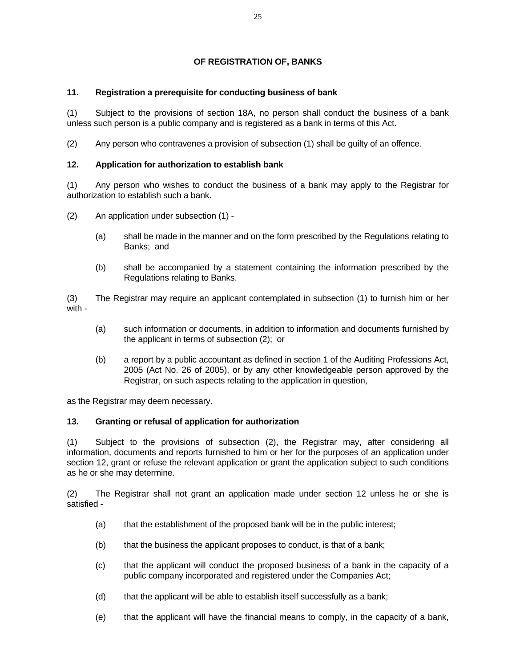## **OF REGISTRATION OF, BANKS**

## **11. Registration a prerequisite for conducting business of bank**

(1) Subject to the provisions of section 18A, no person shall conduct the business of a bank unless such person is a public company and is registered as a bank in terms of this Act.

(2) Any person who contravenes a provision of subsection (1) shall be guilty of an offence.

## **12. Application for authorization to establish bank**

(1) Any person who wishes to conduct the business of a bank may apply to the Registrar for authorization to establish such a bank.

- (2) An application under subsection (1)
	- (a) shall be made in the manner and on the form prescribed by the Regulations relating to Banks; and
	- (b) shall be accompanied by a statement containing the information prescribed by the Regulations relating to Banks.

(3) The Registrar may require an applicant contemplated in subsection (1) to furnish him or her with -

- (a) such information or documents, in addition to information and documents furnished by the applicant in terms of subsection (2); or
- (b) a report by a public accountant as defined in section 1 of the Auditing Professions Act, 2005 (Act No. 26 of 2005), or by any other knowledgeable person approved by the Registrar, on such aspects relating to the application in question,

as the Registrar may deem necessary.

## **13. Granting or refusal of application for authorization**

(1) Subject to the provisions of subsection (2), the Registrar may, after considering all information, documents and reports furnished to him or her for the purposes of an application under section 12, grant or refuse the relevant application or grant the application subject to such conditions as he or she may determine.

(2) The Registrar shall not grant an application made under section 12 unless he or she is satisfied -

- (a) that the establishment of the proposed bank will be in the public interest;
- (b) that the business the applicant proposes to conduct, is that of a bank;
- (c) that the applicant will conduct the proposed business of a bank in the capacity of a public company incorporated and registered under the Companies Act;
- (d) that the applicant will be able to establish itself successfully as a bank;
- (e) that the applicant will have the financial means to comply, in the capacity of a bank,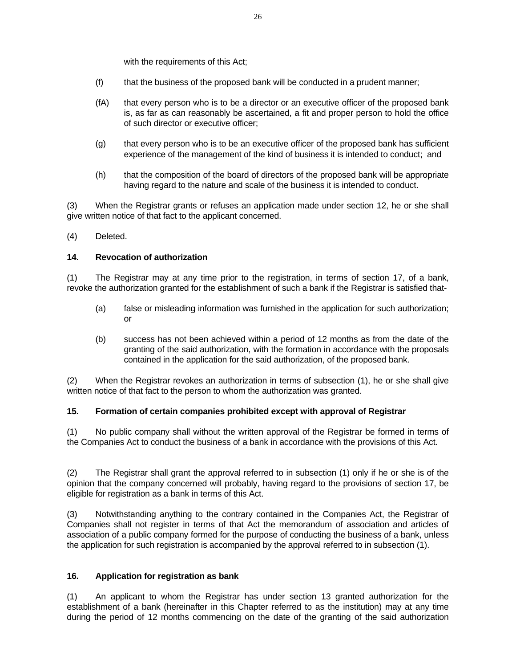with the requirements of this Act;

- (f) that the business of the proposed bank will be conducted in a prudent manner;
- (fA) that every person who is to be a director or an executive officer of the proposed bank is, as far as can reasonably be ascertained, a fit and proper person to hold the office of such director or executive officer;
- (g) that every person who is to be an executive officer of the proposed bank has sufficient experience of the management of the kind of business it is intended to conduct; and
- (h) that the composition of the board of directors of the proposed bank will be appropriate having regard to the nature and scale of the business it is intended to conduct.

(3) When the Registrar grants or refuses an application made under section 12, he or she shall give written notice of that fact to the applicant concerned.

(4) Deleted.

#### **14. Revocation of authorization**

(1) The Registrar may at any time prior to the registration, in terms of section 17, of a bank, revoke the authorization granted for the establishment of such a bank if the Registrar is satisfied that-

- (a) false or misleading information was furnished in the application for such authorization; or
- (b) success has not been achieved within a period of 12 months as from the date of the granting of the said authorization, with the formation in accordance with the proposals contained in the application for the said authorization, of the proposed bank.

(2) When the Registrar revokes an authorization in terms of subsection (1), he or she shall give written notice of that fact to the person to whom the authorization was granted.

#### **15. Formation of certain companies prohibited except with approval of Registrar**

(1) No public company shall without the written approval of the Registrar be formed in terms of the Companies Act to conduct the business of a bank in accordance with the provisions of this Act.

(2) The Registrar shall grant the approval referred to in subsection (1) only if he or she is of the opinion that the company concerned will probably, having regard to the provisions of section 17, be eligible for registration as a bank in terms of this Act.

(3) Notwithstanding anything to the contrary contained in the Companies Act, the Registrar of Companies shall not register in terms of that Act the memorandum of association and articles of association of a public company formed for the purpose of conducting the business of a bank, unless the application for such registration is accompanied by the approval referred to in subsection (1).

#### **16. Application for registration as bank**

(1) An applicant to whom the Registrar has under section 13 granted authorization for the establishment of a bank (hereinafter in this Chapter referred to as the institution) may at any time during the period of 12 months commencing on the date of the granting of the said authorization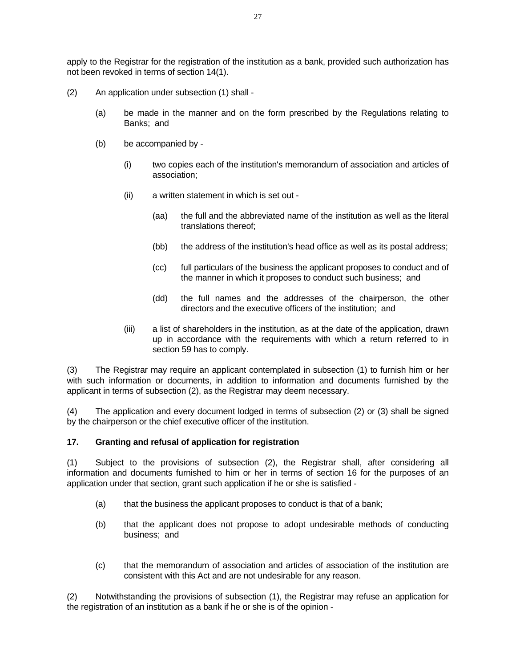apply to the Registrar for the registration of the institution as a bank, provided such authorization has not been revoked in terms of section 14(1).

- (2) An application under subsection (1) shall
	- (a) be made in the manner and on the form prescribed by the Regulations relating to Banks; and
	- (b) be accompanied by
		- (i) two copies each of the institution's memorandum of association and articles of association;
		- (ii) a written statement in which is set out
			- (aa) the full and the abbreviated name of the institution as well as the literal translations thereof;
			- (bb) the address of the institution's head office as well as its postal address;
			- (cc) full particulars of the business the applicant proposes to conduct and of the manner in which it proposes to conduct such business; and
			- (dd) the full names and the addresses of the chairperson, the other directors and the executive officers of the institution; and
		- (iii) a list of shareholders in the institution, as at the date of the application, drawn up in accordance with the requirements with which a return referred to in section 59 has to comply.

(3) The Registrar may require an applicant contemplated in subsection (1) to furnish him or her with such information or documents, in addition to information and documents furnished by the applicant in terms of subsection (2), as the Registrar may deem necessary.

(4) The application and every document lodged in terms of subsection (2) or (3) shall be signed by the chairperson or the chief executive officer of the institution.

#### **17. Granting and refusal of application for registration**

(1) Subject to the provisions of subsection (2), the Registrar shall, after considering all information and documents furnished to him or her in terms of section 16 for the purposes of an application under that section, grant such application if he or she is satisfied -

- (a) that the business the applicant proposes to conduct is that of a bank;
- (b) that the applicant does not propose to adopt undesirable methods of conducting business; and
- (c) that the memorandum of association and articles of association of the institution are consistent with this Act and are not undesirable for any reason.

(2) Notwithstanding the provisions of subsection (1), the Registrar may refuse an application for the registration of an institution as a bank if he or she is of the opinion -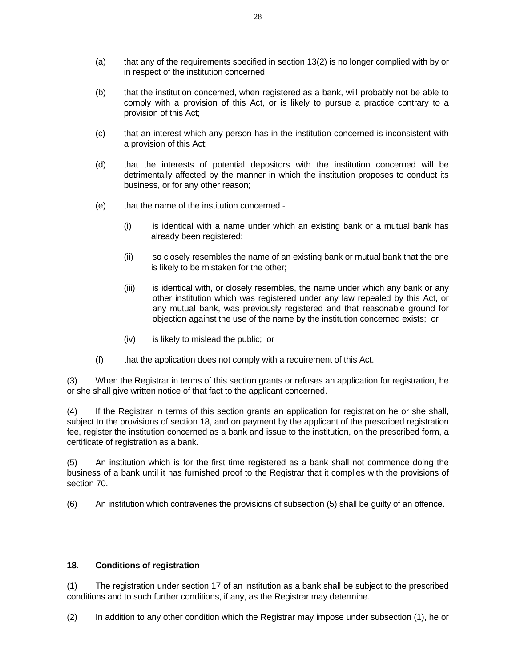- (a) that any of the requirements specified in section 13(2) is no longer complied with by or in respect of the institution concerned;
- (b) that the institution concerned, when registered as a bank, will probably not be able to comply with a provision of this Act, or is likely to pursue a practice contrary to a provision of this Act;
- (c) that an interest which any person has in the institution concerned is inconsistent with a provision of this Act;
- (d) that the interests of potential depositors with the institution concerned will be detrimentally affected by the manner in which the institution proposes to conduct its business, or for any other reason;
- (e) that the name of the institution concerned
	- (i) is identical with a name under which an existing bank or a mutual bank has already been registered;
	- (ii) so closely resembles the name of an existing bank or mutual bank that the one is likely to be mistaken for the other;
	- (iii) is identical with, or closely resembles, the name under which any bank or any other institution which was registered under any law repealed by this Act, or any mutual bank, was previously registered and that reasonable ground for objection against the use of the name by the institution concerned exists; or
	- (iv) is likely to mislead the public; or
- (f) that the application does not comply with a requirement of this Act.

(3) When the Registrar in terms of this section grants or refuses an application for registration, he or she shall give written notice of that fact to the applicant concerned.

(4) If the Registrar in terms of this section grants an application for registration he or she shall, subject to the provisions of section 18, and on payment by the applicant of the prescribed registration fee, register the institution concerned as a bank and issue to the institution, on the prescribed form, a certificate of registration as a bank.

(5) An institution which is for the first time registered as a bank shall not commence doing the business of a bank until it has furnished proof to the Registrar that it complies with the provisions of section 70.

(6) An institution which contravenes the provisions of subsection (5) shall be guilty of an offence.

#### **18. Conditions of registration**

(1) The registration under section 17 of an institution as a bank shall be subject to the prescribed conditions and to such further conditions, if any, as the Registrar may determine.

(2) In addition to any other condition which the Registrar may impose under subsection (1), he or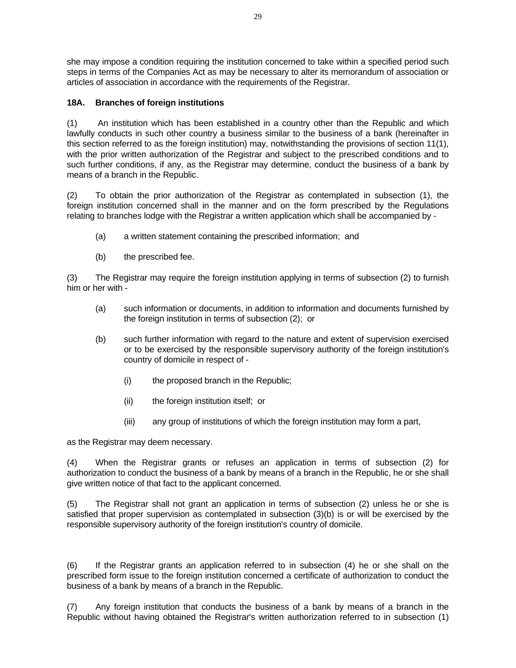she may impose a condition requiring the institution concerned to take within a specified period such steps in terms of the Companies Act as may be necessary to alter its memorandum of association or articles of association in accordance with the requirements of the Registrar.

## **18A. Branches of foreign institutions**

(1) An institution which has been established in a country other than the Republic and which lawfully conducts in such other country a business similar to the business of a bank (hereinafter in this section referred to as the foreign institution) may, notwithstanding the provisions of section 11(1), with the prior written authorization of the Registrar and subject to the prescribed conditions and to such further conditions, if any, as the Registrar may determine, conduct the business of a bank by means of a branch in the Republic.

(2) To obtain the prior authorization of the Registrar as contemplated in subsection (1), the foreign institution concerned shall in the manner and on the form prescribed by the Regulations relating to branches lodge with the Registrar a written application which shall be accompanied by -

- (a) a written statement containing the prescribed information; and
- (b) the prescribed fee.

(3) The Registrar may require the foreign institution applying in terms of subsection (2) to furnish him or her with -

- (a) such information or documents, in addition to information and documents furnished by the foreign institution in terms of subsection (2); or
- (b) such further information with regard to the nature and extent of supervision exercised or to be exercised by the responsible supervisory authority of the foreign institution's country of domicile in respect of -
	- (i) the proposed branch in the Republic;
	- (ii) the foreign institution itself; or
	- (iii) any group of institutions of which the foreign institution may form a part,

as the Registrar may deem necessary.

(4) When the Registrar grants or refuses an application in terms of subsection (2) for authorization to conduct the business of a bank by means of a branch in the Republic, he or she shall give written notice of that fact to the applicant concerned.

(5) The Registrar shall not grant an application in terms of subsection (2) unless he or she is satisfied that proper supervision as contemplated in subsection (3)(b) is or will be exercised by the responsible supervisory authority of the foreign institution's country of domicile.

(6) If the Registrar grants an application referred to in subsection (4) he or she shall on the prescribed form issue to the foreign institution concerned a certificate of authorization to conduct the business of a bank by means of a branch in the Republic.

(7) Any foreign institution that conducts the business of a bank by means of a branch in the Republic without having obtained the Registrar's written authorization referred to in subsection (1)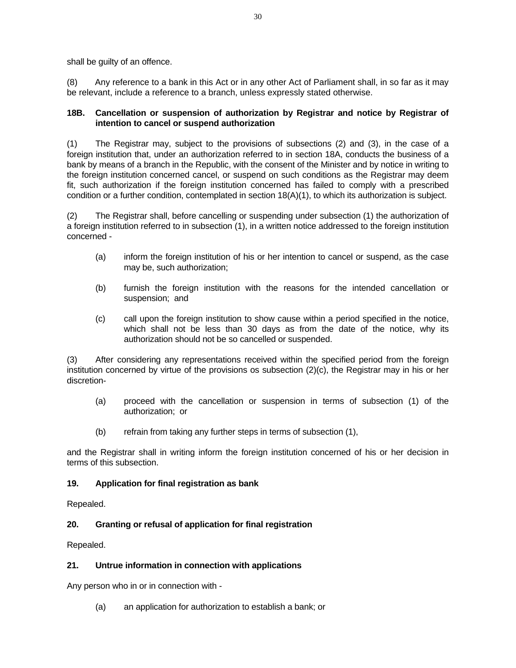shall be guilty of an offence.

(8) Any reference to a bank in this Act or in any other Act of Parliament shall, in so far as it may be relevant, include a reference to a branch, unless expressly stated otherwise.

## **18B. Cancellation or suspension of authorization by Registrar and notice by Registrar of intention to cancel or suspend authorization**

(1) The Registrar may, subject to the provisions of subsections (2) and (3), in the case of a foreign institution that, under an authorization referred to in section 18A, conducts the business of a bank by means of a branch in the Republic, with the consent of the Minister and by notice in writing to the foreign institution concerned cancel, or suspend on such conditions as the Registrar may deem fit, such authorization if the foreign institution concerned has failed to comply with a prescribed condition or a further condition, contemplated in section 18(A)(1), to which its authorization is subject.

(2) The Registrar shall, before cancelling or suspending under subsection (1) the authorization of a foreign institution referred to in subsection (1), in a written notice addressed to the foreign institution concerned -

- (a) inform the foreign institution of his or her intention to cancel or suspend, as the case may be, such authorization;
- (b) furnish the foreign institution with the reasons for the intended cancellation or suspension; and
- (c) call upon the foreign institution to show cause within a period specified in the notice, which shall not be less than 30 days as from the date of the notice, why its authorization should not be so cancelled or suspended.

After considering any representations received within the specified period from the foreign institution concerned by virtue of the provisions os subsection (2)(c), the Registrar may in his or her discretion-

- (a) proceed with the cancellation or suspension in terms of subsection (1) of the authorization; or
- (b) refrain from taking any further steps in terms of subsection (1),

and the Registrar shall in writing inform the foreign institution concerned of his or her decision in terms of this subsection.

## **19. Application for final registration as bank**

Repealed.

## **20. Granting or refusal of application for final registration**

Repealed.

## **21. Untrue information in connection with applications**

Any person who in or in connection with -

(a) an application for authorization to establish a bank; or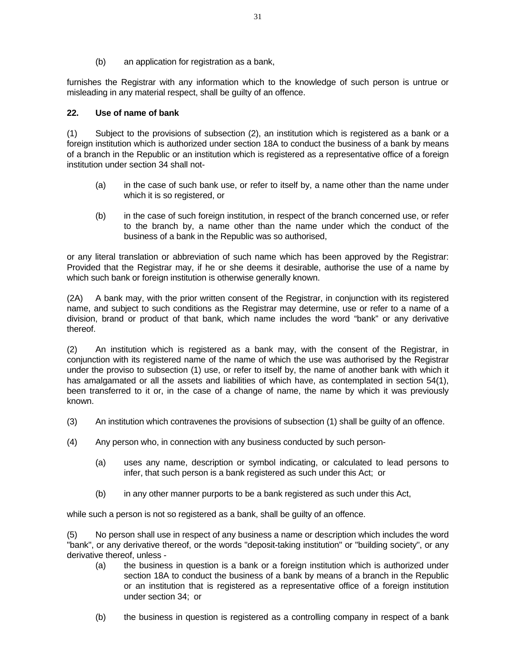(b) an application for registration as a bank,

furnishes the Registrar with any information which to the knowledge of such person is untrue or misleading in any material respect, shall be guilty of an offence.

#### **22. Use of name of bank**

(1) Subject to the provisions of subsection (2), an institution which is registered as a bank or a foreign institution which is authorized under section 18A to conduct the business of a bank by means of a branch in the Republic or an institution which is registered as a representative office of a foreign institution under section 34 shall not-

- (a) in the case of such bank use, or refer to itself by, a name other than the name under which it is so registered, or
- (b) in the case of such foreign institution, in respect of the branch concerned use, or refer to the branch by, a name other than the name under which the conduct of the business of a bank in the Republic was so authorised,

or any literal translation or abbreviation of such name which has been approved by the Registrar: Provided that the Registrar may, if he or she deems it desirable, authorise the use of a name by which such bank or foreign institution is otherwise generally known.

(2A) A bank may, with the prior written consent of the Registrar, in conjunction with its registered name, and subject to such conditions as the Registrar may determine, use or refer to a name of a division, brand or product of that bank, which name includes the word "bank" or any derivative thereof.

(2) An institution which is registered as a bank may, with the consent of the Registrar, in conjunction with its registered name of the name of which the use was authorised by the Registrar under the proviso to subsection (1) use, or refer to itself by, the name of another bank with which it has amalgamated or all the assets and liabilities of which have, as contemplated in section 54(1), been transferred to it or, in the case of a change of name, the name by which it was previously known.

- (3) An institution which contravenes the provisions of subsection (1) shall be guilty of an offence.
- (4) Any person who, in connection with any business conducted by such person-
	- (a) uses any name, description or symbol indicating, or calculated to lead persons to infer, that such person is a bank registered as such under this Act; or
	- (b) in any other manner purports to be a bank registered as such under this Act,

while such a person is not so registered as a bank, shall be guilty of an offence.

(5) No person shall use in respect of any business a name or description which includes the word "bank", or any derivative thereof, or the words "deposit-taking institution" or "building society", or any derivative thereof, unless -

- (a) the business in question is a bank or a foreign institution which is authorized under section 18A to conduct the business of a bank by means of a branch in the Republic or an institution that is registered as a representative office of a foreign institution under section 34; or
- (b) the business in question is registered as a controlling company in respect of a bank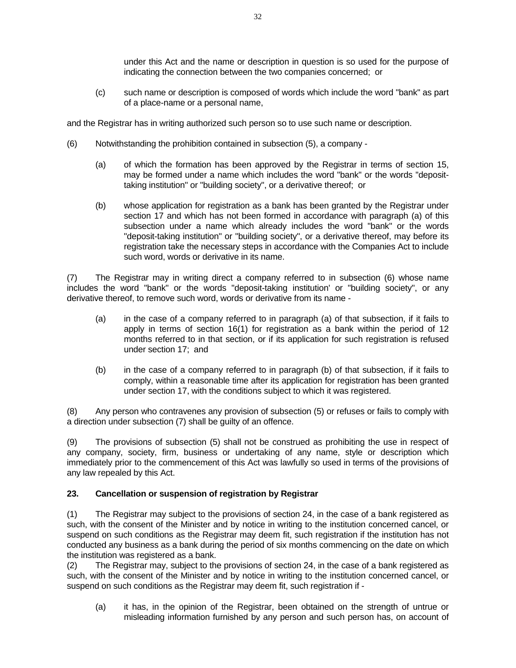under this Act and the name or description in question is so used for the purpose of indicating the connection between the two companies concerned; or

 (c) such name or description is composed of words which include the word "bank" as part of a place-name or a personal name,

and the Registrar has in writing authorized such person so to use such name or description.

- (6) Notwithstanding the prohibition contained in subsection (5), a company
	- (a) of which the formation has been approved by the Registrar in terms of section 15, may be formed under a name which includes the word "bank" or the words "deposittaking institution" or "building society", or a derivative thereof; or
	- (b) whose application for registration as a bank has been granted by the Registrar under section 17 and which has not been formed in accordance with paragraph (a) of this subsection under a name which already includes the word "bank" or the words "deposit-taking institution" or "building society", or a derivative thereof, may before its registration take the necessary steps in accordance with the Companies Act to include such word, words or derivative in its name.

(7) The Registrar may in writing direct a company referred to in subsection (6) whose name includes the word "bank" or the words "deposit-taking institution' or "building society", or any derivative thereof, to remove such word, words or derivative from its name -

- (a) in the case of a company referred to in paragraph (a) of that subsection, if it fails to apply in terms of section 16(1) for registration as a bank within the period of 12 months referred to in that section, or if its application for such registration is refused under section 17; and
- (b) in the case of a company referred to in paragraph (b) of that subsection, if it fails to comply, within a reasonable time after its application for registration has been granted under section 17, with the conditions subject to which it was registered.

(8) Any person who contravenes any provision of subsection (5) or refuses or fails to comply with a direction under subsection (7) shall be guilty of an offence.

(9) The provisions of subsection (5) shall not be construed as prohibiting the use in respect of any company, society, firm, business or undertaking of any name, style or description which immediately prior to the commencement of this Act was lawfully so used in terms of the provisions of any law repealed by this Act.

## **23. Cancellation or suspension of registration by Registrar**

(1) The Registrar may subject to the provisions of section 24, in the case of a bank registered as such, with the consent of the Minister and by notice in writing to the institution concerned cancel, or suspend on such conditions as the Registrar may deem fit, such registration if the institution has not conducted any business as a bank during the period of six months commencing on the date on which the institution was registered as a bank.

(2) The Registrar may, subject to the provisions of section 24, in the case of a bank registered as such, with the consent of the Minister and by notice in writing to the institution concerned cancel, or suspend on such conditions as the Registrar may deem fit, such registration if -

 (a) it has, in the opinion of the Registrar, been obtained on the strength of untrue or misleading information furnished by any person and such person has, on account of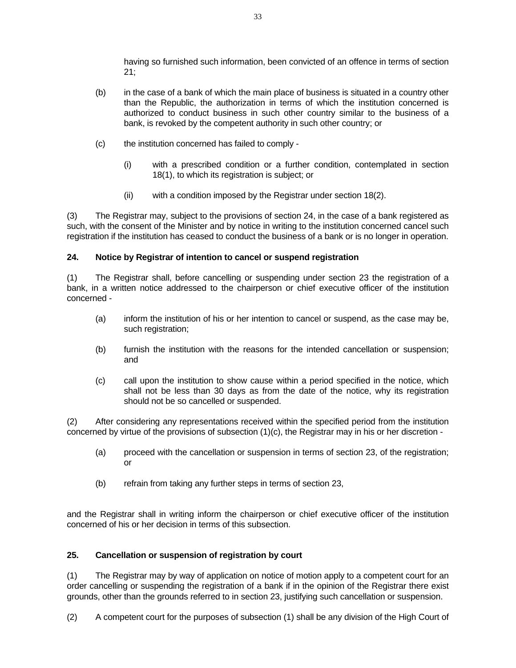having so furnished such information, been convicted of an offence in terms of section 21;

- (b) in the case of a bank of which the main place of business is situated in a country other than the Republic, the authorization in terms of which the institution concerned is authorized to conduct business in such other country similar to the business of a bank, is revoked by the competent authority in such other country; or
- (c) the institution concerned has failed to comply
	- (i) with a prescribed condition or a further condition, contemplated in section 18(1), to which its registration is subject; or
	- (ii) with a condition imposed by the Registrar under section 18(2).

(3) The Registrar may, subject to the provisions of section 24, in the case of a bank registered as such, with the consent of the Minister and by notice in writing to the institution concerned cancel such registration if the institution has ceased to conduct the business of a bank or is no longer in operation.

## **24. Notice by Registrar of intention to cancel or suspend registration**

(1) The Registrar shall, before cancelling or suspending under section 23 the registration of a bank, in a written notice addressed to the chairperson or chief executive officer of the institution concerned -

- (a) inform the institution of his or her intention to cancel or suspend, as the case may be, such registration;
- (b) furnish the institution with the reasons for the intended cancellation or suspension; and
- (c) call upon the institution to show cause within a period specified in the notice, which shall not be less than 30 days as from the date of the notice, why its registration should not be so cancelled or suspended.

(2) After considering any representations received within the specified period from the institution concerned by virtue of the provisions of subsection (1)(c), the Registrar may in his or her discretion -

- (a) proceed with the cancellation or suspension in terms of section 23, of the registration; or
- (b) refrain from taking any further steps in terms of section 23,

and the Registrar shall in writing inform the chairperson or chief executive officer of the institution concerned of his or her decision in terms of this subsection.

## **25. Cancellation or suspension of registration by court**

(1) The Registrar may by way of application on notice of motion apply to a competent court for an order cancelling or suspending the registration of a bank if in the opinion of the Registrar there exist grounds, other than the grounds referred to in section 23, justifying such cancellation or suspension.

(2) A competent court for the purposes of subsection (1) shall be any division of the High Court of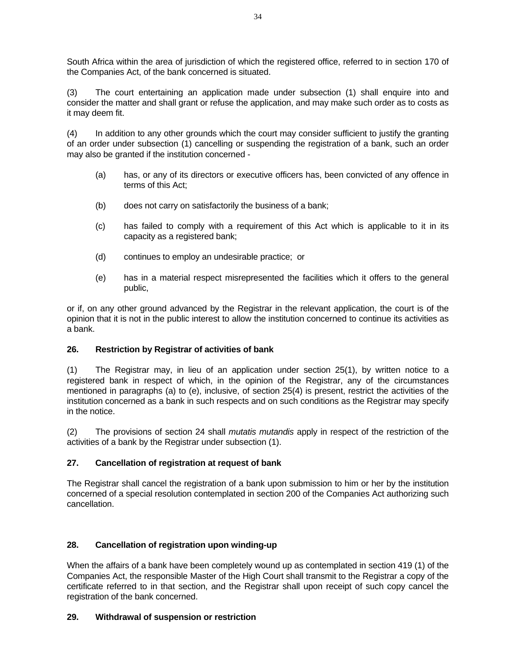South Africa within the area of jurisdiction of which the registered office, referred to in section 170 of the Companies Act, of the bank concerned is situated.

(3) The court entertaining an application made under subsection (1) shall enquire into and consider the matter and shall grant or refuse the application, and may make such order as to costs as it may deem fit.

(4) In addition to any other grounds which the court may consider sufficient to justify the granting of an order under subsection (1) cancelling or suspending the registration of a bank, such an order may also be granted if the institution concerned -

- (a) has, or any of its directors or executive officers has, been convicted of any offence in terms of this Act;
- (b) does not carry on satisfactorily the business of a bank;
- (c) has failed to comply with a requirement of this Act which is applicable to it in its capacity as a registered bank;
- (d) continues to employ an undesirable practice; or
- (e) has in a material respect misrepresented the facilities which it offers to the general public,

or if, on any other ground advanced by the Registrar in the relevant application, the court is of the opinion that it is not in the public interest to allow the institution concerned to continue its activities as a bank.

## **26. Restriction by Registrar of activities of bank**

(1) The Registrar may, in lieu of an application under section 25(1), by written notice to a registered bank in respect of which, in the opinion of the Registrar, any of the circumstances mentioned in paragraphs (a) to (e), inclusive, of section 25(4) is present, restrict the activities of the institution concerned as a bank in such respects and on such conditions as the Registrar may specify in the notice.

(2) The provisions of section 24 shall *mutatis mutandis* apply in respect of the restriction of the activities of a bank by the Registrar under subsection (1).

## **27. Cancellation of registration at request of bank**

The Registrar shall cancel the registration of a bank upon submission to him or her by the institution concerned of a special resolution contemplated in section 200 of the Companies Act authorizing such cancellation.

## **28. Cancellation of registration upon winding-up**

When the affairs of a bank have been completely wound up as contemplated in section 419 (1) of the Companies Act, the responsible Master of the High Court shall transmit to the Registrar a copy of the certificate referred to in that section, and the Registrar shall upon receipt of such copy cancel the registration of the bank concerned.

## **29. Withdrawal of suspension or restriction**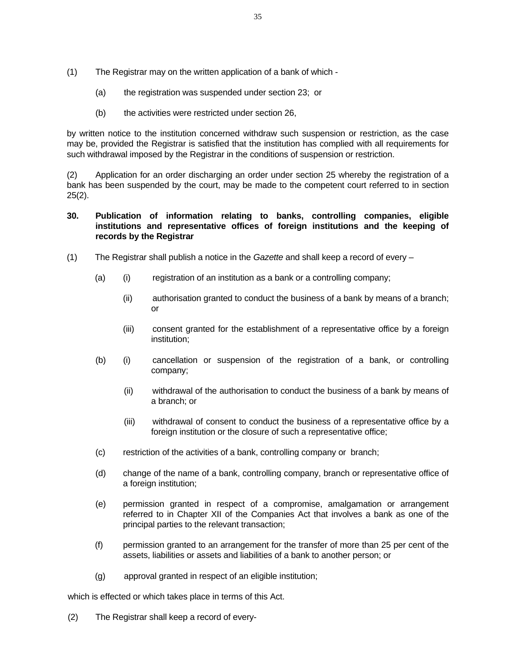- (1) The Registrar may on the written application of a bank of which
	- (a) the registration was suspended under section 23; or
	- (b) the activities were restricted under section 26,

by written notice to the institution concerned withdraw such suspension or restriction, as the case may be, provided the Registrar is satisfied that the institution has complied with all requirements for such withdrawal imposed by the Registrar in the conditions of suspension or restriction.

(2) Application for an order discharging an order under section 25 whereby the registration of a bank has been suspended by the court, may be made to the competent court referred to in section  $25(2)$ .

## **30. Publication of information relating to banks, controlling companies, eligible institutions and representative offices of foreign institutions and the keeping of records by the Registrar**

- (1) The Registrar shall publish a notice in the *Gazette* and shall keep a record of every
	- (a) (i) registration of an institution as a bank or a controlling company;
		- (ii) authorisation granted to conduct the business of a bank by means of a branch; or
		- (iii) consent granted for the establishment of a representative office by a foreign institution;
	- (b) (i) cancellation or suspension of the registration of a bank, or controlling company;
		- (ii) withdrawal of the authorisation to conduct the business of a bank by means of a branch; or
		- (iii) withdrawal of consent to conduct the business of a representative office by a foreign institution or the closure of such a representative office;
	- (c) restriction of the activities of a bank, controlling company or branch;
	- (d) change of the name of a bank, controlling company, branch or representative office of a foreign institution;
	- (e) permission granted in respect of a compromise, amalgamation or arrangement referred to in Chapter XII of the Companies Act that involves a bank as one of the principal parties to the relevant transaction;
	- (f) permission granted to an arrangement for the transfer of more than 25 per cent of the assets, liabilities or assets and liabilities of a bank to another person; or
	- (g) approval granted in respect of an eligible institution;

which is effected or which takes place in terms of this Act.

(2) The Registrar shall keep a record of every-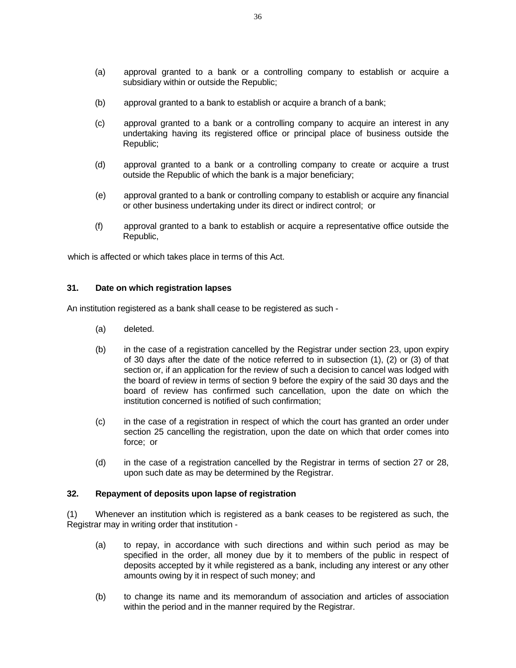- (a) approval granted to a bank or a controlling company to establish or acquire a subsidiary within or outside the Republic;
- (b) approval granted to a bank to establish or acquire a branch of a bank;
- (c) approval granted to a bank or a controlling company to acquire an interest in any undertaking having its registered office or principal place of business outside the Republic;
- (d) approval granted to a bank or a controlling company to create or acquire a trust outside the Republic of which the bank is a major beneficiary;
- (e) approval granted to a bank or controlling company to establish or acquire any financial or other business undertaking under its direct or indirect control; or
- (f) approval granted to a bank to establish or acquire a representative office outside the Republic,

which is affected or which takes place in terms of this Act.

#### **31. Date on which registration lapses**

An institution registered as a bank shall cease to be registered as such -

- (a) deleted.
- (b) in the case of a registration cancelled by the Registrar under section 23, upon expiry of 30 days after the date of the notice referred to in subsection (1), (2) or (3) of that section or, if an application for the review of such a decision to cancel was lodged with the board of review in terms of section 9 before the expiry of the said 30 days and the board of review has confirmed such cancellation, upon the date on which the institution concerned is notified of such confirmation;
- (c) in the case of a registration in respect of which the court has granted an order under section 25 cancelling the registration, upon the date on which that order comes into force; or
- (d) in the case of a registration cancelled by the Registrar in terms of section 27 or 28, upon such date as may be determined by the Registrar.

#### **32. Repayment of deposits upon lapse of registration**

(1) Whenever an institution which is registered as a bank ceases to be registered as such, the Registrar may in writing order that institution -

- (a) to repay, in accordance with such directions and within such period as may be specified in the order, all money due by it to members of the public in respect of deposits accepted by it while registered as a bank, including any interest or any other amounts owing by it in respect of such money; and
- (b) to change its name and its memorandum of association and articles of association within the period and in the manner required by the Registrar.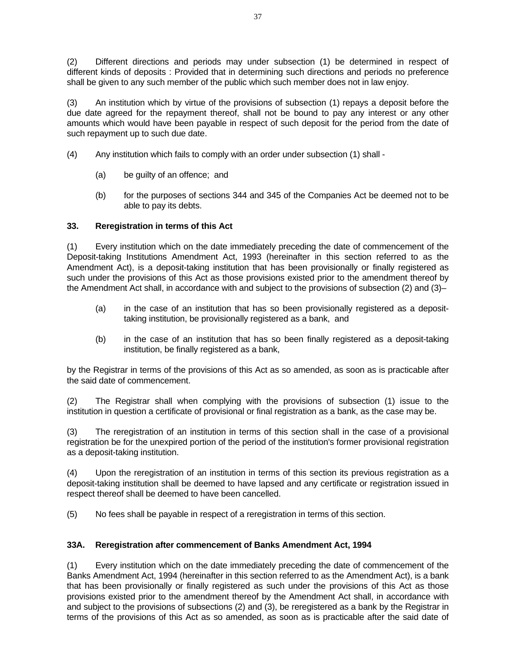(2) Different directions and periods may under subsection (1) be determined in respect of different kinds of deposits : Provided that in determining such directions and periods no preference shall be given to any such member of the public which such member does not in law enjoy.

(3) An institution which by virtue of the provisions of subsection (1) repays a deposit before the due date agreed for the repayment thereof, shall not be bound to pay any interest or any other amounts which would have been payable in respect of such deposit for the period from the date of such repayment up to such due date.

- (4) Any institution which fails to comply with an order under subsection (1) shall
	- (a) be guilty of an offence; and
	- (b) for the purposes of sections 344 and 345 of the Companies Act be deemed not to be able to pay its debts.

# **33. Reregistration in terms of this Act**

(1) Every institution which on the date immediately preceding the date of commencement of the Deposit-taking Institutions Amendment Act, 1993 (hereinafter in this section referred to as the Amendment Act), is a deposit-taking institution that has been provisionally or finally registered as such under the provisions of this Act as those provisions existed prior to the amendment thereof by the Amendment Act shall, in accordance with and subject to the provisions of subsection (2) and (3)–

- (a) in the case of an institution that has so been provisionally registered as a deposittaking institution, be provisionally registered as a bank, and
- (b) in the case of an institution that has so been finally registered as a deposit-taking institution, be finally registered as a bank,

by the Registrar in terms of the provisions of this Act as so amended, as soon as is practicable after the said date of commencement.

(2) The Registrar shall when complying with the provisions of subsection (1) issue to the institution in question a certificate of provisional or final registration as a bank, as the case may be.

(3) The reregistration of an institution in terms of this section shall in the case of a provisional registration be for the unexpired portion of the period of the institution's former provisional registration as a deposit-taking institution.

(4) Upon the reregistration of an institution in terms of this section its previous registration as a deposit-taking institution shall be deemed to have lapsed and any certificate or registration issued in respect thereof shall be deemed to have been cancelled.

(5) No fees shall be payable in respect of a reregistration in terms of this section.

## **33A. Reregistration after commencement of Banks Amendment Act, 1994**

(1) Every institution which on the date immediately preceding the date of commencement of the Banks Amendment Act, 1994 (hereinafter in this section referred to as the Amendment Act), is a bank that has been provisionally or finally registered as such under the provisions of this Act as those provisions existed prior to the amendment thereof by the Amendment Act shall, in accordance with and subject to the provisions of subsections (2) and (3), be reregistered as a bank by the Registrar in terms of the provisions of this Act as so amended, as soon as is practicable after the said date of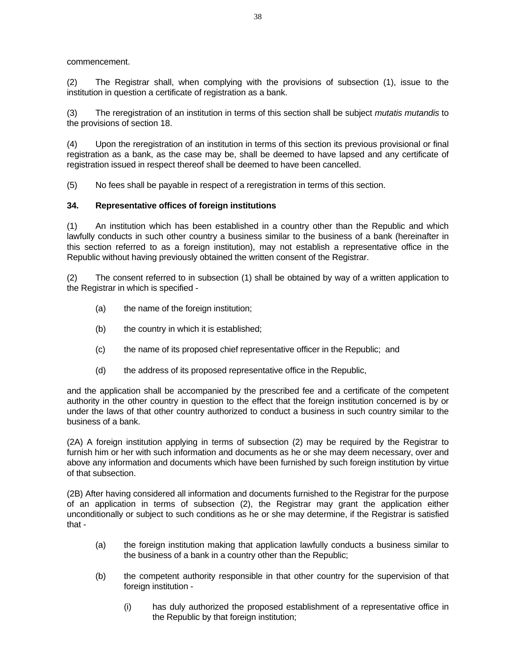commencement.

(2) The Registrar shall, when complying with the provisions of subsection (1), issue to the institution in question a certificate of registration as a bank.

(3) The reregistration of an institution in terms of this section shall be subject *mutatis mutandis* to the provisions of section 18.

(4) Upon the reregistration of an institution in terms of this section its previous provisional or final registration as a bank, as the case may be, shall be deemed to have lapsed and any certificate of registration issued in respect thereof shall be deemed to have been cancelled.

(5) No fees shall be payable in respect of a reregistration in terms of this section.

## **34. Representative offices of foreign institutions**

(1) An institution which has been established in a country other than the Republic and which lawfully conducts in such other country a business similar to the business of a bank (hereinafter in this section referred to as a foreign institution), may not establish a representative office in the Republic without having previously obtained the written consent of the Registrar.

(2) The consent referred to in subsection (1) shall be obtained by way of a written application to the Registrar in which is specified -

- (a) the name of the foreign institution;
- (b) the country in which it is established;
- (c) the name of its proposed chief representative officer in the Republic; and
- (d) the address of its proposed representative office in the Republic,

and the application shall be accompanied by the prescribed fee and a certificate of the competent authority in the other country in question to the effect that the foreign institution concerned is by or under the laws of that other country authorized to conduct a business in such country similar to the business of a bank.

(2A) A foreign institution applying in terms of subsection (2) may be required by the Registrar to furnish him or her with such information and documents as he or she may deem necessary, over and above any information and documents which have been furnished by such foreign institution by virtue of that subsection.

(2B) After having considered all information and documents furnished to the Registrar for the purpose of an application in terms of subsection (2), the Registrar may grant the application either unconditionally or subject to such conditions as he or she may determine, if the Registrar is satisfied that -

- (a) the foreign institution making that application lawfully conducts a business similar to the business of a bank in a country other than the Republic;
- (b) the competent authority responsible in that other country for the supervision of that foreign institution -
	- (i) has duly authorized the proposed establishment of a representative office in the Republic by that foreign institution;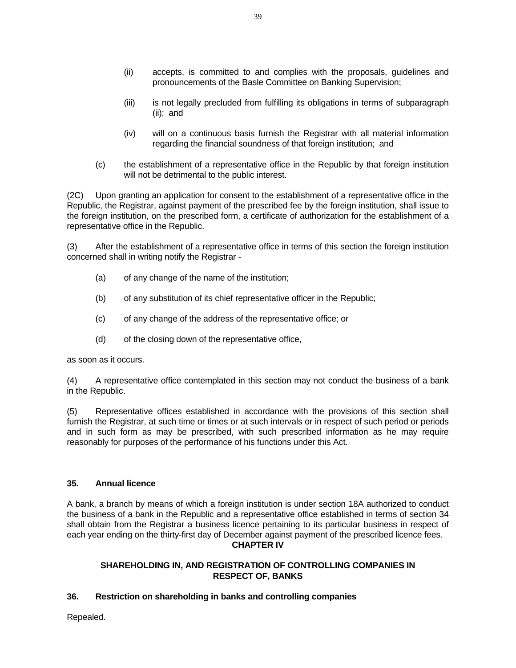- (ii) accepts, is committed to and complies with the proposals, guidelines and pronouncements of the Basle Committee on Banking Supervision;
- (iii) is not legally precluded from fulfilling its obligations in terms of subparagraph (ii); and
- (iv) will on a continuous basis furnish the Registrar with all material information regarding the financial soundness of that foreign institution; and
- (c) the establishment of a representative office in the Republic by that foreign institution will not be detrimental to the public interest.

(2C) Upon granting an application for consent to the establishment of a representative office in the Republic, the Registrar, against payment of the prescribed fee by the foreign institution, shall issue to the foreign institution, on the prescribed form, a certificate of authorization for the establishment of a representative office in the Republic.

(3) After the establishment of a representative office in terms of this section the foreign institution concerned shall in writing notify the Registrar -

- (a) of any change of the name of the institution;
- (b) of any substitution of its chief representative officer in the Republic;
- (c) of any change of the address of the representative office; or
- (d) of the closing down of the representative office,

as soon as it occurs.

(4) A representative office contemplated in this section may not conduct the business of a bank in the Republic.

(5) Representative offices established in accordance with the provisions of this section shall furnish the Registrar, at such time or times or at such intervals or in respect of such period or periods and in such form as may be prescribed, with such prescribed information as he may require reasonably for purposes of the performance of his functions under this Act.

## **35. Annual licence**

A bank, a branch by means of which a foreign institution is under section 18A authorized to conduct the business of a bank in the Republic and a representative office established in terms of section 34 shall obtain from the Registrar a business licence pertaining to its particular business in respect of each year ending on the thirty-first day of December against payment of the prescribed licence fees. **CHAPTER IV** 

#### **SHAREHOLDING IN, AND REGISTRATION OF CONTROLLING COMPANIES IN RESPECT OF, BANKS**

## **36. Restriction on shareholding in banks and controlling companies**

Repealed.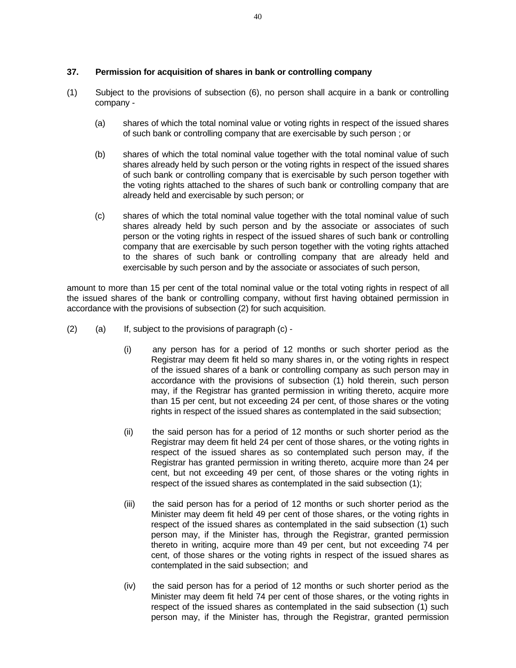### **37. Permission for acquisition of shares in bank or controlling company**

- (1) Subject to the provisions of subsection (6), no person shall acquire in a bank or controlling company -
	- (a) shares of which the total nominal value or voting rights in respect of the issued shares of such bank or controlling company that are exercisable by such person ; or
	- (b) shares of which the total nominal value together with the total nominal value of such shares already held by such person or the voting rights in respect of the issued shares of such bank or controlling company that is exercisable by such person together with the voting rights attached to the shares of such bank or controlling company that are already held and exercisable by such person; or
	- (c) shares of which the total nominal value together with the total nominal value of such shares already held by such person and by the associate or associates of such person or the voting rights in respect of the issued shares of such bank or controlling company that are exercisable by such person together with the voting rights attached to the shares of such bank or controlling company that are already held and exercisable by such person and by the associate or associates of such person,

amount to more than 15 per cent of the total nominal value or the total voting rights in respect of all the issued shares of the bank or controlling company, without first having obtained permission in accordance with the provisions of subsection (2) for such acquisition.

- (2) (a) If, subject to the provisions of paragraph (c)
	- (i) any person has for a period of 12 months or such shorter period as the Registrar may deem fit held so many shares in, or the voting rights in respect of the issued shares of a bank or controlling company as such person may in accordance with the provisions of subsection (1) hold therein, such person may, if the Registrar has granted permission in writing thereto, acquire more than 15 per cent, but not exceeding 24 per cent, of those shares or the voting rights in respect of the issued shares as contemplated in the said subsection;
	- (ii) the said person has for a period of 12 months or such shorter period as the Registrar may deem fit held 24 per cent of those shares, or the voting rights in respect of the issued shares as so contemplated such person may, if the Registrar has granted permission in writing thereto, acquire more than 24 per cent, but not exceeding 49 per cent, of those shares or the voting rights in respect of the issued shares as contemplated in the said subsection (1);
	- (iii) the said person has for a period of 12 months or such shorter period as the Minister may deem fit held 49 per cent of those shares, or the voting rights in respect of the issued shares as contemplated in the said subsection (1) such person may, if the Minister has, through the Registrar, granted permission thereto in writing, acquire more than 49 per cent, but not exceeding 74 per cent, of those shares or the voting rights in respect of the issued shares as contemplated in the said subsection; and
	- (iv) the said person has for a period of 12 months or such shorter period as the Minister may deem fit held 74 per cent of those shares, or the voting rights in respect of the issued shares as contemplated in the said subsection (1) such person may, if the Minister has, through the Registrar, granted permission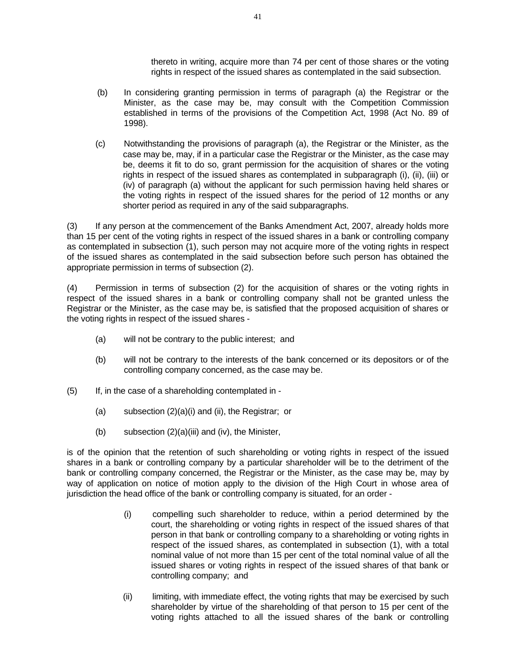thereto in writing, acquire more than 74 per cent of those shares or the voting rights in respect of the issued shares as contemplated in the said subsection.

- (b) In considering granting permission in terms of paragraph (a) the Registrar or the Minister, as the case may be, may consult with the Competition Commission established in terms of the provisions of the Competition Act, 1998 (Act No. 89 of 1998).
- (c) Notwithstanding the provisions of paragraph (a), the Registrar or the Minister, as the case may be, may, if in a particular case the Registrar or the Minister, as the case may be, deems it fit to do so, grant permission for the acquisition of shares or the voting rights in respect of the issued shares as contemplated in subparagraph (i), (ii), (iii) or (iv) of paragraph (a) without the applicant for such permission having held shares or the voting rights in respect of the issued shares for the period of 12 months or any shorter period as required in any of the said subparagraphs.

(3) If any person at the commencement of the Banks Amendment Act, 2007, already holds more than 15 per cent of the voting rights in respect of the issued shares in a bank or controlling company as contemplated in subsection (1), such person may not acquire more of the voting rights in respect of the issued shares as contemplated in the said subsection before such person has obtained the appropriate permission in terms of subsection (2).

(4) Permission in terms of subsection (2) for the acquisition of shares or the voting rights in respect of the issued shares in a bank or controlling company shall not be granted unless the Registrar or the Minister, as the case may be, is satisfied that the proposed acquisition of shares or the voting rights in respect of the issued shares -

- (a) will not be contrary to the public interest; and
- (b) will not be contrary to the interests of the bank concerned or its depositors or of the controlling company concerned, as the case may be.
- (5) If, in the case of a shareholding contemplated in
	- (a) subsection (2)(a)(i) and (ii), the Registrar; or
	- (b) subsection (2)(a)(iii) and (iv), the Minister,

is of the opinion that the retention of such shareholding or voting rights in respect of the issued shares in a bank or controlling company by a particular shareholder will be to the detriment of the bank or controlling company concerned, the Registrar or the Minister, as the case may be, may by way of application on notice of motion apply to the division of the High Court in whose area of jurisdiction the head office of the bank or controlling company is situated, for an order -

- (i) compelling such shareholder to reduce, within a period determined by the court, the shareholding or voting rights in respect of the issued shares of that person in that bank or controlling company to a shareholding or voting rights in respect of the issued shares, as contemplated in subsection (1), with a total nominal value of not more than 15 per cent of the total nominal value of all the issued shares or voting rights in respect of the issued shares of that bank or controlling company; and
- (ii) limiting, with immediate effect, the voting rights that may be exercised by such shareholder by virtue of the shareholding of that person to 15 per cent of the voting rights attached to all the issued shares of the bank or controlling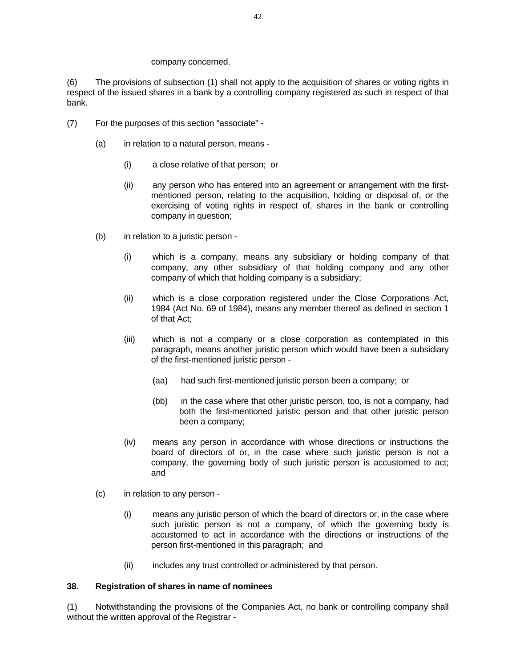#### company concerned.

(6) The provisions of subsection (1) shall not apply to the acquisition of shares or voting rights in respect of the issued shares in a bank by a controlling company registered as such in respect of that bank.

- (7) For the purposes of this section "associate"
	- (a) in relation to a natural person, means
		- (i) a close relative of that person; or
		- (ii) any person who has entered into an agreement or arrangement with the firstmentioned person, relating to the acquisition, holding or disposal of, or the exercising of voting rights in respect of, shares in the bank or controlling company in question;
	- (b) in relation to a juristic person
		- (i) which is a company, means any subsidiary or holding company of that company, any other subsidiary of that holding company and any other company of which that holding company is a subsidiary;
		- (ii) which is a close corporation registered under the Close Corporations Act, 1984 (Act No. 69 of 1984), means any member thereof as defined in section 1 of that Act;
		- (iii) which is not a company or a close corporation as contemplated in this paragraph, means another juristic person which would have been a subsidiary of the first-mentioned juristic person -
			- (aa) had such first-mentioned juristic person been a company; or
			- (bb) in the case where that other juristic person, too, is not a company, had both the first-mentioned juristic person and that other juristic person been a company;
		- (iv) means any person in accordance with whose directions or instructions the board of directors of or, in the case where such juristic person is not a company, the governing body of such juristic person is accustomed to act; and
	- (c) in relation to any person
		- (i) means any juristic person of which the board of directors or, in the case where such juristic person is not a company, of which the governing body is accustomed to act in accordance with the directions or instructions of the person first-mentioned in this paragraph; and
		- (ii) includes any trust controlled or administered by that person.

#### **38. Registration of shares in name of nominees**

(1) Notwithstanding the provisions of the Companies Act, no bank or controlling company shall without the written approval of the Registrar -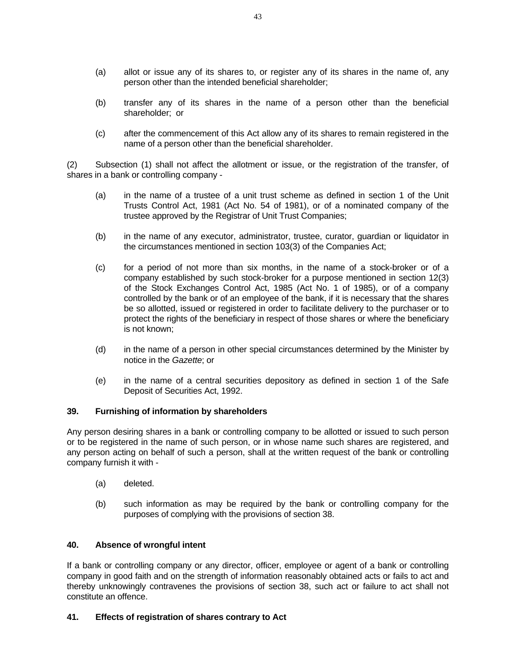- (a) allot or issue any of its shares to, or register any of its shares in the name of, any person other than the intended beneficial shareholder;
- (b) transfer any of its shares in the name of a person other than the beneficial shareholder; or
- (c) after the commencement of this Act allow any of its shares to remain registered in the name of a person other than the beneficial shareholder.

(2) Subsection (1) shall not affect the allotment or issue, or the registration of the transfer, of shares in a bank or controlling company -

- (a) in the name of a trustee of a unit trust scheme as defined in section 1 of the Unit Trusts Control Act, 1981 (Act No. 54 of 1981), or of a nominated company of the trustee approved by the Registrar of Unit Trust Companies;
- (b) in the name of any executor, administrator, trustee, curator, guardian or liquidator in the circumstances mentioned in section 103(3) of the Companies Act;
- (c) for a period of not more than six months, in the name of a stock-broker or of a company established by such stock-broker for a purpose mentioned in section 12(3) of the Stock Exchanges Control Act, 1985 (Act No. 1 of 1985), or of a company controlled by the bank or of an employee of the bank, if it is necessary that the shares be so allotted, issued or registered in order to facilitate delivery to the purchaser or to protect the rights of the beneficiary in respect of those shares or where the beneficiary is not known;
- (d) in the name of a person in other special circumstances determined by the Minister by notice in the *Gazette*; or
- (e) in the name of a central securities depository as defined in section 1 of the Safe Deposit of Securities Act, 1992.

## **39. Furnishing of information by shareholders**

Any person desiring shares in a bank or controlling company to be allotted or issued to such person or to be registered in the name of such person, or in whose name such shares are registered, and any person acting on behalf of such a person, shall at the written request of the bank or controlling company furnish it with -

- (a) deleted.
- (b) such information as may be required by the bank or controlling company for the purposes of complying with the provisions of section 38.

#### **40. Absence of wrongful intent**

If a bank or controlling company or any director, officer, employee or agent of a bank or controlling company in good faith and on the strength of information reasonably obtained acts or fails to act and thereby unknowingly contravenes the provisions of section 38, such act or failure to act shall not constitute an offence.

#### **41. Effects of registration of shares contrary to Act**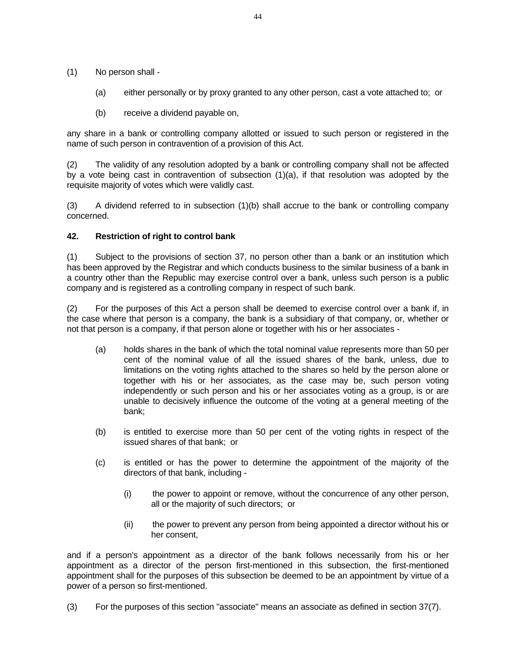- (1) No person shall
	- (a) either personally or by proxy granted to any other person, cast a vote attached to; or
	- (b) receive a dividend payable on,

any share in a bank or controlling company allotted or issued to such person or registered in the name of such person in contravention of a provision of this Act.

(2) The validity of any resolution adopted by a bank or controlling company shall not be affected by a vote being cast in contravention of subsection (1)(a), if that resolution was adopted by the requisite majority of votes which were validly cast.

(3) A dividend referred to in subsection (1)(b) shall accrue to the bank or controlling company concerned.

#### **42. Restriction of right to control bank**

(1) Subject to the provisions of section 37, no person other than a bank or an institution which has been approved by the Registrar and which conducts business to the similar business of a bank in a country other than the Republic may exercise control over a bank, unless such person is a public company and is registered as a controlling company in respect of such bank.

(2) For the purposes of this Act a person shall be deemed to exercise control over a bank if, in the case where that person is a company, the bank is a subsidiary of that company, or, whether or not that person is a company, if that person alone or together with his or her associates -

- (a) holds shares in the bank of which the total nominal value represents more than 50 per cent of the nominal value of all the issued shares of the bank, unless, due to limitations on the voting rights attached to the shares so held by the person alone or together with his or her associates, as the case may be, such person voting independently or such person and his or her associates voting as a group, is or are unable to decisively influence the outcome of the voting at a general meeting of the bank;
- (b) is entitled to exercise more than 50 per cent of the voting rights in respect of the issued shares of that bank; or
- (c) is entitled or has the power to determine the appointment of the majority of the directors of that bank, including -
	- (i) the power to appoint or remove, without the concurrence of any other person, all or the majority of such directors; or
	- (ii) the power to prevent any person from being appointed a director without his or her consent,

and if a person's appointment as a director of the bank follows necessarily from his or her appointment as a director of the person first-mentioned in this subsection, the first-mentioned appointment shall for the purposes of this subsection be deemed to be an appointment by virtue of a power of a person so first-mentioned.

(3) For the purposes of this section "associate" means an associate as defined in section 37(7).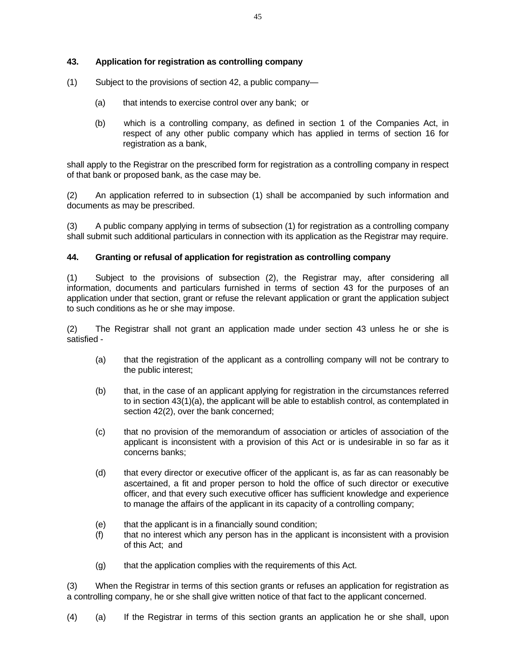#### **43. Application for registration as controlling company**

- (1) Subject to the provisions of section 42, a public company—
	- (a) that intends to exercise control over any bank; or
	- (b) which is a controlling company, as defined in section 1 of the Companies Act, in respect of any other public company which has applied in terms of section 16 for registration as a bank,

shall apply to the Registrar on the prescribed form for registration as a controlling company in respect of that bank or proposed bank, as the case may be.

(2) An application referred to in subsection (1) shall be accompanied by such information and documents as may be prescribed.

(3) A public company applying in terms of subsection (1) for registration as a controlling company shall submit such additional particulars in connection with its application as the Registrar may require.

#### **44. Granting or refusal of application for registration as controlling company**

(1) Subject to the provisions of subsection (2), the Registrar may, after considering all information, documents and particulars furnished in terms of section 43 for the purposes of an application under that section, grant or refuse the relevant application or grant the application subject to such conditions as he or she may impose.

(2) The Registrar shall not grant an application made under section 43 unless he or she is satisfied -

- (a) that the registration of the applicant as a controlling company will not be contrary to the public interest;
- (b) that, in the case of an applicant applying for registration in the circumstances referred to in section 43(1)(a), the applicant will be able to establish control, as contemplated in section 42(2), over the bank concerned;
- (c) that no provision of the memorandum of association or articles of association of the applicant is inconsistent with a provision of this Act or is undesirable in so far as it concerns banks;
- (d) that every director or executive officer of the applicant is, as far as can reasonably be ascertained, a fit and proper person to hold the office of such director or executive officer, and that every such executive officer has sufficient knowledge and experience to manage the affairs of the applicant in its capacity of a controlling company;
- (e) that the applicant is in a financially sound condition;
- (f) that no interest which any person has in the applicant is inconsistent with a provision of this Act; and
- (g) that the application complies with the requirements of this Act.

(3) When the Registrar in terms of this section grants or refuses an application for registration as a controlling company, he or she shall give written notice of that fact to the applicant concerned.

(4) (a) If the Registrar in terms of this section grants an application he or she shall, upon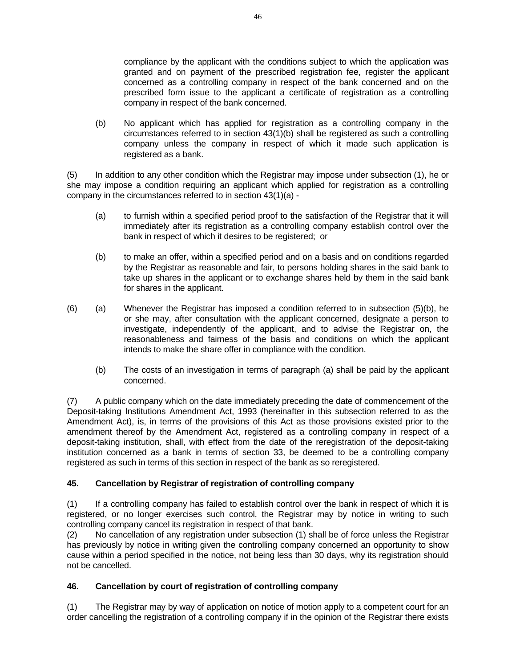compliance by the applicant with the conditions subject to which the application was granted and on payment of the prescribed registration fee, register the applicant concerned as a controlling company in respect of the bank concerned and on the prescribed form issue to the applicant a certificate of registration as a controlling company in respect of the bank concerned.

 (b) No applicant which has applied for registration as a controlling company in the circumstances referred to in section 43(1)(b) shall be registered as such a controlling company unless the company in respect of which it made such application is registered as a bank.

(5) In addition to any other condition which the Registrar may impose under subsection (1), he or she may impose a condition requiring an applicant which applied for registration as a controlling company in the circumstances referred to in section 43(1)(a) -

- (a) to furnish within a specified period proof to the satisfaction of the Registrar that it will immediately after its registration as a controlling company establish control over the bank in respect of which it desires to be registered; or
- (b) to make an offer, within a specified period and on a basis and on conditions regarded by the Registrar as reasonable and fair, to persons holding shares in the said bank to take up shares in the applicant or to exchange shares held by them in the said bank for shares in the applicant.
- $(6)$  (a) Whenever the Registrar has imposed a condition referred to in subsection  $(5)(b)$ , he or she may, after consultation with the applicant concerned, designate a person to investigate, independently of the applicant, and to advise the Registrar on, the reasonableness and fairness of the basis and conditions on which the applicant intends to make the share offer in compliance with the condition.
	- (b) The costs of an investigation in terms of paragraph (a) shall be paid by the applicant concerned.

(7) A public company which on the date immediately preceding the date of commencement of the Deposit-taking Institutions Amendment Act, 1993 (hereinafter in this subsection referred to as the Amendment Act), is, in terms of the provisions of this Act as those provisions existed prior to the amendment thereof by the Amendment Act, registered as a controlling company in respect of a deposit-taking institution, shall, with effect from the date of the reregistration of the deposit-taking institution concerned as a bank in terms of section 33, be deemed to be a controlling company registered as such in terms of this section in respect of the bank as so reregistered.

# **45. Cancellation by Registrar of registration of controlling company**

(1) If a controlling company has failed to establish control over the bank in respect of which it is registered, or no longer exercises such control, the Registrar may by notice in writing to such controlling company cancel its registration in respect of that bank.

(2) No cancellation of any registration under subsection (1) shall be of force unless the Registrar has previously by notice in writing given the controlling company concerned an opportunity to show cause within a period specified in the notice, not being less than 30 days, why its registration should not be cancelled.

## **46. Cancellation by court of registration of controlling company**

(1) The Registrar may by way of application on notice of motion apply to a competent court for an order cancelling the registration of a controlling company if in the opinion of the Registrar there exists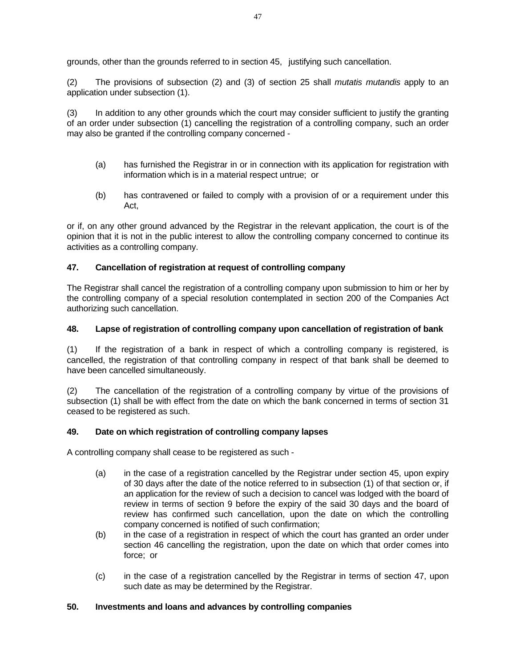grounds, other than the grounds referred to in section 45, justifying such cancellation.

(2) The provisions of subsection (2) and (3) of section 25 shall *mutatis mutandis* apply to an application under subsection (1).

(3) In addition to any other grounds which the court may consider sufficient to justify the granting of an order under subsection (1) cancelling the registration of a controlling company, such an order may also be granted if the controlling company concerned -

- (a) has furnished the Registrar in or in connection with its application for registration with information which is in a material respect untrue; or
- (b) has contravened or failed to comply with a provision of or a requirement under this Act,

or if, on any other ground advanced by the Registrar in the relevant application, the court is of the opinion that it is not in the public interest to allow the controlling company concerned to continue its activities as a controlling company.

#### **47. Cancellation of registration at request of controlling company**

The Registrar shall cancel the registration of a controlling company upon submission to him or her by the controlling company of a special resolution contemplated in section 200 of the Companies Act authorizing such cancellation.

#### **48. Lapse of registration of controlling company upon cancellation of registration of bank**

(1) If the registration of a bank in respect of which a controlling company is registered, is cancelled, the registration of that controlling company in respect of that bank shall be deemed to have been cancelled simultaneously.

(2) The cancellation of the registration of a controlling company by virtue of the provisions of subsection (1) shall be with effect from the date on which the bank concerned in terms of section 31 ceased to be registered as such.

#### **49. Date on which registration of controlling company lapses**

A controlling company shall cease to be registered as such -

- (a) in the case of a registration cancelled by the Registrar under section 45, upon expiry of 30 days after the date of the notice referred to in subsection (1) of that section or, if an application for the review of such a decision to cancel was lodged with the board of review in terms of section 9 before the expiry of the said 30 days and the board of review has confirmed such cancellation, upon the date on which the controlling company concerned is notified of such confirmation;
- (b) in the case of a registration in respect of which the court has granted an order under section 46 cancelling the registration, upon the date on which that order comes into force; or
- (c) in the case of a registration cancelled by the Registrar in terms of section 47, upon such date as may be determined by the Registrar.

#### **50. Investments and loans and advances by controlling companies**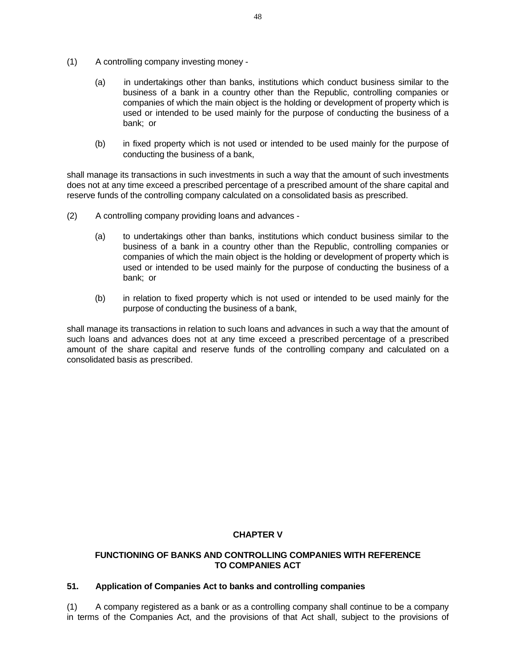- (1) A controlling company investing money
	- (a) in undertakings other than banks, institutions which conduct business similar to the business of a bank in a country other than the Republic, controlling companies or companies of which the main object is the holding or development of property which is used or intended to be used mainly for the purpose of conducting the business of a bank; or
	- (b) in fixed property which is not used or intended to be used mainly for the purpose of conducting the business of a bank,

shall manage its transactions in such investments in such a way that the amount of such investments does not at any time exceed a prescribed percentage of a prescribed amount of the share capital and reserve funds of the controlling company calculated on a consolidated basis as prescribed.

- (2) A controlling company providing loans and advances
	- (a) to undertakings other than banks, institutions which conduct business similar to the business of a bank in a country other than the Republic, controlling companies or companies of which the main object is the holding or development of property which is used or intended to be used mainly for the purpose of conducting the business of a bank; or
	- (b) in relation to fixed property which is not used or intended to be used mainly for the purpose of conducting the business of a bank,

shall manage its transactions in relation to such loans and advances in such a way that the amount of such loans and advances does not at any time exceed a prescribed percentage of a prescribed amount of the share capital and reserve funds of the controlling company and calculated on a consolidated basis as prescribed.

#### **CHAPTER V**

#### **FUNCTIONING OF BANKS AND CONTROLLING COMPANIES WITH REFERENCE TO COMPANIES ACT**

### **51. Application of Companies Act to banks and controlling companies**

(1) A company registered as a bank or as a controlling company shall continue to be a company in terms of the Companies Act, and the provisions of that Act shall, subject to the provisions of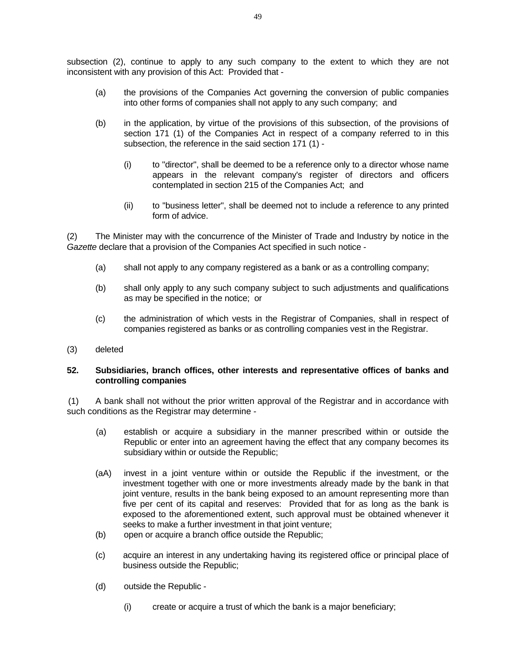subsection (2), continue to apply to any such company to the extent to which they are not inconsistent with any provision of this Act: Provided that -

- (a) the provisions of the Companies Act governing the conversion of public companies into other forms of companies shall not apply to any such company; and
- (b) in the application, by virtue of the provisions of this subsection, of the provisions of section 171 (1) of the Companies Act in respect of a company referred to in this subsection, the reference in the said section 171 (1) -
	- (i) to "director", shall be deemed to be a reference only to a director whose name appears in the relevant company's register of directors and officers contemplated in section 215 of the Companies Act; and
	- (ii) to "business letter", shall be deemed not to include a reference to any printed form of advice.

(2) The Minister may with the concurrence of the Minister of Trade and Industry by notice in the *Gazette* declare that a provision of the Companies Act specified in such notice -

- (a) shall not apply to any company registered as a bank or as a controlling company;
- (b) shall only apply to any such company subject to such adjustments and qualifications as may be specified in the notice; or
- (c) the administration of which vests in the Registrar of Companies, shall in respect of companies registered as banks or as controlling companies vest in the Registrar.
- (3) deleted

#### **52. Subsidiaries, branch offices, other interests and representative offices of banks and controlling companies**

(1) A bank shall not without the prior written approval of the Registrar and in accordance with such conditions as the Registrar may determine -

- (a) establish or acquire a subsidiary in the manner prescribed within or outside the Republic or enter into an agreement having the effect that any company becomes its subsidiary within or outside the Republic;
- (aA) invest in a joint venture within or outside the Republic if the investment, or the investment together with one or more investments already made by the bank in that joint venture, results in the bank being exposed to an amount representing more than five per cent of its capital and reserves: Provided that for as long as the bank is exposed to the aforementioned extent, such approval must be obtained whenever it seeks to make a further investment in that joint venture;
- (b) open or acquire a branch office outside the Republic;
- (c) acquire an interest in any undertaking having its registered office or principal place of business outside the Republic;
- (d) outside the Republic
	- (i) create or acquire a trust of which the bank is a major beneficiary;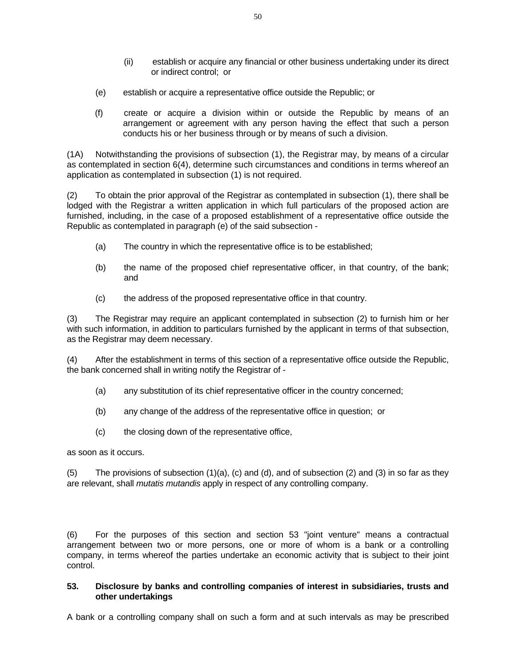- (ii) establish or acquire any financial or other business undertaking under its direct or indirect control; or
- (e) establish or acquire a representative office outside the Republic; or
- (f) create or acquire a division within or outside the Republic by means of an arrangement or agreement with any person having the effect that such a person conducts his or her business through or by means of such a division.

(1A) Notwithstanding the provisions of subsection (1), the Registrar may, by means of a circular as contemplated in section 6(4), determine such circumstances and conditions in terms whereof an application as contemplated in subsection (1) is not required.

(2) To obtain the prior approval of the Registrar as contemplated in subsection (1), there shall be lodged with the Registrar a written application in which full particulars of the proposed action are furnished, including, in the case of a proposed establishment of a representative office outside the Republic as contemplated in paragraph (e) of the said subsection -

- (a) The country in which the representative office is to be established;
- (b) the name of the proposed chief representative officer, in that country, of the bank; and
- (c) the address of the proposed representative office in that country.

(3) The Registrar may require an applicant contemplated in subsection (2) to furnish him or her with such information, in addition to particulars furnished by the applicant in terms of that subsection, as the Registrar may deem necessary.

(4) After the establishment in terms of this section of a representative office outside the Republic, the bank concerned shall in writing notify the Registrar of -

- (a) any substitution of its chief representative officer in the country concerned;
- (b) any change of the address of the representative office in question; or
- (c) the closing down of the representative office,

as soon as it occurs.

(5) The provisions of subsection (1)(a), (c) and (d), and of subsection (2) and (3) in so far as they are relevant, shall *mutatis mutandis* apply in respect of any controlling company.

(6) For the purposes of this section and section 53 "joint venture" means a contractual arrangement between two or more persons, one or more of whom is a bank or a controlling company, in terms whereof the parties undertake an economic activity that is subject to their joint control.

## **53. Disclosure by banks and controlling companies of interest in subsidiaries, trusts and other undertakings**

A bank or a controlling company shall on such a form and at such intervals as may be prescribed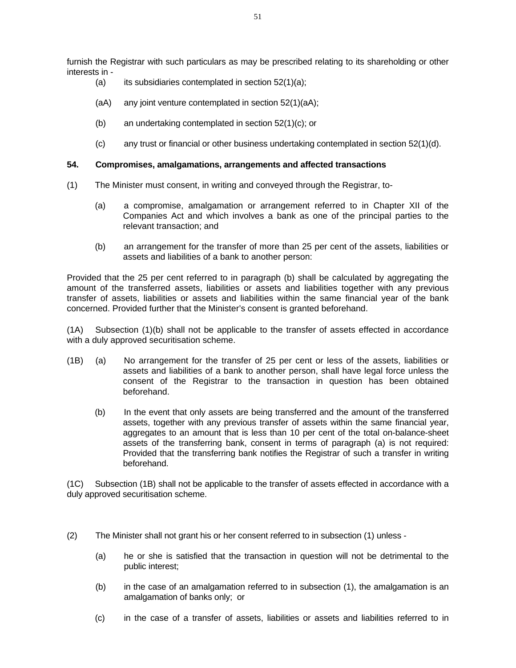furnish the Registrar with such particulars as may be prescribed relating to its shareholding or other interests in -

- (a) its subsidiaries contemplated in section  $52(1)(a)$ ;
- (aA) any joint venture contemplated in section 52(1)(aA);
- (b) an undertaking contemplated in section 52(1)(c); or
- (c) any trust or financial or other business undertaking contemplated in section  $52(1)(d)$ .

#### **54. Compromises, amalgamations, arrangements and affected transactions**

- (1) The Minister must consent, in writing and conveyed through the Registrar, to-
	- (a) a compromise, amalgamation or arrangement referred to in Chapter XII of the Companies Act and which involves a bank as one of the principal parties to the relevant transaction; and
	- (b) an arrangement for the transfer of more than 25 per cent of the assets, liabilities or assets and liabilities of a bank to another person:

Provided that the 25 per cent referred to in paragraph (b) shall be calculated by aggregating the amount of the transferred assets, liabilities or assets and liabilities together with any previous transfer of assets, liabilities or assets and liabilities within the same financial year of the bank concerned. Provided further that the Minister's consent is granted beforehand.

(1A) Subsection (1)(b) shall not be applicable to the transfer of assets effected in accordance with a duly approved securitisation scheme.

- (1B) (a) No arrangement for the transfer of 25 per cent or less of the assets, liabilities or assets and liabilities of a bank to another person, shall have legal force unless the consent of the Registrar to the transaction in question has been obtained beforehand.
	- (b) In the event that only assets are being transferred and the amount of the transferred assets, together with any previous transfer of assets within the same financial year, aggregates to an amount that is less than 10 per cent of the total on-balance-sheet assets of the transferring bank, consent in terms of paragraph (a) is not required: Provided that the transferring bank notifies the Registrar of such a transfer in writing beforehand.

(1C) Subsection (1B) shall not be applicable to the transfer of assets effected in accordance with a duly approved securitisation scheme.

- (2) The Minister shall not grant his or her consent referred to in subsection (1) unless
	- (a) he or she is satisfied that the transaction in question will not be detrimental to the public interest;
	- (b) in the case of an amalgamation referred to in subsection (1), the amalgamation is an amalgamation of banks only; or
	- (c) in the case of a transfer of assets, liabilities or assets and liabilities referred to in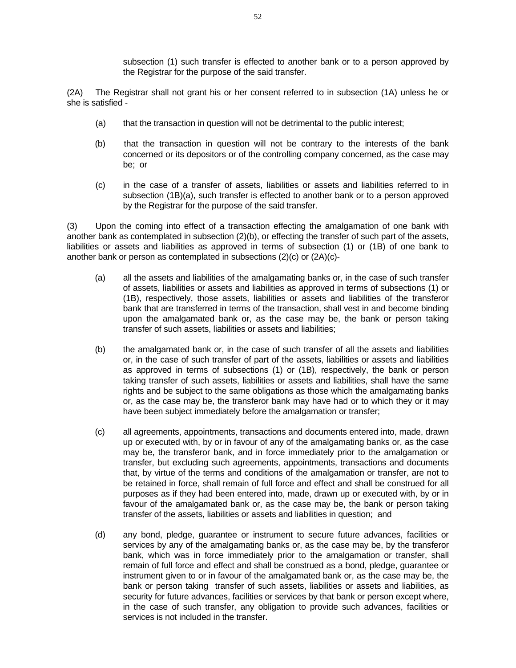subsection (1) such transfer is effected to another bank or to a person approved by the Registrar for the purpose of the said transfer.

(2A) The Registrar shall not grant his or her consent referred to in subsection (1A) unless he or she is satisfied -

- (a) that the transaction in question will not be detrimental to the public interest;
- (b) that the transaction in question will not be contrary to the interests of the bank concerned or its depositors or of the controlling company concerned, as the case may be; or
- (c) in the case of a transfer of assets, liabilities or assets and liabilities referred to in subsection (1B)(a), such transfer is effected to another bank or to a person approved by the Registrar for the purpose of the said transfer.

(3) Upon the coming into effect of a transaction effecting the amalgamation of one bank with another bank as contemplated in subsection (2)(b), or effecting the transfer of such part of the assets, liabilities or assets and liabilities as approved in terms of subsection (1) or (1B) of one bank to another bank or person as contemplated in subsections (2)(c) or (2A)(c)-

- (a) all the assets and liabilities of the amalgamating banks or, in the case of such transfer of assets, liabilities or assets and liabilities as approved in terms of subsections (1) or (1B), respectively, those assets, liabilities or assets and liabilities of the transferor bank that are transferred in terms of the transaction, shall vest in and become binding upon the amalgamated bank or, as the case may be, the bank or person taking transfer of such assets, liabilities or assets and liabilities;
- (b) the amalgamated bank or, in the case of such transfer of all the assets and liabilities or, in the case of such transfer of part of the assets, liabilities or assets and liabilities as approved in terms of subsections (1) or (1B), respectively, the bank or person taking transfer of such assets, liabilities or assets and liabilities, shall have the same rights and be subject to the same obligations as those which the amalgamating banks or, as the case may be, the transferor bank may have had or to which they or it may have been subject immediately before the amalgamation or transfer;
- (c) all agreements, appointments, transactions and documents entered into, made, drawn up or executed with, by or in favour of any of the amalgamating banks or, as the case may be, the transferor bank, and in force immediately prior to the amalgamation or transfer, but excluding such agreements, appointments, transactions and documents that, by virtue of the terms and conditions of the amalgamation or transfer, are not to be retained in force, shall remain of full force and effect and shall be construed for all purposes as if they had been entered into, made, drawn up or executed with, by or in favour of the amalgamated bank or, as the case may be, the bank or person taking transfer of the assets, liabilities or assets and liabilities in question; and
- (d) any bond, pledge, guarantee or instrument to secure future advances, facilities or services by any of the amalgamating banks or, as the case may be, by the transferor bank, which was in force immediately prior to the amalgamation or transfer, shall remain of full force and effect and shall be construed as a bond, pledge, guarantee or instrument given to or in favour of the amalgamated bank or, as the case may be, the bank or person taking transfer of such assets, liabilities or assets and liabilities, as security for future advances, facilities or services by that bank or person except where, in the case of such transfer, any obligation to provide such advances, facilities or services is not included in the transfer.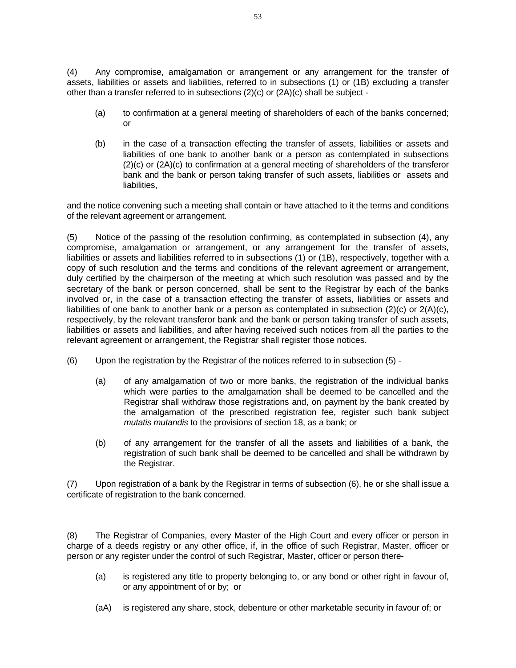(4) Any compromise, amalgamation or arrangement or any arrangement for the transfer of assets, liabilities or assets and liabilities, referred to in subsections (1) or (1B) excluding a transfer other than a transfer referred to in subsections (2)(c) or (2A)(c) shall be subject -

- (a) to confirmation at a general meeting of shareholders of each of the banks concerned; or
- (b) in the case of a transaction effecting the transfer of assets, liabilities or assets and liabilities of one bank to another bank or a person as contemplated in subsections (2)(c) or (2A)(c) to confirmation at a general meeting of shareholders of the transferor bank and the bank or person taking transfer of such assets, liabilities or assets and liabilities,

and the notice convening such a meeting shall contain or have attached to it the terms and conditions of the relevant agreement or arrangement.

(5) Notice of the passing of the resolution confirming, as contemplated in subsection (4), any compromise, amalgamation or arrangement, or any arrangement for the transfer of assets, liabilities or assets and liabilities referred to in subsections (1) or (1B), respectively, together with a copy of such resolution and the terms and conditions of the relevant agreement or arrangement, duly certified by the chairperson of the meeting at which such resolution was passed and by the secretary of the bank or person concerned, shall be sent to the Registrar by each of the banks involved or, in the case of a transaction effecting the transfer of assets, liabilities or assets and liabilities of one bank to another bank or a person as contemplated in subsection  $(2)(c)$  or  $2(A)(c)$ , respectively, by the relevant transferor bank and the bank or person taking transfer of such assets, liabilities or assets and liabilities, and after having received such notices from all the parties to the relevant agreement or arrangement, the Registrar shall register those notices.

- (6) Upon the registration by the Registrar of the notices referred to in subsection (5)
	- (a) of any amalgamation of two or more banks, the registration of the individual banks which were parties to the amalgamation shall be deemed to be cancelled and the Registrar shall withdraw those registrations and, on payment by the bank created by the amalgamation of the prescribed registration fee, register such bank subject *mutatis mutandis* to the provisions of section 18, as a bank; or
	- (b) of any arrangement for the transfer of all the assets and liabilities of a bank, the registration of such bank shall be deemed to be cancelled and shall be withdrawn by the Registrar.

(7) Upon registration of a bank by the Registrar in terms of subsection (6), he or she shall issue a certificate of registration to the bank concerned.

(8) The Registrar of Companies, every Master of the High Court and every officer or person in charge of a deeds registry or any other office, if, in the office of such Registrar, Master, officer or person or any register under the control of such Registrar, Master, officer or person there-

- (a) is registered any title to property belonging to, or any bond or other right in favour of, or any appointment of or by; or
- (aA) is registered any share, stock, debenture or other marketable security in favour of; or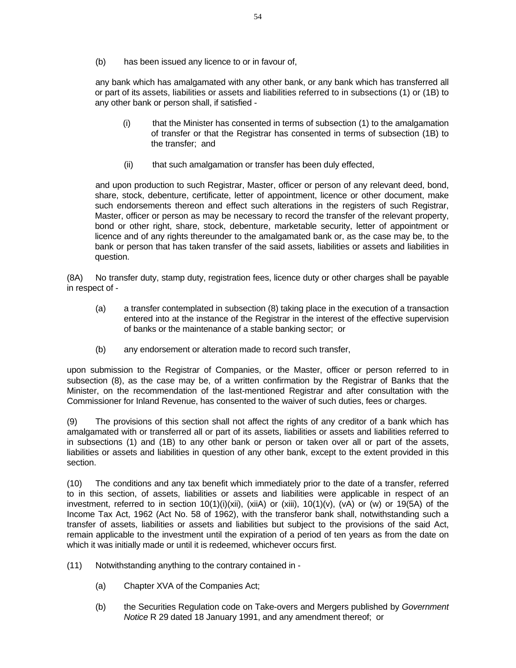(b) has been issued any licence to or in favour of,

 any bank which has amalgamated with any other bank, or any bank which has transferred all or part of its assets, liabilities or assets and liabilities referred to in subsections (1) or (1B) to any other bank or person shall, if satisfied -

- (i) that the Minister has consented in terms of subsection (1) to the amalgamation of transfer or that the Registrar has consented in terms of subsection (1B) to the transfer; and
- (ii) that such amalgamation or transfer has been duly effected,

 and upon production to such Registrar, Master, officer or person of any relevant deed, bond, share, stock, debenture, certificate, letter of appointment, licence or other document, make such endorsements thereon and effect such alterations in the registers of such Registrar, Master, officer or person as may be necessary to record the transfer of the relevant property, bond or other right, share, stock, debenture, marketable security, letter of appointment or licence and of any rights thereunder to the amalgamated bank or, as the case may be, to the bank or person that has taken transfer of the said assets, liabilities or assets and liabilities in question.

(8A) No transfer duty, stamp duty, registration fees, licence duty or other charges shall be payable in respect of -

- (a) a transfer contemplated in subsection (8) taking place in the execution of a transaction entered into at the instance of the Registrar in the interest of the effective supervision of banks or the maintenance of a stable banking sector; or
- (b) any endorsement or alteration made to record such transfer,

upon submission to the Registrar of Companies, or the Master, officer or person referred to in subsection (8), as the case may be, of a written confirmation by the Registrar of Banks that the Minister, on the recommendation of the last-mentioned Registrar and after consultation with the Commissioner for Inland Revenue, has consented to the waiver of such duties, fees or charges.

(9) The provisions of this section shall not affect the rights of any creditor of a bank which has amalgamated with or transferred all or part of its assets, liabilities or assets and liabilities referred to in subsections (1) and (1B) to any other bank or person or taken over all or part of the assets, liabilities or assets and liabilities in question of any other bank, except to the extent provided in this section.

(10) The conditions and any tax benefit which immediately prior to the date of a transfer, referred to in this section, of assets, liabilities or assets and liabilities were applicable in respect of an investment, referred to in section  $10(1)(i)(xii)$ , (xiiA) or (xiii),  $10(1)(v)$ , (vA) or (w) or 19(5A) of the Income Tax Act, 1962 (Act No. 58 of 1962), with the transferor bank shall, notwithstanding such a transfer of assets, liabilities or assets and liabilities but subject to the provisions of the said Act, remain applicable to the investment until the expiration of a period of ten years as from the date on which it was initially made or until it is redeemed, whichever occurs first.

- (11) Notwithstanding anything to the contrary contained in
	- (a) Chapter XVA of the Companies Act;
	- (b) the Securities Regulation code on Take-overs and Mergers published by *Government Notice* R 29 dated 18 January 1991, and any amendment thereof; or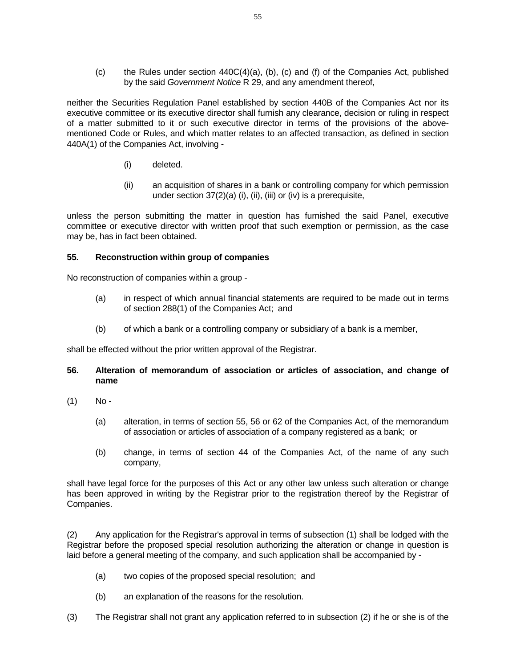(c) the Rules under section  $440C(4)(a)$ , (b), (c) and (f) of the Companies Act, published by the said *Government Notice* R 29, and any amendment thereof,

neither the Securities Regulation Panel established by section 440B of the Companies Act nor its executive committee or its executive director shall furnish any clearance, decision or ruling in respect of a matter submitted to it or such executive director in terms of the provisions of the abovementioned Code or Rules, and which matter relates to an affected transaction, as defined in section 440A(1) of the Companies Act, involving -

- (i) deleted.
- (ii) an acquisition of shares in a bank or controlling company for which permission under section 37(2)(a) (i), (ii), (iii) or (iv) is a prerequisite,

unless the person submitting the matter in question has furnished the said Panel, executive committee or executive director with written proof that such exemption or permission, as the case may be, has in fact been obtained.

#### **55. Reconstruction within group of companies**

No reconstruction of companies within a group -

- (a) in respect of which annual financial statements are required to be made out in terms of section 288(1) of the Companies Act; and
- (b) of which a bank or a controlling company or subsidiary of a bank is a member,

shall be effected without the prior written approval of the Registrar.

- **56. Alteration of memorandum of association or articles of association, and change of name**
- $(1)$  No-
	- (a) alteration, in terms of section 55, 56 or 62 of the Companies Act, of the memorandum of association or articles of association of a company registered as a bank; or
	- (b) change, in terms of section 44 of the Companies Act, of the name of any such company,

shall have legal force for the purposes of this Act or any other law unless such alteration or change has been approved in writing by the Registrar prior to the registration thereof by the Registrar of Companies.

(2) Any application for the Registrar's approval in terms of subsection (1) shall be lodged with the Registrar before the proposed special resolution authorizing the alteration or change in question is laid before a general meeting of the company, and such application shall be accompanied by -

- (a) two copies of the proposed special resolution; and
- (b) an explanation of the reasons for the resolution.
- (3) The Registrar shall not grant any application referred to in subsection (2) if he or she is of the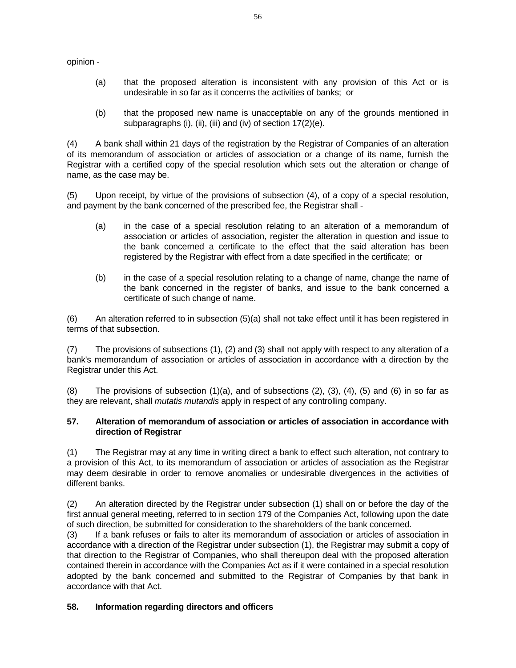opinion -

- (a) that the proposed alteration is inconsistent with any provision of this Act or is undesirable in so far as it concerns the activities of banks; or
- (b) that the proposed new name is unacceptable on any of the grounds mentioned in subparagraphs (i), (ii), (iii) and (iv) of section 17(2)(e).

(4) A bank shall within 21 days of the registration by the Registrar of Companies of an alteration of its memorandum of association or articles of association or a change of its name, furnish the Registrar with a certified copy of the special resolution which sets out the alteration or change of name, as the case may be.

(5) Upon receipt, by virtue of the provisions of subsection (4), of a copy of a special resolution, and payment by the bank concerned of the prescribed fee, the Registrar shall -

- (a) in the case of a special resolution relating to an alteration of a memorandum of association or articles of association, register the alteration in question and issue to the bank concerned a certificate to the effect that the said alteration has been registered by the Registrar with effect from a date specified in the certificate; or
- (b) in the case of a special resolution relating to a change of name, change the name of the bank concerned in the register of banks, and issue to the bank concerned a certificate of such change of name.

(6) An alteration referred to in subsection (5)(a) shall not take effect until it has been registered in terms of that subsection.

(7) The provisions of subsections (1), (2) and (3) shall not apply with respect to any alteration of a bank's memorandum of association or articles of association in accordance with a direction by the Registrar under this Act.

 $(8)$  The provisions of subsection  $(1)(a)$ , and of subsections  $(2)$ ,  $(3)$ ,  $(4)$ ,  $(5)$  and  $(6)$  in so far as they are relevant, shall *mutatis mutandis* apply in respect of any controlling company.

## **57. Alteration of memorandum of association or articles of association in accordance with direction of Registrar**

(1) The Registrar may at any time in writing direct a bank to effect such alteration, not contrary to a provision of this Act, to its memorandum of association or articles of association as the Registrar may deem desirable in order to remove anomalies or undesirable divergences in the activities of different banks.

(2) An alteration directed by the Registrar under subsection (1) shall on or before the day of the first annual general meeting, referred to in section 179 of the Companies Act, following upon the date of such direction, be submitted for consideration to the shareholders of the bank concerned.

(3) If a bank refuses or fails to alter its memorandum of association or articles of association in accordance with a direction of the Registrar under subsection (1), the Registrar may submit a copy of that direction to the Registrar of Companies, who shall thereupon deal with the proposed alteration contained therein in accordance with the Companies Act as if it were contained in a special resolution adopted by the bank concerned and submitted to the Registrar of Companies by that bank in accordance with that Act.

## **58. Information regarding directors and officers**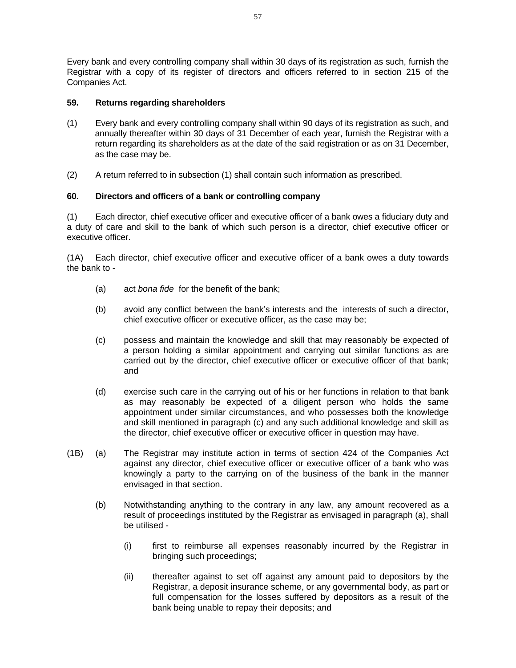Every bank and every controlling company shall within 30 days of its registration as such, furnish the Registrar with a copy of its register of directors and officers referred to in section 215 of the Companies Act.

## **59. Returns regarding shareholders**

- (1) Every bank and every controlling company shall within 90 days of its registration as such, and annually thereafter within 30 days of 31 December of each year, furnish the Registrar with a return regarding its shareholders as at the date of the said registration or as on 31 December, as the case may be.
- (2) A return referred to in subsection (1) shall contain such information as prescribed.

## **60. Directors and officers of a bank or controlling company**

(1) Each director, chief executive officer and executive officer of a bank owes a fiduciary duty and a duty of care and skill to the bank of which such person is a director, chief executive officer or executive officer.

(1A) Each director, chief executive officer and executive officer of a bank owes a duty towards the bank to -

- (a) act *bona fide* for the benefit of the bank;
- (b) avoid any conflict between the bank's interests and the interests of such a director, chief executive officer or executive officer, as the case may be;
- (c) possess and maintain the knowledge and skill that may reasonably be expected of a person holding a similar appointment and carrying out similar functions as are carried out by the director, chief executive officer or executive officer of that bank; and
- (d) exercise such care in the carrying out of his or her functions in relation to that bank as may reasonably be expected of a diligent person who holds the same appointment under similar circumstances, and who possesses both the knowledge and skill mentioned in paragraph (c) and any such additional knowledge and skill as the director, chief executive officer or executive officer in question may have.
- (1B) (a) The Registrar may institute action in terms of section 424 of the Companies Act against any director, chief executive officer or executive officer of a bank who was knowingly a party to the carrying on of the business of the bank in the manner envisaged in that section.
	- (b) Notwithstanding anything to the contrary in any law, any amount recovered as a result of proceedings instituted by the Registrar as envisaged in paragraph (a), shall be utilised -
		- (i) first to reimburse all expenses reasonably incurred by the Registrar in bringing such proceedings;
		- (ii) thereafter against to set off against any amount paid to depositors by the Registrar, a deposit insurance scheme, or any governmental body, as part or full compensation for the losses suffered by depositors as a result of the bank being unable to repay their deposits; and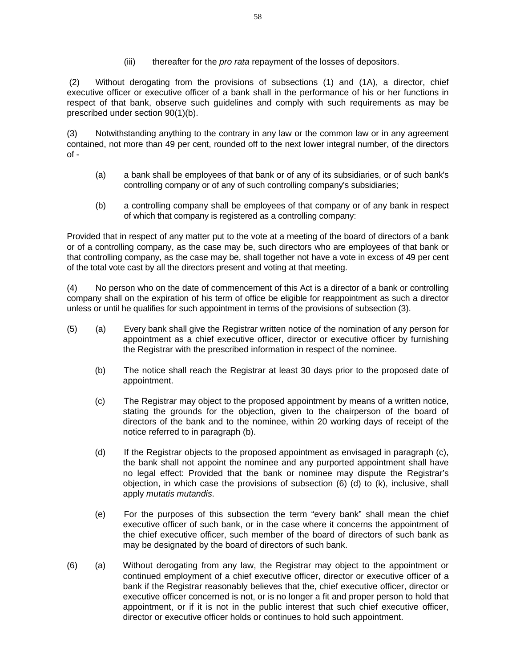(iii) thereafter for the *pro rata* repayment of the losses of depositors.

 (2) Without derogating from the provisions of subsections (1) and (1A), a director, chief executive officer or executive officer of a bank shall in the performance of his or her functions in respect of that bank, observe such guidelines and comply with such requirements as may be prescribed under section 90(1)(b).

(3) Notwithstanding anything to the contrary in any law or the common law or in any agreement contained, not more than 49 per cent, rounded off to the next lower integral number, of the directors of -

- (a) a bank shall be employees of that bank or of any of its subsidiaries, or of such bank's controlling company or of any of such controlling company's subsidiaries;
- (b) a controlling company shall be employees of that company or of any bank in respect of which that company is registered as a controlling company:

Provided that in respect of any matter put to the vote at a meeting of the board of directors of a bank or of a controlling company, as the case may be, such directors who are employees of that bank or that controlling company, as the case may be, shall together not have a vote in excess of 49 per cent of the total vote cast by all the directors present and voting at that meeting.

(4) No person who on the date of commencement of this Act is a director of a bank or controlling company shall on the expiration of his term of office be eligible for reappointment as such a director unless or until he qualifies for such appointment in terms of the provisions of subsection (3).

- (5) (a) Every bank shall give the Registrar written notice of the nomination of any person for appointment as a chief executive officer, director or executive officer by furnishing the Registrar with the prescribed information in respect of the nominee.
	- (b) The notice shall reach the Registrar at least 30 days prior to the proposed date of appointment.
	- (c) The Registrar may object to the proposed appointment by means of a written notice, stating the grounds for the objection, given to the chairperson of the board of directors of the bank and to the nominee, within 20 working days of receipt of the notice referred to in paragraph (b).
	- (d) If the Registrar objects to the proposed appointment as envisaged in paragraph (c), the bank shall not appoint the nominee and any purported appointment shall have no legal effect: Provided that the bank or nominee may dispute the Registrar's objection, in which case the provisions of subsection (6) (d) to (k), inclusive, shall apply *mutatis mutandis*.
	- (e) For the purposes of this subsection the term "every bank" shall mean the chief executive officer of such bank, or in the case where it concerns the appointment of the chief executive officer, such member of the board of directors of such bank as may be designated by the board of directors of such bank.
- (6) (a) Without derogating from any law, the Registrar may object to the appointment or continued employment of a chief executive officer, director or executive officer of a bank if the Registrar reasonably believes that the, chief executive officer, director or executive officer concerned is not, or is no longer a fit and proper person to hold that appointment, or if it is not in the public interest that such chief executive officer, director or executive officer holds or continues to hold such appointment.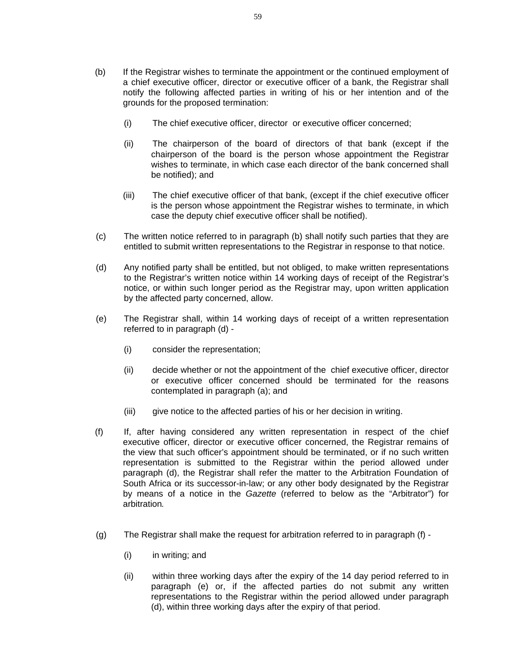- (b) If the Registrar wishes to terminate the appointment or the continued employment of a chief executive officer, director or executive officer of a bank, the Registrar shall notify the following affected parties in writing of his or her intention and of the grounds for the proposed termination:
	- (i) The chief executive officer, director or executive officer concerned;
	- (ii) The chairperson of the board of directors of that bank (except if the chairperson of the board is the person whose appointment the Registrar wishes to terminate, in which case each director of the bank concerned shall be notified); and
	- (iii) The chief executive officer of that bank, (except if the chief executive officer is the person whose appointment the Registrar wishes to terminate, in which case the deputy chief executive officer shall be notified).
- (c) The written notice referred to in paragraph (b) shall notify such parties that they are entitled to submit written representations to the Registrar in response to that notice.
- (d) Any notified party shall be entitled, but not obliged, to make written representations to the Registrar's written notice within 14 working days of receipt of the Registrar's notice, or within such longer period as the Registrar may, upon written application by the affected party concerned, allow.
- (e) The Registrar shall, within 14 working days of receipt of a written representation referred to in paragraph (d) -
	- (i) consider the representation;
	- (ii) decide whether or not the appointment of the chief executive officer, director or executive officer concerned should be terminated for the reasons contemplated in paragraph (a); and
	- (iii) give notice to the affected parties of his or her decision in writing.
- (f) If, after having considered any written representation in respect of the chief executive officer, director or executive officer concerned, the Registrar remains of the view that such officer's appointment should be terminated, or if no such written representation is submitted to the Registrar within the period allowed under paragraph (d), the Registrar shall refer the matter to the Arbitration Foundation of South Africa or its successor-in-law; or any other body designated by the Registrar by means of a notice in the *Gazette* (referred to below as the "Arbitrator") for arbitration*.*
- (g) The Registrar shall make the request for arbitration referred to in paragraph (f)
	- (i) in writing; and
	- (ii) within three working days after the expiry of the 14 day period referred to in paragraph (e) or, if the affected parties do not submit any written representations to the Registrar within the period allowed under paragraph (d), within three working days after the expiry of that period.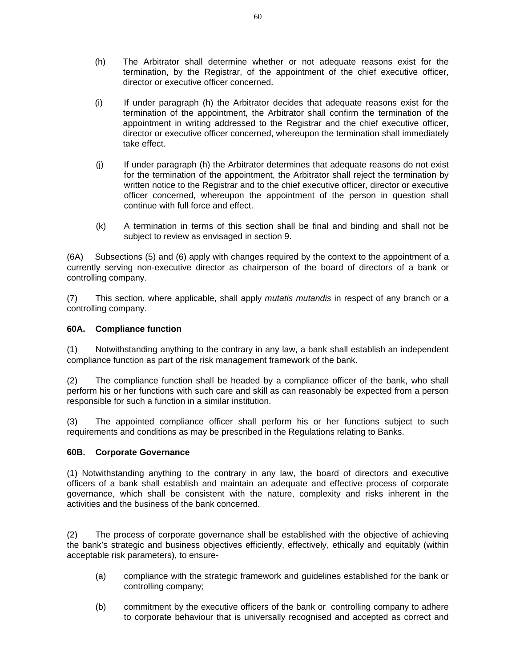- (h) The Arbitrator shall determine whether or not adequate reasons exist for the termination, by the Registrar, of the appointment of the chief executive officer, director or executive officer concerned.
- (i) If under paragraph (h) the Arbitrator decides that adequate reasons exist for the termination of the appointment, the Arbitrator shall confirm the termination of the appointment in writing addressed to the Registrar and the chief executive officer, director or executive officer concerned, whereupon the termination shall immediately take effect.
- (j) If under paragraph (h) the Arbitrator determines that adequate reasons do not exist for the termination of the appointment, the Arbitrator shall reject the termination by written notice to the Registrar and to the chief executive officer, director or executive officer concerned, whereupon the appointment of the person in question shall continue with full force and effect.
- (k) A termination in terms of this section shall be final and binding and shall not be subject to review as envisaged in section 9.

(6A) Subsections (5) and (6) apply with changes required by the context to the appointment of a currently serving non-executive director as chairperson of the board of directors of a bank or controlling company.

(7) This section, where applicable, shall apply *mutatis mutandis* in respect of any branch or a controlling company.

## **60A. Compliance function**

(1) Notwithstanding anything to the contrary in any law, a bank shall establish an independent compliance function as part of the risk management framework of the bank.

(2) The compliance function shall be headed by a compliance officer of the bank, who shall perform his or her functions with such care and skill as can reasonably be expected from a person responsible for such a function in a similar institution.

(3) The appointed compliance officer shall perform his or her functions subject to such requirements and conditions as may be prescribed in the Regulations relating to Banks.

## **60B. Corporate Governance**

(1) Notwithstanding anything to the contrary in any law, the board of directors and executive officers of a bank shall establish and maintain an adequate and effective process of corporate governance, which shall be consistent with the nature, complexity and risks inherent in the activities and the business of the bank concerned.

(2) The process of corporate governance shall be established with the objective of achieving the bank's strategic and business objectives efficiently, effectively, ethically and equitably (within acceptable risk parameters), to ensure-

- (a) compliance with the strategic framework and guidelines established for the bank or controlling company;
- (b) commitment by the executive officers of the bank or controlling company to adhere to corporate behaviour that is universally recognised and accepted as correct and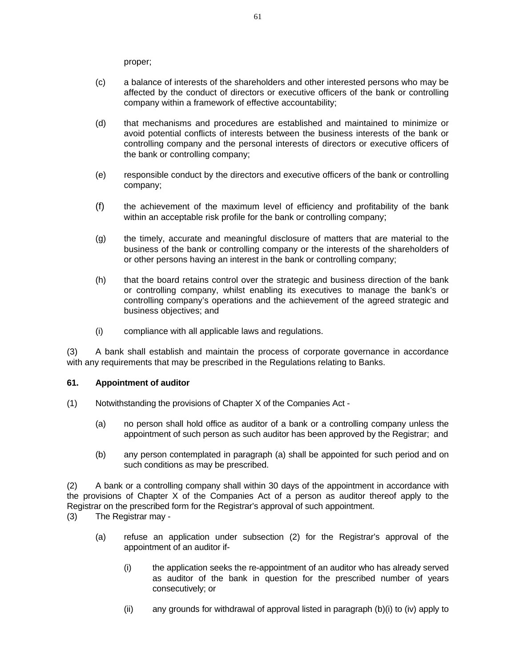proper;

- (c) a balance of interests of the shareholders and other interested persons who may be affected by the conduct of directors or executive officers of the bank or controlling company within a framework of effective accountability;
- (d) that mechanisms and procedures are established and maintained to minimize or avoid potential conflicts of interests between the business interests of the bank or controlling company and the personal interests of directors or executive officers of the bank or controlling company;
- (e) responsible conduct by the directors and executive officers of the bank or controlling company;
- (f) the achievement of the maximum level of efficiency and profitability of the bank within an acceptable risk profile for the bank or controlling company;
- (g) the timely, accurate and meaningful disclosure of matters that are material to the business of the bank or controlling company or the interests of the shareholders of or other persons having an interest in the bank or controlling company;
- (h) that the board retains control over the strategic and business direction of the bank or controlling company, whilst enabling its executives to manage the bank's or controlling company's operations and the achievement of the agreed strategic and business objectives; and
- (i) compliance with all applicable laws and regulations.

(3) A bank shall establish and maintain the process of corporate governance in accordance with any requirements that may be prescribed in the Regulations relating to Banks.

#### **61. Appointment of auditor**

- (1) Notwithstanding the provisions of Chapter X of the Companies Act
	- (a) no person shall hold office as auditor of a bank or a controlling company unless the appointment of such person as such auditor has been approved by the Registrar; and
	- (b) any person contemplated in paragraph (a) shall be appointed for such period and on such conditions as may be prescribed.

(2) A bank or a controlling company shall within 30 days of the appointment in accordance with the provisions of Chapter X of the Companies Act of a person as auditor thereof apply to the Registrar on the prescribed form for the Registrar's approval of such appointment.

(3) The Registrar may -

- (a) refuse an application under subsection (2) for the Registrar's approval of the appointment of an auditor if-
	- (i) the application seeks the re-appointment of an auditor who has already served as auditor of the bank in question for the prescribed number of years consecutively; or
	- (ii) any grounds for withdrawal of approval listed in paragraph (b)(i) to (iv) apply to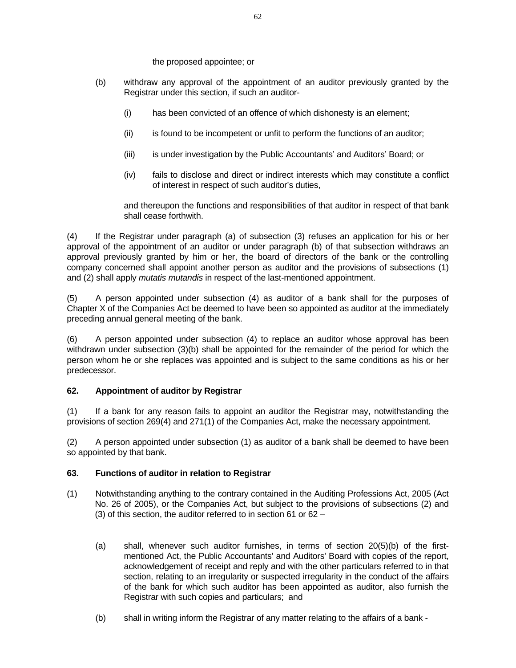the proposed appointee; or

- (b) withdraw any approval of the appointment of an auditor previously granted by the Registrar under this section, if such an auditor-
	- (i) has been convicted of an offence of which dishonesty is an element;
	- (ii) is found to be incompetent or unfit to perform the functions of an auditor;
	- (iii) is under investigation by the Public Accountants' and Auditors' Board; or
	- (iv) fails to disclose and direct or indirect interests which may constitute a conflict of interest in respect of such auditor's duties,

and thereupon the functions and responsibilities of that auditor in respect of that bank shall cease forthwith.

(4) If the Registrar under paragraph (a) of subsection (3) refuses an application for his or her approval of the appointment of an auditor or under paragraph (b) of that subsection withdraws an approval previously granted by him or her, the board of directors of the bank or the controlling company concerned shall appoint another person as auditor and the provisions of subsections (1) and (2) shall apply *mutatis mutandis* in respect of the last-mentioned appointment.

(5) A person appointed under subsection (4) as auditor of a bank shall for the purposes of Chapter X of the Companies Act be deemed to have been so appointed as auditor at the immediately preceding annual general meeting of the bank.

(6) A person appointed under subsection (4) to replace an auditor whose approval has been withdrawn under subsection (3)(b) shall be appointed for the remainder of the period for which the person whom he or she replaces was appointed and is subject to the same conditions as his or her predecessor.

## **62. Appointment of auditor by Registrar**

(1) If a bank for any reason fails to appoint an auditor the Registrar may, notwithstanding the provisions of section 269(4) and 271(1) of the Companies Act, make the necessary appointment.

(2) A person appointed under subsection (1) as auditor of a bank shall be deemed to have been so appointed by that bank.

## **63. Functions of auditor in relation to Registrar**

- (1) Notwithstanding anything to the contrary contained in the Auditing Professions Act, 2005 (Act No. 26 of 2005), or the Companies Act, but subject to the provisions of subsections (2) and (3) of this section, the auditor referred to in section 61 or 62 –
	- (a) shall, whenever such auditor furnishes, in terms of section 20(5)(b) of the firstmentioned Act, the Public Accountants' and Auditors' Board with copies of the report, acknowledgement of receipt and reply and with the other particulars referred to in that section, relating to an irregularity or suspected irregularity in the conduct of the affairs of the bank for which such auditor has been appointed as auditor, also furnish the Registrar with such copies and particulars; and
	- (b) shall in writing inform the Registrar of any matter relating to the affairs of a bank -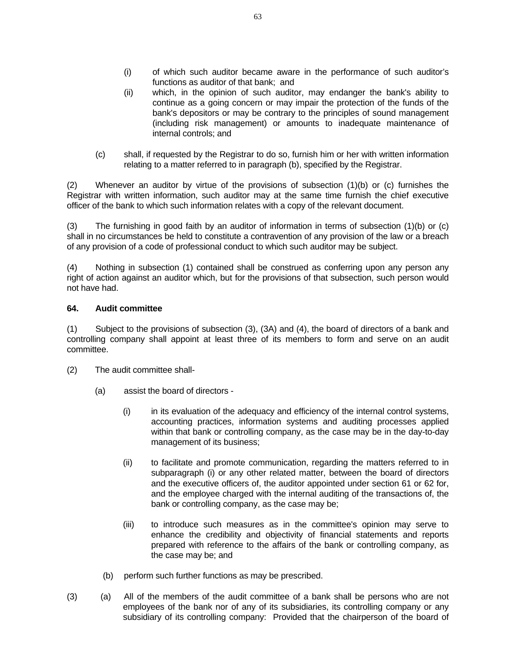- (i) of which such auditor became aware in the performance of such auditor's functions as auditor of that bank; and
- (ii) which, in the opinion of such auditor, may endanger the bank's ability to continue as a going concern or may impair the protection of the funds of the bank's depositors or may be contrary to the principles of sound management (including risk management) or amounts to inadequate maintenance of internal controls; and
- (c) shall, if requested by the Registrar to do so, furnish him or her with written information relating to a matter referred to in paragraph (b), specified by the Registrar.

(2) Whenever an auditor by virtue of the provisions of subsection (1)(b) or (c) furnishes the Registrar with written information, such auditor may at the same time furnish the chief executive officer of the bank to which such information relates with a copy of the relevant document.

(3) The furnishing in good faith by an auditor of information in terms of subsection (1)(b) or (c) shall in no circumstances be held to constitute a contravention of any provision of the law or a breach of any provision of a code of professional conduct to which such auditor may be subject.

(4) Nothing in subsection (1) contained shall be construed as conferring upon any person any right of action against an auditor which, but for the provisions of that subsection, such person would not have had.

## **64. Audit committee**

(1) Subject to the provisions of subsection (3), (3A) and (4), the board of directors of a bank and controlling company shall appoint at least three of its members to form and serve on an audit committee.

- (2) The audit committee shall-
	- (a) assist the board of directors
		- (i) in its evaluation of the adequacy and efficiency of the internal control systems, accounting practices, information systems and auditing processes applied within that bank or controlling company, as the case may be in the day-to-day management of its business;
		- (ii) to facilitate and promote communication, regarding the matters referred to in subparagraph (i) or any other related matter, between the board of directors and the executive officers of, the auditor appointed under section 61 or 62 for, and the employee charged with the internal auditing of the transactions of, the bank or controlling company, as the case may be;
		- (iii) to introduce such measures as in the committee's opinion may serve to enhance the credibility and objectivity of financial statements and reports prepared with reference to the affairs of the bank or controlling company, as the case may be; and
		- (b) perform such further functions as may be prescribed.
- (3) (a) All of the members of the audit committee of a bank shall be persons who are not employees of the bank nor of any of its subsidiaries, its controlling company or any subsidiary of its controlling company: Provided that the chairperson of the board of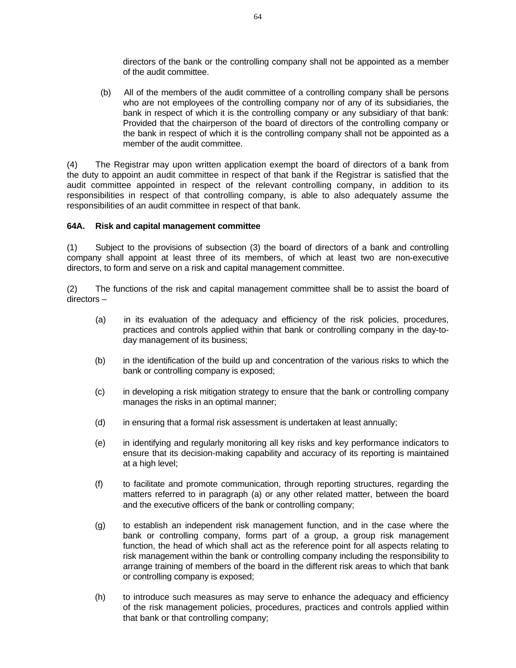directors of the bank or the controlling company shall not be appointed as a member of the audit committee.

 (b) All of the members of the audit committee of a controlling company shall be persons who are not employees of the controlling company nor of any of its subsidiaries, the bank in respect of which it is the controlling company or any subsidiary of that bank: Provided that the chairperson of the board of directors of the controlling company or the bank in respect of which it is the controlling company shall not be appointed as a member of the audit committee.

(4) The Registrar may upon written application exempt the board of directors of a bank from the duty to appoint an audit committee in respect of that bank if the Registrar is satisfied that the audit committee appointed in respect of the relevant controlling company, in addition to its responsibilities in respect of that controlling company, is able to also adequately assume the responsibilities of an audit committee in respect of that bank.

#### **64A. Risk and capital management committee**

(1) Subject to the provisions of subsection (3) the board of directors of a bank and controlling company shall appoint at least three of its members, of which at least two are non-executive directors, to form and serve on a risk and capital management committee.

(2) The functions of the risk and capital management committee shall be to assist the board of directors –

- (a) in its evaluation of the adequacy and efficiency of the risk policies, procedures, practices and controls applied within that bank or controlling company in the day-today management of its business;
- (b) in the identification of the build up and concentration of the various risks to which the bank or controlling company is exposed;
- (c) in developing a risk mitigation strategy to ensure that the bank or controlling company manages the risks in an optimal manner;
- (d) in ensuring that a formal risk assessment is undertaken at least annually;
- (e) in identifying and regularly monitoring all key risks and key performance indicators to ensure that its decision-making capability and accuracy of its reporting is maintained at a high level;
- (f) to facilitate and promote communication, through reporting structures, regarding the matters referred to in paragraph (a) or any other related matter, between the board and the executive officers of the bank or controlling company;
- (g) to establish an independent risk management function, and in the case where the bank or controlling company, forms part of a group, a group risk management function, the head of which shall act as the reference point for all aspects relating to risk management within the bank or controlling company including the responsibility to arrange training of members of the board in the different risk areas to which that bank or controlling company is exposed;
- (h) to introduce such measures as may serve to enhance the adequacy and efficiency of the risk management policies, procedures, practices and controls applied within that bank or that controlling company;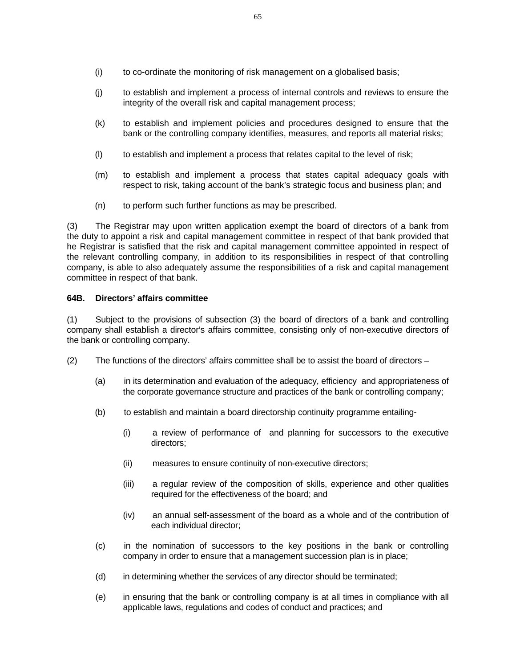- (i) to co-ordinate the monitoring of risk management on a globalised basis;
- (j) to establish and implement a process of internal controls and reviews to ensure the integrity of the overall risk and capital management process;
- (k) to establish and implement policies and procedures designed to ensure that the bank or the controlling company identifies, measures, and reports all material risks;
- (l) to establish and implement a process that relates capital to the level of risk;
- (m) to establish and implement a process that states capital adequacy goals with respect to risk, taking account of the bank's strategic focus and business plan; and
- (n) to perform such further functions as may be prescribed.

(3) The Registrar may upon written application exempt the board of directors of a bank from the duty to appoint a risk and capital management committee in respect of that bank provided that he Registrar is satisfied that the risk and capital management committee appointed in respect of the relevant controlling company, in addition to its responsibilities in respect of that controlling company, is able to also adequately assume the responsibilities of a risk and capital management committee in respect of that bank.

#### **64B. Directors' affairs committee**

(1) Subject to the provisions of subsection (3) the board of directors of a bank and controlling company shall establish a director's affairs committee, consisting only of non-executive directors of the bank or controlling company.

- (2) The functions of the directors' affairs committee shall be to assist the board of directors  $-$ 
	- (a) in its determination and evaluation of the adequacy, efficiency and appropriateness of the corporate governance structure and practices of the bank or controlling company;
	- (b) to establish and maintain a board directorship continuity programme entailing-
		- (i) a review of performance of and planning for successors to the executive directors;
		- (ii) measures to ensure continuity of non-executive directors;
		- (iii) a regular review of the composition of skills, experience and other qualities required for the effectiveness of the board; and
		- (iv) an annual self-assessment of the board as a whole and of the contribution of each individual director;
	- (c) in the nomination of successors to the key positions in the bank or controlling company in order to ensure that a management succession plan is in place;
	- (d) in determining whether the services of any director should be terminated;
	- (e) in ensuring that the bank or controlling company is at all times in compliance with all applicable laws, regulations and codes of conduct and practices; and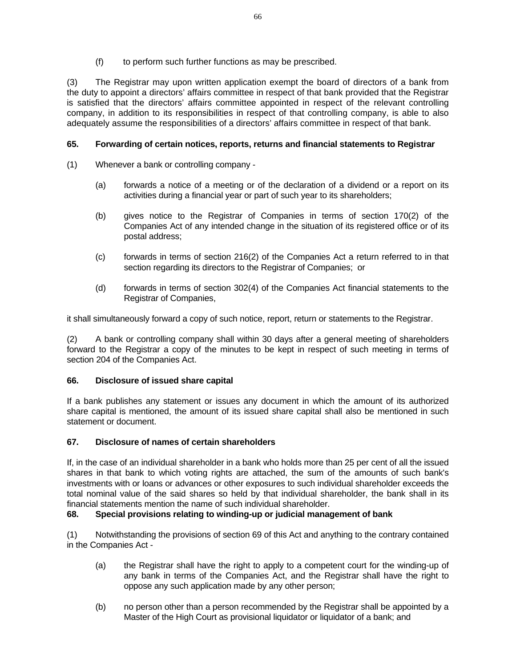(f) to perform such further functions as may be prescribed.

(3) The Registrar may upon written application exempt the board of directors of a bank from the duty to appoint a directors' affairs committee in respect of that bank provided that the Registrar is satisfied that the directors' affairs committee appointed in respect of the relevant controlling company, in addition to its responsibilities in respect of that controlling company, is able to also adequately assume the responsibilities of a directors' affairs committee in respect of that bank.

## **65. Forwarding of certain notices, reports, returns and financial statements to Registrar**

- (1) Whenever a bank or controlling company
	- (a) forwards a notice of a meeting or of the declaration of a dividend or a report on its activities during a financial year or part of such year to its shareholders;
	- (b) gives notice to the Registrar of Companies in terms of section 170(2) of the Companies Act of any intended change in the situation of its registered office or of its postal address;
	- (c) forwards in terms of section 216(2) of the Companies Act a return referred to in that section regarding its directors to the Registrar of Companies; or
	- (d) forwards in terms of section 302(4) of the Companies Act financial statements to the Registrar of Companies,

it shall simultaneously forward a copy of such notice, report, return or statements to the Registrar.

(2) A bank or controlling company shall within 30 days after a general meeting of shareholders forward to the Registrar a copy of the minutes to be kept in respect of such meeting in terms of section 204 of the Companies Act.

## **66. Disclosure of issued share capital**

If a bank publishes any statement or issues any document in which the amount of its authorized share capital is mentioned, the amount of its issued share capital shall also be mentioned in such statement or document.

## **67. Disclosure of names of certain shareholders**

If, in the case of an individual shareholder in a bank who holds more than 25 per cent of all the issued shares in that bank to which voting rights are attached, the sum of the amounts of such bank's investments with or loans or advances or other exposures to such individual shareholder exceeds the total nominal value of the said shares so held by that individual shareholder, the bank shall in its financial statements mention the name of such individual shareholder.

## **68. Special provisions relating to winding-up or judicial management of bank**

(1) Notwithstanding the provisions of section 69 of this Act and anything to the contrary contained in the Companies Act -

- (a) the Registrar shall have the right to apply to a competent court for the winding-up of any bank in terms of the Companies Act, and the Registrar shall have the right to oppose any such application made by any other person;
- (b) no person other than a person recommended by the Registrar shall be appointed by a Master of the High Court as provisional liquidator or liquidator of a bank; and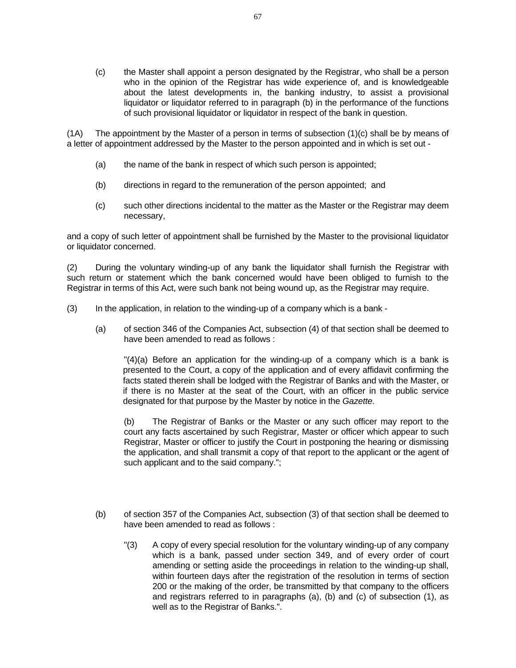(c) the Master shall appoint a person designated by the Registrar, who shall be a person who in the opinion of the Registrar has wide experience of, and is knowledgeable about the latest developments in, the banking industry, to assist a provisional liquidator or liquidator referred to in paragraph (b) in the performance of the functions of such provisional liquidator or liquidator in respect of the bank in question.

 $(1)$  The appointment by the Master of a person in terms of subsection  $(1)(c)$  shall be by means of a letter of appointment addressed by the Master to the person appointed and in which is set out -

- (a) the name of the bank in respect of which such person is appointed;
- (b) directions in regard to the remuneration of the person appointed; and
- (c) such other directions incidental to the matter as the Master or the Registrar may deem necessary,

and a copy of such letter of appointment shall be furnished by the Master to the provisional liquidator or liquidator concerned.

(2) During the voluntary winding-up of any bank the liquidator shall furnish the Registrar with such return or statement which the bank concerned would have been obliged to furnish to the Registrar in terms of this Act, were such bank not being wound up, as the Registrar may require.

- (3) In the application, in relation to the winding-up of a company which is a bank
	- (a) of section 346 of the Companies Act, subsection (4) of that section shall be deemed to have been amended to read as follows :

 "(4)(a) Before an application for the winding-up of a company which is a bank is presented to the Court, a copy of the application and of every affidavit confirming the facts stated therein shall be lodged with the Registrar of Banks and with the Master, or if there is no Master at the seat of the Court, with an officer in the public service designated for that purpose by the Master by notice in the *Gazette*.

 (b) The Registrar of Banks or the Master or any such officer may report to the court any facts ascertained by such Registrar, Master or officer which appear to such Registrar, Master or officer to justify the Court in postponing the hearing or dismissing the application, and shall transmit a copy of that report to the applicant or the agent of such applicant and to the said company.";

- (b) of section 357 of the Companies Act, subsection (3) of that section shall be deemed to have been amended to read as follows :
	- "(3) A copy of every special resolution for the voluntary winding-up of any company which is a bank, passed under section 349, and of every order of court amending or setting aside the proceedings in relation to the winding-up shall, within fourteen days after the registration of the resolution in terms of section 200 or the making of the order, be transmitted by that company to the officers and registrars referred to in paragraphs (a), (b) and (c) of subsection (1), as well as to the Registrar of Banks.".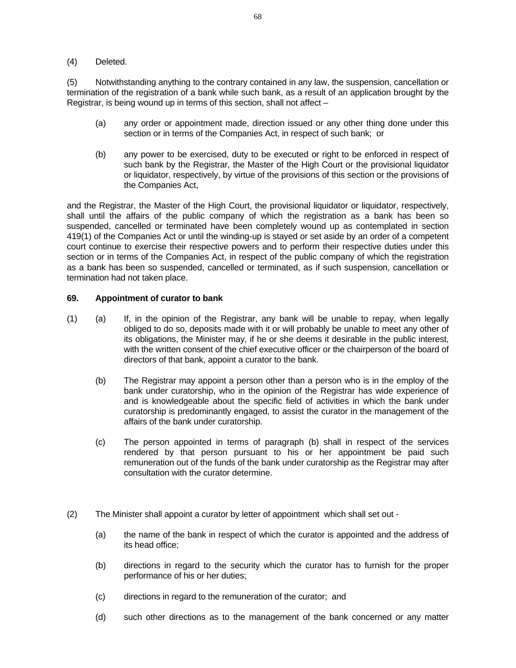#### (4) Deleted.

(5) Notwithstanding anything to the contrary contained in any law, the suspension, cancellation or termination of the registration of a bank while such bank, as a result of an application brought by the Registrar, is being wound up in terms of this section, shall not affect –

- (a) any order or appointment made, direction issued or any other thing done under this section or in terms of the Companies Act, in respect of such bank; or
- (b) any power to be exercised, duty to be executed or right to be enforced in respect of such bank by the Registrar, the Master of the High Court or the provisional liquidator or liquidator, respectively, by virtue of the provisions of this section or the provisions of the Companies Act,

and the Registrar, the Master of the High Court, the provisional liquidator or liquidator, respectively, shall until the affairs of the public company of which the registration as a bank has been so suspended, cancelled or terminated have been completely wound up as contemplated in section 419(1) of the Companies Act or until the winding-up is stayed or set aside by an order of a competent court continue to exercise their respective powers and to perform their respective duties under this section or in terms of the Companies Act, in respect of the public company of which the registration as a bank has been so suspended, cancelled or terminated, as if such suspension, cancellation or termination had not taken place.

#### **69. Appointment of curator to bank**

- (1) (a) If, in the opinion of the Registrar, any bank will be unable to repay, when legally obliged to do so, deposits made with it or will probably be unable to meet any other of its obligations, the Minister may, if he or she deems it desirable in the public interest, with the written consent of the chief executive officer or the chairperson of the board of directors of that bank, appoint a curator to the bank.
	- (b) The Registrar may appoint a person other than a person who is in the employ of the bank under curatorship, who in the opinion of the Registrar has wide experience of and is knowledgeable about the specific field of activities in which the bank under curatorship is predominantly engaged, to assist the curator in the management of the affairs of the bank under curatorship.
	- (c) The person appointed in terms of paragraph (b) shall in respect of the services rendered by that person pursuant to his or her appointment be paid such remuneration out of the funds of the bank under curatorship as the Registrar may after consultation with the curator determine.
- (2) The Minister shall appoint a curator by letter of appointment which shall set out
	- (a) the name of the bank in respect of which the curator is appointed and the address of its head office;
	- (b) directions in regard to the security which the curator has to furnish for the proper performance of his or her duties;
	- (c) directions in regard to the remuneration of the curator; and
	- (d) such other directions as to the management of the bank concerned or any matter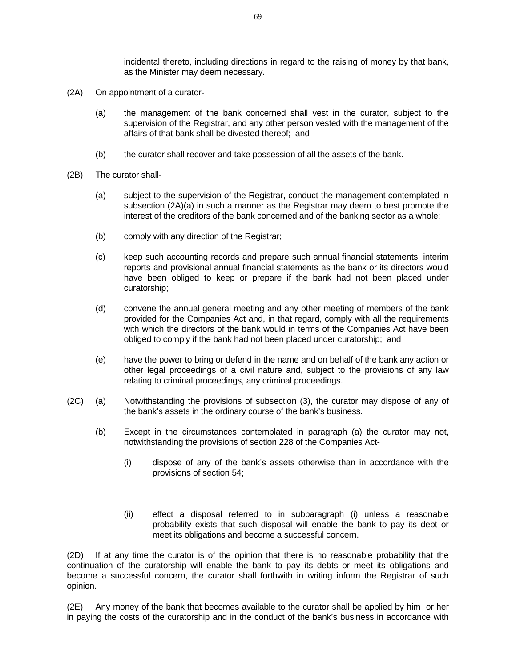incidental thereto, including directions in regard to the raising of money by that bank, as the Minister may deem necessary.

- (2A) On appointment of a curator-
	- (a) the management of the bank concerned shall vest in the curator, subject to the supervision of the Registrar, and any other person vested with the management of the affairs of that bank shall be divested thereof; and
	- (b) the curator shall recover and take possession of all the assets of the bank.
- (2B) The curator shall-
	- (a) subject to the supervision of the Registrar, conduct the management contemplated in subsection (2A)(a) in such a manner as the Registrar may deem to best promote the interest of the creditors of the bank concerned and of the banking sector as a whole;
	- (b) comply with any direction of the Registrar;
	- (c) keep such accounting records and prepare such annual financial statements, interim reports and provisional annual financial statements as the bank or its directors would have been obliged to keep or prepare if the bank had not been placed under curatorship;
	- (d) convene the annual general meeting and any other meeting of members of the bank provided for the Companies Act and, in that regard, comply with all the requirements with which the directors of the bank would in terms of the Companies Act have been obliged to comply if the bank had not been placed under curatorship; and
	- (e) have the power to bring or defend in the name and on behalf of the bank any action or other legal proceedings of a civil nature and, subject to the provisions of any law relating to criminal proceedings, any criminal proceedings.
- (2C) (a) Notwithstanding the provisions of subsection (3), the curator may dispose of any of the bank's assets in the ordinary course of the bank's business.
	- (b) Except in the circumstances contemplated in paragraph (a) the curator may not, notwithstanding the provisions of section 228 of the Companies Act-
		- (i) dispose of any of the bank's assets otherwise than in accordance with the provisions of section 54;
		- (ii) effect a disposal referred to in subparagraph (i) unless a reasonable probability exists that such disposal will enable the bank to pay its debt or meet its obligations and become a successful concern.

(2D) If at any time the curator is of the opinion that there is no reasonable probability that the continuation of the curatorship will enable the bank to pay its debts or meet its obligations and become a successful concern, the curator shall forthwith in writing inform the Registrar of such opinion.

(2E) Any money of the bank that becomes available to the curator shall be applied by him or her in paying the costs of the curatorship and in the conduct of the bank's business in accordance with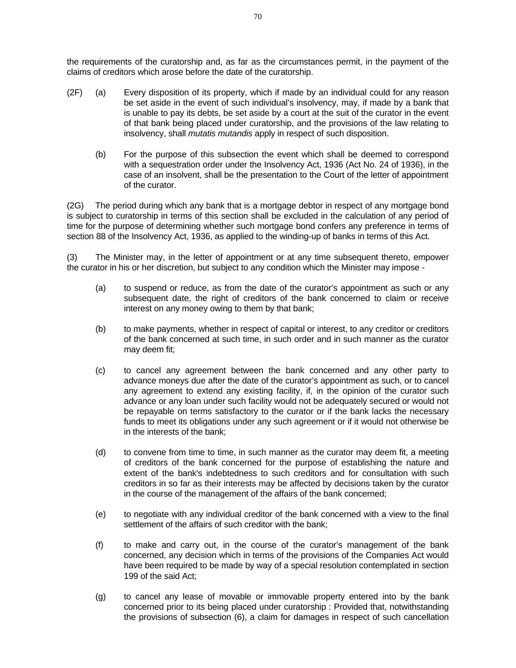the requirements of the curatorship and, as far as the circumstances permit, in the payment of the claims of creditors which arose before the date of the curatorship.

- (2F) (a) Every disposition of its property, which if made by an individual could for any reason be set aside in the event of such individual's insolvency, may, if made by a bank that is unable to pay its debts, be set aside by a court at the suit of the curator in the event of that bank being placed under curatorship, and the provisions of the law relating to insolvency, shall *mutatis mutandis* apply in respect of such disposition.
	- (b) For the purpose of this subsection the event which shall be deemed to correspond with a sequestration order under the Insolvency Act, 1936 (Act No. 24 of 1936), in the case of an insolvent, shall be the presentation to the Court of the letter of appointment of the curator.

(2G) The period during which any bank that is a mortgage debtor in respect of any mortgage bond is subject to curatorship in terms of this section shall be excluded in the calculation of any period of time for the purpose of determining whether such mortgage bond confers any preference in terms of section 88 of the Insolvency Act, 1936, as applied to the winding-up of banks in terms of this Act.

(3) The Minister may, in the letter of appointment or at any time subsequent thereto, empower the curator in his or her discretion, but subject to any condition which the Minister may impose -

- (a) to suspend or reduce, as from the date of the curator's appointment as such or any subsequent date, the right of creditors of the bank concerned to claim or receive interest on any money owing to them by that bank;
- (b) to make payments, whether in respect of capital or interest, to any creditor or creditors of the bank concerned at such time, in such order and in such manner as the curator may deem fit;
- (c) to cancel any agreement between the bank concerned and any other party to advance moneys due after the date of the curator's appointment as such, or to cancel any agreement to extend any existing facility, if, in the opinion of the curator such advance or any loan under such facility would not be adequately secured or would not be repayable on terms satisfactory to the curator or if the bank lacks the necessary funds to meet its obligations under any such agreement or if it would not otherwise be in the interests of the bank;
- (d) to convene from time to time, in such manner as the curator may deem fit, a meeting of creditors of the bank concerned for the purpose of establishing the nature and extent of the bank's indebtedness to such creditors and for consultation with such creditors in so far as their interests may be affected by decisions taken by the curator in the course of the management of the affairs of the bank concerned;
- (e) to negotiate with any individual creditor of the bank concerned with a view to the final settlement of the affairs of such creditor with the bank;
- (f) to make and carry out, in the course of the curator's management of the bank concerned, any decision which in terms of the provisions of the Companies Act would have been required to be made by way of a special resolution contemplated in section 199 of the said Act;
- (g) to cancel any lease of movable or immovable property entered into by the bank concerned prior to its being placed under curatorship : Provided that, notwithstanding the provisions of subsection (6), a claim for damages in respect of such cancellation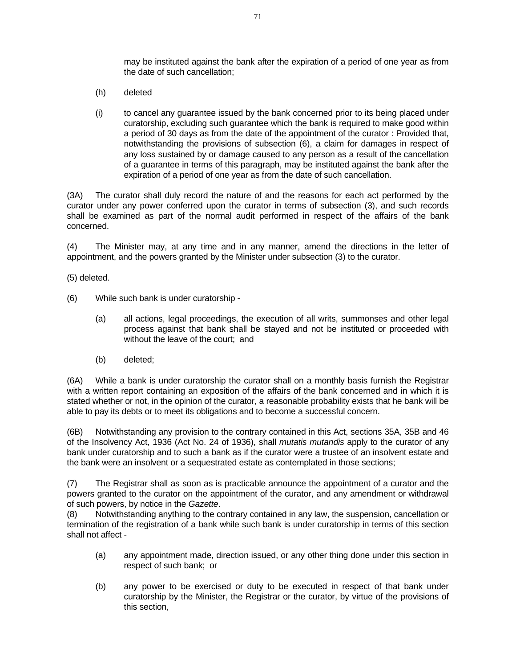may be instituted against the bank after the expiration of a period of one year as from the date of such cancellation;

- (h) deleted
- (i) to cancel any guarantee issued by the bank concerned prior to its being placed under curatorship, excluding such guarantee which the bank is required to make good within a period of 30 days as from the date of the appointment of the curator : Provided that, notwithstanding the provisions of subsection (6), a claim for damages in respect of any loss sustained by or damage caused to any person as a result of the cancellation of a guarantee in terms of this paragraph, may be instituted against the bank after the expiration of a period of one year as from the date of such cancellation.

(3A) The curator shall duly record the nature of and the reasons for each act performed by the curator under any power conferred upon the curator in terms of subsection (3), and such records shall be examined as part of the normal audit performed in respect of the affairs of the bank concerned.

(4) The Minister may, at any time and in any manner, amend the directions in the letter of appointment, and the powers granted by the Minister under subsection (3) to the curator.

(5) deleted.

- (6) While such bank is under curatorship
	- (a) all actions, legal proceedings, the execution of all writs, summonses and other legal process against that bank shall be stayed and not be instituted or proceeded with without the leave of the court; and
	- (b) deleted;

(6A) While a bank is under curatorship the curator shall on a monthly basis furnish the Registrar with a written report containing an exposition of the affairs of the bank concerned and in which it is stated whether or not, in the opinion of the curator, a reasonable probability exists that he bank will be able to pay its debts or to meet its obligations and to become a successful concern.

(6B) Notwithstanding any provision to the contrary contained in this Act, sections 35A, 35B and 46 of the Insolvency Act, 1936 (Act No. 24 of 1936), shall *mutatis mutandis* apply to the curator of any bank under curatorship and to such a bank as if the curator were a trustee of an insolvent estate and the bank were an insolvent or a sequestrated estate as contemplated in those sections;

(7) The Registrar shall as soon as is practicable announce the appointment of a curator and the powers granted to the curator on the appointment of the curator, and any amendment or withdrawal of such powers, by notice in the *Gazette*.

(8) Notwithstanding anything to the contrary contained in any law, the suspension, cancellation or termination of the registration of a bank while such bank is under curatorship in terms of this section shall not affect -

- (a) any appointment made, direction issued, or any other thing done under this section in respect of such bank; or
- (b) any power to be exercised or duty to be executed in respect of that bank under curatorship by the Minister, the Registrar or the curator, by virtue of the provisions of this section,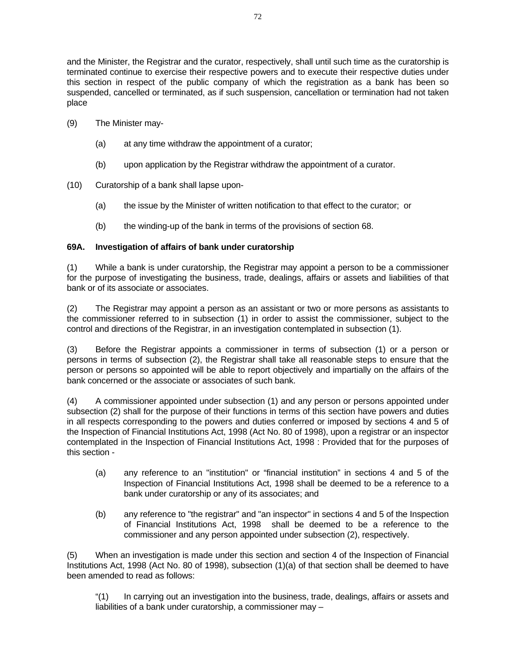and the Minister, the Registrar and the curator, respectively, shall until such time as the curatorship is terminated continue to exercise their respective powers and to execute their respective duties under this section in respect of the public company of which the registration as a bank has been so suspended, cancelled or terminated, as if such suspension, cancellation or termination had not taken place

- (9) The Minister may-
	- (a) at any time withdraw the appointment of a curator;
	- (b) upon application by the Registrar withdraw the appointment of a curator.
- (10) Curatorship of a bank shall lapse upon-
	- (a) the issue by the Minister of written notification to that effect to the curator; or
	- (b) the winding-up of the bank in terms of the provisions of section 68.

## **69A. Investigation of affairs of bank under curatorship**

(1) While a bank is under curatorship, the Registrar may appoint a person to be a commissioner for the purpose of investigating the business, trade, dealings, affairs or assets and liabilities of that bank or of its associate or associates.

(2) The Registrar may appoint a person as an assistant or two or more persons as assistants to the commissioner referred to in subsection (1) in order to assist the commissioner, subject to the control and directions of the Registrar, in an investigation contemplated in subsection (1).

(3) Before the Registrar appoints a commissioner in terms of subsection (1) or a person or persons in terms of subsection (2), the Registrar shall take all reasonable steps to ensure that the person or persons so appointed will be able to report objectively and impartially on the affairs of the bank concerned or the associate or associates of such bank.

(4) A commissioner appointed under subsection (1) and any person or persons appointed under subsection (2) shall for the purpose of their functions in terms of this section have powers and duties in all respects corresponding to the powers and duties conferred or imposed by sections 4 and 5 of the Inspection of Financial Institutions Act, 1998 (Act No. 80 of 1998), upon a registrar or an inspector contemplated in the Inspection of Financial Institutions Act, 1998 : Provided that for the purposes of this section -

- (a) any reference to an "institution" or "financial institution" in sections 4 and 5 of the Inspection of Financial Institutions Act, 1998 shall be deemed to be a reference to a bank under curatorship or any of its associates; and
- (b) any reference to "the registrar" and "an inspector" in sections 4 and 5 of the Inspection of Financial Institutions Act, 1998 shall be deemed to be a reference to the commissioner and any person appointed under subsection (2), respectively.

(5) When an investigation is made under this section and section 4 of the Inspection of Financial Institutions Act, 1998 (Act No. 80 of 1998), subsection (1)(a) of that section shall be deemed to have been amended to read as follows:

 "(1) In carrying out an investigation into the business, trade, dealings, affairs or assets and liabilities of a bank under curatorship, a commissioner may –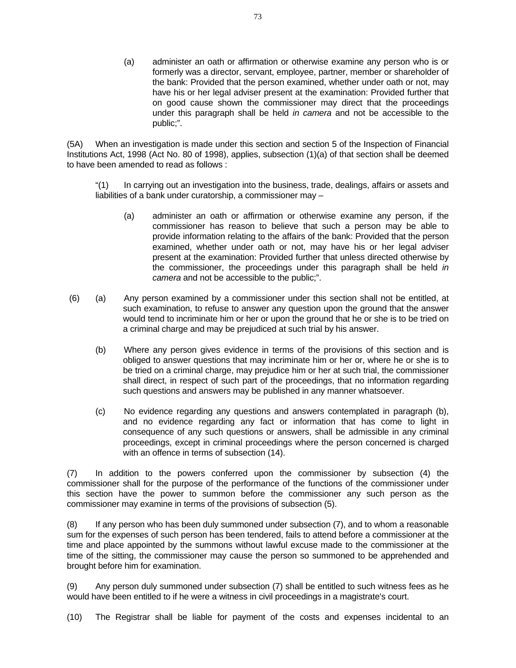(a) administer an oath or affirmation or otherwise examine any person who is or formerly was a director, servant, employee, partner, member or shareholder of the bank: Provided that the person examined, whether under oath or not, may have his or her legal adviser present at the examination: Provided further that on good cause shown the commissioner may direct that the proceedings under this paragraph shall be held *in camera* and not be accessible to the public;".

(5A) When an investigation is made under this section and section 5 of the Inspection of Financial Institutions Act, 1998 (Act No. 80 of 1998), applies, subsection (1)(a) of that section shall be deemed to have been amended to read as follows :

 "(1) In carrying out an investigation into the business, trade, dealings, affairs or assets and liabilities of a bank under curatorship, a commissioner may –

- (a) administer an oath or affirmation or otherwise examine any person, if the commissioner has reason to believe that such a person may be able to provide information relating to the affairs of the bank: Provided that the person examined, whether under oath or not, may have his or her legal adviser present at the examination: Provided further that unless directed otherwise by the commissioner, the proceedings under this paragraph shall be held *in camera* and not be accessible to the public;".
- (6) (a) Any person examined by a commissioner under this section shall not be entitled, at such examination, to refuse to answer any question upon the ground that the answer would tend to incriminate him or her or upon the ground that he or she is to be tried on a criminal charge and may be prejudiced at such trial by his answer.
	- (b) Where any person gives evidence in terms of the provisions of this section and is obliged to answer questions that may incriminate him or her or, where he or she is to be tried on a criminal charge, may prejudice him or her at such trial, the commissioner shall direct, in respect of such part of the proceedings, that no information regarding such questions and answers may be published in any manner whatsoever.
	- (c) No evidence regarding any questions and answers contemplated in paragraph (b), and no evidence regarding any fact or information that has come to light in consequence of any such questions or answers, shall be admissible in any criminal proceedings, except in criminal proceedings where the person concerned is charged with an offence in terms of subsection (14).

(7) In addition to the powers conferred upon the commissioner by subsection (4) the commissioner shall for the purpose of the performance of the functions of the commissioner under this section have the power to summon before the commissioner any such person as the commissioner may examine in terms of the provisions of subsection (5).

(8) If any person who has been duly summoned under subsection (7), and to whom a reasonable sum for the expenses of such person has been tendered, fails to attend before a commissioner at the time and place appointed by the summons without lawful excuse made to the commissioner at the time of the sitting, the commissioner may cause the person so summoned to be apprehended and brought before him for examination.

(9) Any person duly summoned under subsection (7) shall be entitled to such witness fees as he would have been entitled to if he were a witness in civil proceedings in a magistrate's court.

(10) The Registrar shall be liable for payment of the costs and expenses incidental to an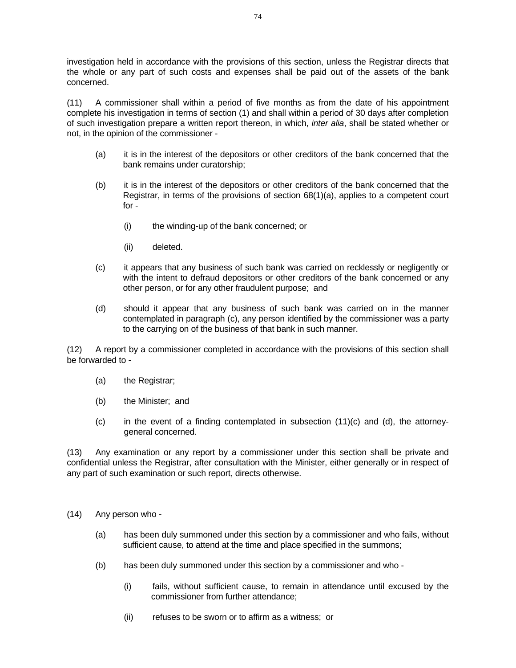investigation held in accordance with the provisions of this section, unless the Registrar directs that the whole or any part of such costs and expenses shall be paid out of the assets of the bank concerned.

(11) A commissioner shall within a period of five months as from the date of his appointment complete his investigation in terms of section (1) and shall within a period of 30 days after completion of such investigation prepare a written report thereon, in which, *inter alia*, shall be stated whether or not, in the opinion of the commissioner -

- (a) it is in the interest of the depositors or other creditors of the bank concerned that the bank remains under curatorship;
- (b) it is in the interest of the depositors or other creditors of the bank concerned that the Registrar, in terms of the provisions of section 68(1)(a), applies to a competent court for -
	- (i) the winding-up of the bank concerned; or
	- (ii) deleted.
- (c) it appears that any business of such bank was carried on recklessly or negligently or with the intent to defraud depositors or other creditors of the bank concerned or any other person, or for any other fraudulent purpose; and
- (d) should it appear that any business of such bank was carried on in the manner contemplated in paragraph (c), any person identified by the commissioner was a party to the carrying on of the business of that bank in such manner.

(12) A report by a commissioner completed in accordance with the provisions of this section shall be forwarded to -

- (a) the Registrar;
- (b) the Minister; and
- (c) in the event of a finding contemplated in subsection (11)(c) and (d), the attorneygeneral concerned.

(13) Any examination or any report by a commissioner under this section shall be private and confidential unless the Registrar, after consultation with the Minister, either generally or in respect of any part of such examination or such report, directs otherwise.

- (14) Any person who
	- (a) has been duly summoned under this section by a commissioner and who fails, without sufficient cause, to attend at the time and place specified in the summons;
	- (b) has been duly summoned under this section by a commissioner and who
		- (i) fails, without sufficient cause, to remain in attendance until excused by the commissioner from further attendance;
		- (ii) refuses to be sworn or to affirm as a witness; or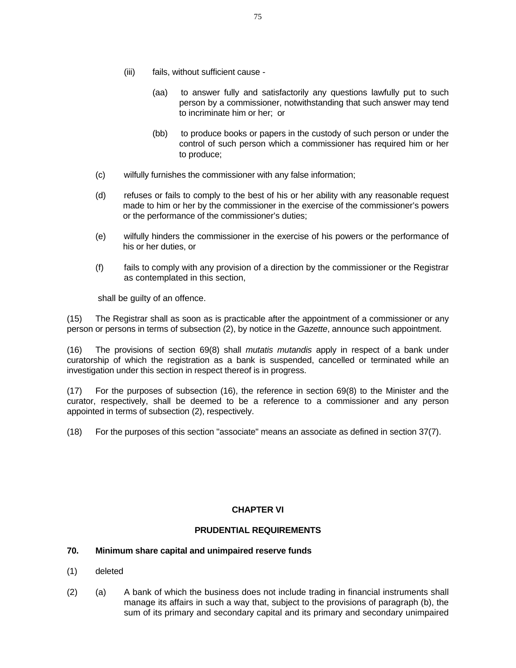- (iii) fails, without sufficient cause
	- (aa) to answer fully and satisfactorily any questions lawfully put to such person by a commissioner, notwithstanding that such answer may tend to incriminate him or her; or
	- (bb) to produce books or papers in the custody of such person or under the control of such person which a commissioner has required him or her to produce;
- (c) wilfully furnishes the commissioner with any false information;
- (d) refuses or fails to comply to the best of his or her ability with any reasonable request made to him or her by the commissioner in the exercise of the commissioner's powers or the performance of the commissioner's duties;
- (e) wilfully hinders the commissioner in the exercise of his powers or the performance of his or her duties, or
- (f) fails to comply with any provision of a direction by the commissioner or the Registrar as contemplated in this section,

shall be guilty of an offence.

(15) The Registrar shall as soon as is practicable after the appointment of a commissioner or any person or persons in terms of subsection (2), by notice in the *Gazette*, announce such appointment.

(16) The provisions of section 69(8) shall *mutatis mutandis* apply in respect of a bank under curatorship of which the registration as a bank is suspended, cancelled or terminated while an investigation under this section in respect thereof is in progress.

(17) For the purposes of subsection (16), the reference in section 69(8) to the Minister and the curator, respectively, shall be deemed to be a reference to a commissioner and any person appointed in terms of subsection (2), respectively.

(18) For the purposes of this section "associate" means an associate as defined in section 37(7).

# **CHAPTER VI**

# **PRUDENTIAL REQUIREMENTS**

# **70. Minimum share capital and unimpaired reserve funds**

- (1) deleted
- (2) (a) A bank of which the business does not include trading in financial instruments shall manage its affairs in such a way that, subject to the provisions of paragraph (b), the sum of its primary and secondary capital and its primary and secondary unimpaired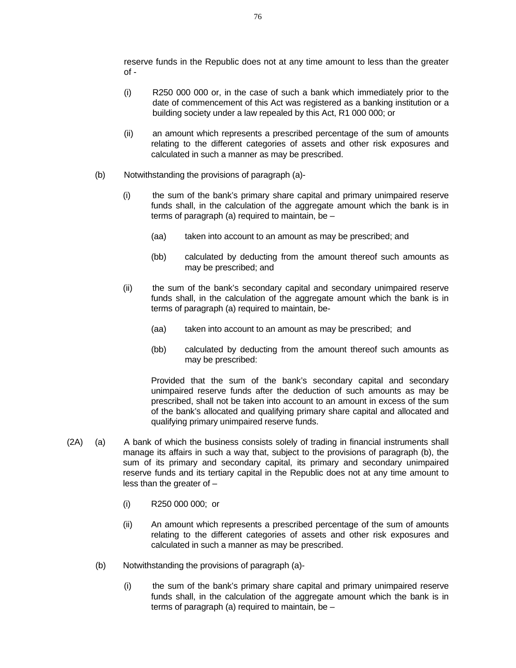reserve funds in the Republic does not at any time amount to less than the greater of -

- (i) R250 000 000 or, in the case of such a bank which immediately prior to the date of commencement of this Act was registered as a banking institution or a building society under a law repealed by this Act, R1 000 000; or
- (ii) an amount which represents a prescribed percentage of the sum of amounts relating to the different categories of assets and other risk exposures and calculated in such a manner as may be prescribed.
- (b) Notwithstanding the provisions of paragraph (a)-
	- (i) the sum of the bank's primary share capital and primary unimpaired reserve funds shall, in the calculation of the aggregate amount which the bank is in terms of paragraph (a) required to maintain, be –
		- (aa) taken into account to an amount as may be prescribed; and
		- (bb) calculated by deducting from the amount thereof such amounts as may be prescribed; and
	- (ii) the sum of the bank's secondary capital and secondary unimpaired reserve funds shall, in the calculation of the aggregate amount which the bank is in terms of paragraph (a) required to maintain, be-
		- (aa) taken into account to an amount as may be prescribed; and
		- (bb) calculated by deducting from the amount thereof such amounts as may be prescribed:

Provided that the sum of the bank's secondary capital and secondary unimpaired reserve funds after the deduction of such amounts as may be prescribed, shall not be taken into account to an amount in excess of the sum of the bank's allocated and qualifying primary share capital and allocated and qualifying primary unimpaired reserve funds.

- (2A) (a) A bank of which the business consists solely of trading in financial instruments shall manage its affairs in such a way that, subject to the provisions of paragraph (b), the sum of its primary and secondary capital, its primary and secondary unimpaired reserve funds and its tertiary capital in the Republic does not at any time amount to less than the greater of –
	- (i) R250 000 000; or
	- (ii) An amount which represents a prescribed percentage of the sum of amounts relating to the different categories of assets and other risk exposures and calculated in such a manner as may be prescribed.
	- (b) Notwithstanding the provisions of paragraph (a)-
		- (i) the sum of the bank's primary share capital and primary unimpaired reserve funds shall, in the calculation of the aggregate amount which the bank is in terms of paragraph (a) required to maintain, be –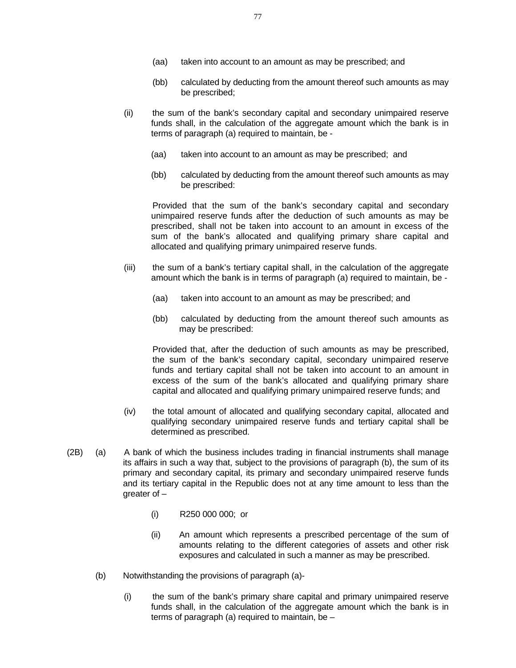- (aa) taken into account to an amount as may be prescribed; and
- (bb) calculated by deducting from the amount thereof such amounts as may be prescribed;
- (ii) the sum of the bank's secondary capital and secondary unimpaired reserve funds shall, in the calculation of the aggregate amount which the bank is in terms of paragraph (a) required to maintain, be -
	- (aa) taken into account to an amount as may be prescribed; and
	- (bb) calculated by deducting from the amount thereof such amounts as may be prescribed:

 Provided that the sum of the bank's secondary capital and secondary unimpaired reserve funds after the deduction of such amounts as may be prescribed, shall not be taken into account to an amount in excess of the sum of the bank's allocated and qualifying primary share capital and allocated and qualifying primary unimpaired reserve funds.

- (iii) the sum of a bank's tertiary capital shall, in the calculation of the aggregate amount which the bank is in terms of paragraph (a) required to maintain, be -
	- (aa) taken into account to an amount as may be prescribed; and
	- (bb) calculated by deducting from the amount thereof such amounts as may be prescribed:

 Provided that, after the deduction of such amounts as may be prescribed, the sum of the bank's secondary capital, secondary unimpaired reserve funds and tertiary capital shall not be taken into account to an amount in excess of the sum of the bank's allocated and qualifying primary share capital and allocated and qualifying primary unimpaired reserve funds; and

- (iv) the total amount of allocated and qualifying secondary capital, allocated and qualifying secondary unimpaired reserve funds and tertiary capital shall be determined as prescribed.
- (2B) (a) A bank of which the business includes trading in financial instruments shall manage its affairs in such a way that, subject to the provisions of paragraph (b), the sum of its primary and secondary capital, its primary and secondary unimpaired reserve funds and its tertiary capital in the Republic does not at any time amount to less than the greater of –
	- (i) R250 000 000; or
	- (ii) An amount which represents a prescribed percentage of the sum of amounts relating to the different categories of assets and other risk exposures and calculated in such a manner as may be prescribed.
	- (b) Notwithstanding the provisions of paragraph (a)-
		- (i) the sum of the bank's primary share capital and primary unimpaired reserve funds shall, in the calculation of the aggregate amount which the bank is in terms of paragraph (a) required to maintain, be –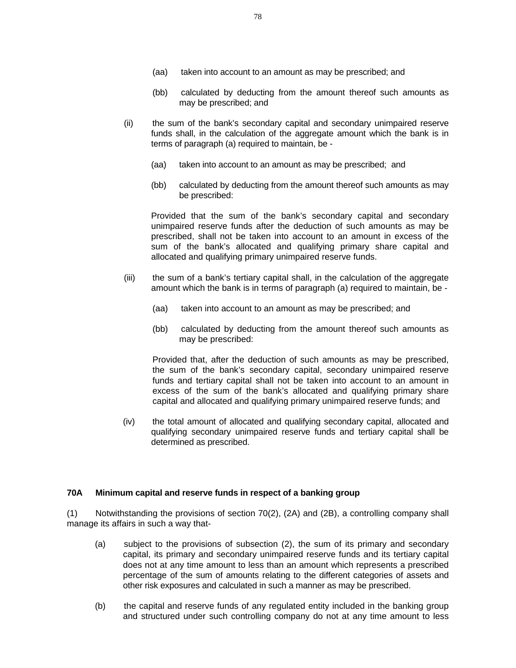- (aa) taken into account to an amount as may be prescribed; and
- (bb) calculated by deducting from the amount thereof such amounts as may be prescribed; and
- (ii) the sum of the bank's secondary capital and secondary unimpaired reserve funds shall, in the calculation of the aggregate amount which the bank is in terms of paragraph (a) required to maintain, be -
	- (aa) taken into account to an amount as may be prescribed; and
	- (bb) calculated by deducting from the amount thereof such amounts as may be prescribed:

Provided that the sum of the bank's secondary capital and secondary unimpaired reserve funds after the deduction of such amounts as may be prescribed, shall not be taken into account to an amount in excess of the sum of the bank's allocated and qualifying primary share capital and allocated and qualifying primary unimpaired reserve funds.

- (iii) the sum of a bank's tertiary capital shall, in the calculation of the aggregate amount which the bank is in terms of paragraph (a) required to maintain, be -
	- (aa) taken into account to an amount as may be prescribed; and
	- (bb) calculated by deducting from the amount thereof such amounts as may be prescribed:

 Provided that, after the deduction of such amounts as may be prescribed, the sum of the bank's secondary capital, secondary unimpaired reserve funds and tertiary capital shall not be taken into account to an amount in excess of the sum of the bank's allocated and qualifying primary share capital and allocated and qualifying primary unimpaired reserve funds; and

(iv) the total amount of allocated and qualifying secondary capital, allocated and qualifying secondary unimpaired reserve funds and tertiary capital shall be determined as prescribed.

### **70A Minimum capital and reserve funds in respect of a banking group**

(1) Notwithstanding the provisions of section 70(2), (2A) and (2B), a controlling company shall manage its affairs in such a way that-

- (a) subject to the provisions of subsection (2), the sum of its primary and secondary capital, its primary and secondary unimpaired reserve funds and its tertiary capital does not at any time amount to less than an amount which represents a prescribed percentage of the sum of amounts relating to the different categories of assets and other risk exposures and calculated in such a manner as may be prescribed.
- (b) the capital and reserve funds of any regulated entity included in the banking group and structured under such controlling company do not at any time amount to less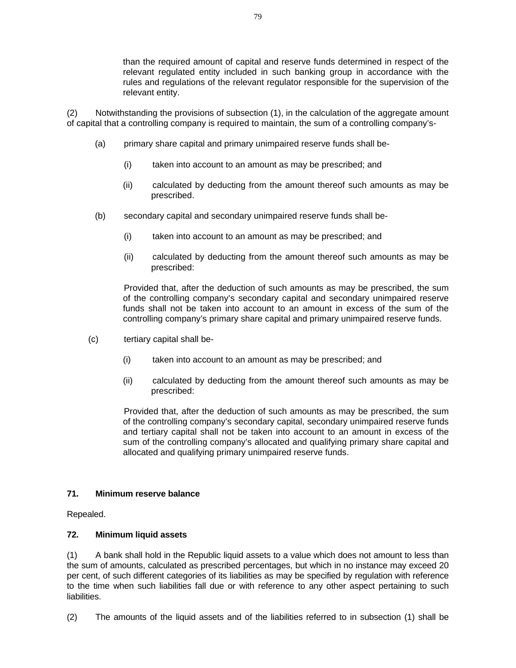than the required amount of capital and reserve funds determined in respect of the relevant regulated entity included in such banking group in accordance with the rules and regulations of the relevant regulator responsible for the supervision of the relevant entity.

(2) Notwithstanding the provisions of subsection (1), in the calculation of the aggregate amount of capital that a controlling company is required to maintain, the sum of a controlling company's-

- (a) primary share capital and primary unimpaired reserve funds shall be-
	- (i) taken into account to an amount as may be prescribed; and
	- (ii) calculated by deducting from the amount thereof such amounts as may be prescribed.
- (b) secondary capital and secondary unimpaired reserve funds shall be-
	- (i) taken into account to an amount as may be prescribed; and
	- (ii) calculated by deducting from the amount thereof such amounts as may be prescribed:

Provided that, after the deduction of such amounts as may be prescribed, the sum of the controlling company's secondary capital and secondary unimpaired reserve funds shall not be taken into account to an amount in excess of the sum of the controlling company's primary share capital and primary unimpaired reserve funds.

- (c) tertiary capital shall be-
	- (i) taken into account to an amount as may be prescribed; and
	- (ii) calculated by deducting from the amount thereof such amounts as may be prescribed:

 Provided that, after the deduction of such amounts as may be prescribed, the sum of the controlling company's secondary capital, secondary unimpaired reserve funds and tertiary capital shall not be taken into account to an amount in excess of the sum of the controlling company's allocated and qualifying primary share capital and allocated and qualifying primary unimpaired reserve funds.

### **71. Minimum reserve balance**

Repealed.

### **72. Minimum liquid assets**

(1) A bank shall hold in the Republic liquid assets to a value which does not amount to less than the sum of amounts, calculated as prescribed percentages, but which in no instance may exceed 20 per cent, of such different categories of its liabilities as may be specified by regulation with reference to the time when such liabilities fall due or with reference to any other aspect pertaining to such liabilities.

(2) The amounts of the liquid assets and of the liabilities referred to in subsection (1) shall be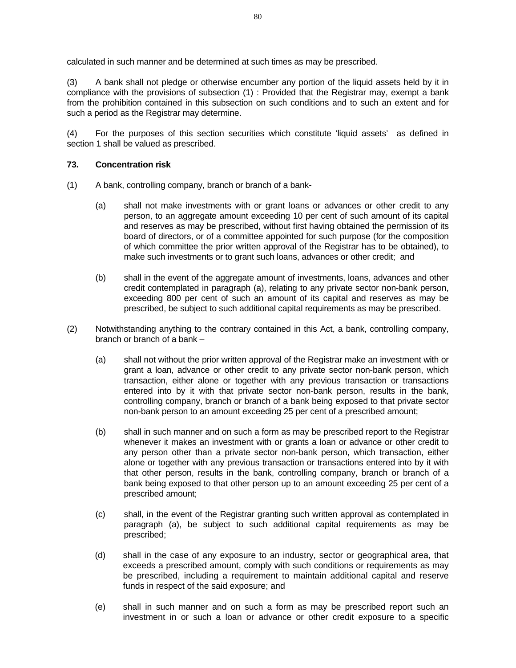calculated in such manner and be determined at such times as may be prescribed.

(3) A bank shall not pledge or otherwise encumber any portion of the liquid assets held by it in compliance with the provisions of subsection (1) : Provided that the Registrar may, exempt a bank from the prohibition contained in this subsection on such conditions and to such an extent and for such a period as the Registrar may determine.

(4) For the purposes of this section securities which constitute 'liquid assets' as defined in section 1 shall be valued as prescribed.

## **73. Concentration risk**

- (1) A bank, controlling company, branch or branch of a bank-
	- (a) shall not make investments with or grant loans or advances or other credit to any person, to an aggregate amount exceeding 10 per cent of such amount of its capital and reserves as may be prescribed, without first having obtained the permission of its board of directors, or of a committee appointed for such purpose (for the composition of which committee the prior written approval of the Registrar has to be obtained), to make such investments or to grant such loans, advances or other credit; and
	- (b) shall in the event of the aggregate amount of investments, loans, advances and other credit contemplated in paragraph (a), relating to any private sector non-bank person, exceeding 800 per cent of such an amount of its capital and reserves as may be prescribed, be subject to such additional capital requirements as may be prescribed.
- (2) Notwithstanding anything to the contrary contained in this Act, a bank, controlling company, branch or branch of a bank –
	- (a) shall not without the prior written approval of the Registrar make an investment with or grant a loan, advance or other credit to any private sector non-bank person, which transaction, either alone or together with any previous transaction or transactions entered into by it with that private sector non-bank person, results in the bank, controlling company, branch or branch of a bank being exposed to that private sector non-bank person to an amount exceeding 25 per cent of a prescribed amount;
	- (b) shall in such manner and on such a form as may be prescribed report to the Registrar whenever it makes an investment with or grants a loan or advance or other credit to any person other than a private sector non-bank person, which transaction, either alone or together with any previous transaction or transactions entered into by it with that other person, results in the bank, controlling company, branch or branch of a bank being exposed to that other person up to an amount exceeding 25 per cent of a prescribed amount;
	- (c) shall, in the event of the Registrar granting such written approval as contemplated in paragraph (a), be subject to such additional capital requirements as may be prescribed;
	- (d) shall in the case of any exposure to an industry, sector or geographical area, that exceeds a prescribed amount, comply with such conditions or requirements as may be prescribed, including a requirement to maintain additional capital and reserve funds in respect of the said exposure; and
	- (e) shall in such manner and on such a form as may be prescribed report such an investment in or such a loan or advance or other credit exposure to a specific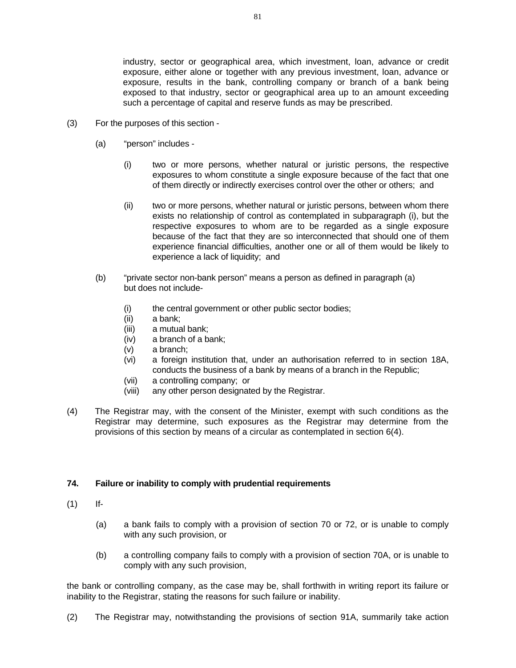industry, sector or geographical area, which investment, loan, advance or credit exposure, either alone or together with any previous investment, loan, advance or exposure, results in the bank, controlling company or branch of a bank being exposed to that industry, sector or geographical area up to an amount exceeding such a percentage of capital and reserve funds as may be prescribed.

- (3) For the purposes of this section
	- (a) "person" includes
		- (i) two or more persons, whether natural or juristic persons, the respective exposures to whom constitute a single exposure because of the fact that one of them directly or indirectly exercises control over the other or others; and
		- (ii) two or more persons, whether natural or juristic persons, between whom there exists no relationship of control as contemplated in subparagraph (i), but the respective exposures to whom are to be regarded as a single exposure because of the fact that they are so interconnected that should one of them experience financial difficulties, another one or all of them would be likely to experience a lack of liquidity; and
	- (b) "private sector non-bank person" means a person as defined in paragraph (a) but does not include-
		- (i) the central government or other public sector bodies;
		- (ii) a bank;
		- (iii) a mutual bank;
		- (iv) a branch of a bank;
		- (v) a branch;
		- (vi) a foreign institution that, under an authorisation referred to in section 18A, conducts the business of a bank by means of a branch in the Republic;
		- (vii) a controlling company; or
		- (viii) any other person designated by the Registrar.
- (4) The Registrar may, with the consent of the Minister, exempt with such conditions as the Registrar may determine, such exposures as the Registrar may determine from the provisions of this section by means of a circular as contemplated in section 6(4).

## **74. Failure or inability to comply with prudential requirements**

- (1) If-
	- (a) a bank fails to comply with a provision of section 70 or 72, or is unable to comply with any such provision, or
	- (b) a controlling company fails to comply with a provision of section 70A, or is unable to comply with any such provision,

the bank or controlling company, as the case may be, shall forthwith in writing report its failure or inability to the Registrar, stating the reasons for such failure or inability.

(2) The Registrar may, notwithstanding the provisions of section 91A, summarily take action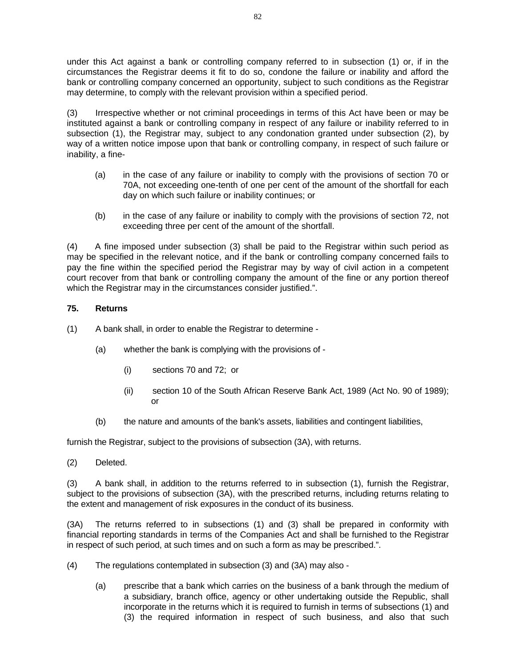under this Act against a bank or controlling company referred to in subsection (1) or, if in the circumstances the Registrar deems it fit to do so, condone the failure or inability and afford the bank or controlling company concerned an opportunity, subject to such conditions as the Registrar may determine, to comply with the relevant provision within a specified period.

(3) Irrespective whether or not criminal proceedings in terms of this Act have been or may be instituted against a bank or controlling company in respect of any failure or inability referred to in subsection (1), the Registrar may, subject to any condonation granted under subsection (2), by way of a written notice impose upon that bank or controlling company, in respect of such failure or inability, a fine-

- (a) in the case of any failure or inability to comply with the provisions of section 70 or 70A, not exceeding one-tenth of one per cent of the amount of the shortfall for each day on which such failure or inability continues; or
- (b) in the case of any failure or inability to comply with the provisions of section 72, not exceeding three per cent of the amount of the shortfall.

(4) A fine imposed under subsection (3) shall be paid to the Registrar within such period as may be specified in the relevant notice, and if the bank or controlling company concerned fails to pay the fine within the specified period the Registrar may by way of civil action in a competent court recover from that bank or controlling company the amount of the fine or any portion thereof which the Registrar may in the circumstances consider justified.".

# **75. Returns**

- (1) A bank shall, in order to enable the Registrar to determine
	- (a) whether the bank is complying with the provisions of
		- (i) sections 70 and 72; or
		- (ii) section 10 of the South African Reserve Bank Act, 1989 (Act No. 90 of 1989); or
	- (b) the nature and amounts of the bank's assets, liabilities and contingent liabilities,

furnish the Registrar, subject to the provisions of subsection (3A), with returns.

(2) Deleted.

(3) A bank shall, in addition to the returns referred to in subsection (1), furnish the Registrar, subject to the provisions of subsection (3A), with the prescribed returns, including returns relating to the extent and management of risk exposures in the conduct of its business.

(3A) The returns referred to in subsections (1) and (3) shall be prepared in conformity with financial reporting standards in terms of the Companies Act and shall be furnished to the Registrar in respect of such period, at such times and on such a form as may be prescribed.".

- (4) The regulations contemplated in subsection (3) and (3A) may also
	- (a) prescribe that a bank which carries on the business of a bank through the medium of a subsidiary, branch office, agency or other undertaking outside the Republic, shall incorporate in the returns which it is required to furnish in terms of subsections (1) and (3) the required information in respect of such business, and also that such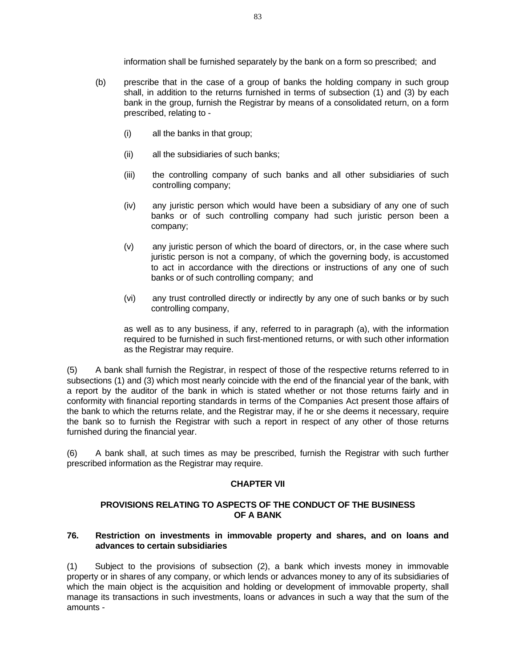information shall be furnished separately by the bank on a form so prescribed; and

- (b) prescribe that in the case of a group of banks the holding company in such group shall, in addition to the returns furnished in terms of subsection (1) and (3) by each bank in the group, furnish the Registrar by means of a consolidated return, on a form prescribed, relating to -
	- (i) all the banks in that group;
	- (ii) all the subsidiaries of such banks;
	- (iii) the controlling company of such banks and all other subsidiaries of such controlling company;
	- (iv) any juristic person which would have been a subsidiary of any one of such banks or of such controlling company had such juristic person been a company;
	- (v) any juristic person of which the board of directors, or, in the case where such juristic person is not a company, of which the governing body, is accustomed to act in accordance with the directions or instructions of any one of such banks or of such controlling company; and
	- (vi) any trust controlled directly or indirectly by any one of such banks or by such controlling company,

 as well as to any business, if any, referred to in paragraph (a), with the information required to be furnished in such first-mentioned returns, or with such other information as the Registrar may require.

(5) A bank shall furnish the Registrar, in respect of those of the respective returns referred to in subsections (1) and (3) which most nearly coincide with the end of the financial year of the bank, with a report by the auditor of the bank in which is stated whether or not those returns fairly and in conformity with financial reporting standards in terms of the Companies Act present those affairs of the bank to which the returns relate, and the Registrar may, if he or she deems it necessary, require the bank so to furnish the Registrar with such a report in respect of any other of those returns furnished during the financial year.

(6) A bank shall, at such times as may be prescribed, furnish the Registrar with such further prescribed information as the Registrar may require.

### **CHAPTER VII**

## **PROVISIONS RELATING TO ASPECTS OF THE CONDUCT OF THE BUSINESS OF A BANK**

## **76. Restriction on investments in immovable property and shares, and on loans and advances to certain subsidiaries**

(1) Subject to the provisions of subsection (2), a bank which invests money in immovable property or in shares of any company, or which lends or advances money to any of its subsidiaries of which the main object is the acquisition and holding or development of immovable property, shall manage its transactions in such investments, loans or advances in such a way that the sum of the amounts -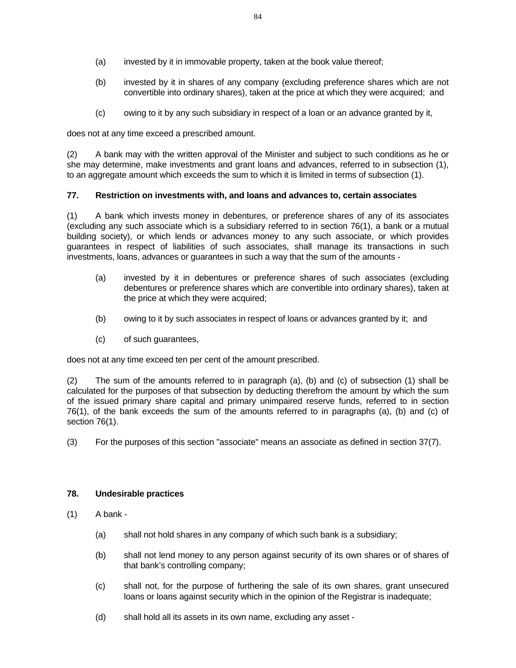- (a) invested by it in immovable property, taken at the book value thereof;
- (b) invested by it in shares of any company (excluding preference shares which are not convertible into ordinary shares), taken at the price at which they were acquired; and
- (c) owing to it by any such subsidiary in respect of a loan or an advance granted by it,

does not at any time exceed a prescribed amount.

(2) A bank may with the written approval of the Minister and subject to such conditions as he or she may determine, make investments and grant loans and advances, referred to in subsection (1), to an aggregate amount which exceeds the sum to which it is limited in terms of subsection (1).

## **77. Restriction on investments with, and loans and advances to, certain associates**

(1) A bank which invests money in debentures, or preference shares of any of its associates (excluding any such associate which is a subsidiary referred to in section 76(1), a bank or a mutual building society), or which lends or advances money to any such associate, or which provides guarantees in respect of liabilities of such associates, shall manage its transactions in such investments, loans, advances or guarantees in such a way that the sum of the amounts -

- (a) invested by it in debentures or preference shares of such associates (excluding debentures or preference shares which are convertible into ordinary shares), taken at the price at which they were acquired;
- (b) owing to it by such associates in respect of loans or advances granted by it; and
- (c) of such guarantees,

does not at any time exceed ten per cent of the amount prescribed.

(2) The sum of the amounts referred to in paragraph (a), (b) and (c) of subsection (1) shall be calculated for the purposes of that subsection by deducting therefrom the amount by which the sum of the issued primary share capital and primary unimpaired reserve funds, referred to in section 76(1), of the bank exceeds the sum of the amounts referred to in paragraphs (a), (b) and (c) of section 76(1).

(3) For the purposes of this section "associate" means an associate as defined in section 37(7).

### **78. Undesirable practices**

- (1) A bank
	- (a) shall not hold shares in any company of which such bank is a subsidiary;
	- (b) shall not lend money to any person against security of its own shares or of shares of that bank's controlling company;
	- (c) shall not, for the purpose of furthering the sale of its own shares, grant unsecured loans or loans against security which in the opinion of the Registrar is inadequate;
	- (d) shall hold all its assets in its own name, excluding any asset -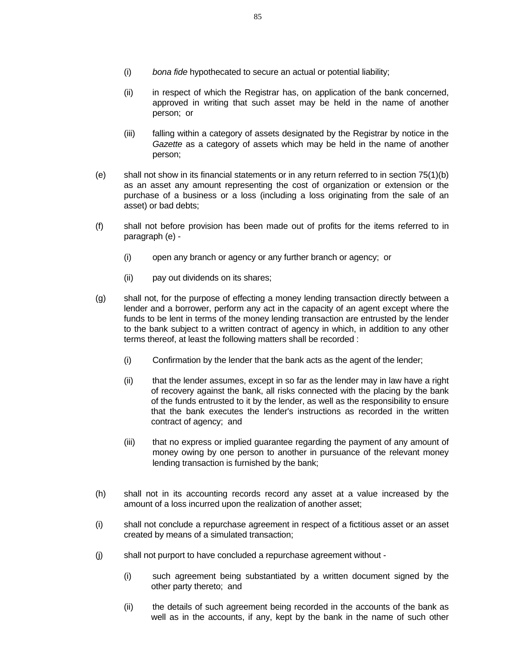- (i) *bona fide* hypothecated to secure an actual or potential liability;
- (ii) in respect of which the Registrar has, on application of the bank concerned, approved in writing that such asset may be held in the name of another person; or
- (iii) falling within a category of assets designated by the Registrar by notice in the *Gazette* as a category of assets which may be held in the name of another person;
- (e) shall not show in its financial statements or in any return referred to in section 75(1)(b) as an asset any amount representing the cost of organization or extension or the purchase of a business or a loss (including a loss originating from the sale of an asset) or bad debts;
- (f) shall not before provision has been made out of profits for the items referred to in paragraph (e) -
	- (i) open any branch or agency or any further branch or agency; or
	- (ii) pay out dividends on its shares;
- (g) shall not, for the purpose of effecting a money lending transaction directly between a lender and a borrower, perform any act in the capacity of an agent except where the funds to be lent in terms of the money lending transaction are entrusted by the lender to the bank subject to a written contract of agency in which, in addition to any other terms thereof, at least the following matters shall be recorded :
	- (i) Confirmation by the lender that the bank acts as the agent of the lender;
	- (ii) that the lender assumes, except in so far as the lender may in law have a right of recovery against the bank, all risks connected with the placing by the bank of the funds entrusted to it by the lender, as well as the responsibility to ensure that the bank executes the lender's instructions as recorded in the written contract of agency; and
	- (iii) that no express or implied guarantee regarding the payment of any amount of money owing by one person to another in pursuance of the relevant money lending transaction is furnished by the bank;
- (h) shall not in its accounting records record any asset at a value increased by the amount of a loss incurred upon the realization of another asset;
- (i) shall not conclude a repurchase agreement in respect of a fictitious asset or an asset created by means of a simulated transaction;
- (j) shall not purport to have concluded a repurchase agreement without
	- (i) such agreement being substantiated by a written document signed by the other party thereto; and
	- (ii) the details of such agreement being recorded in the accounts of the bank as well as in the accounts, if any, kept by the bank in the name of such other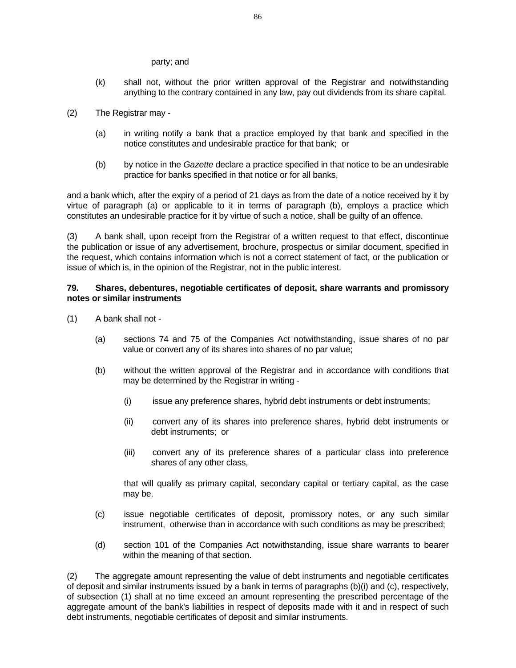#### party; and

- (k) shall not, without the prior written approval of the Registrar and notwithstanding anything to the contrary contained in any law, pay out dividends from its share capital.
- (2) The Registrar may
	- (a) in writing notify a bank that a practice employed by that bank and specified in the notice constitutes and undesirable practice for that bank; or
	- (b) by notice in the *Gazette* declare a practice specified in that notice to be an undesirable practice for banks specified in that notice or for all banks,

and a bank which, after the expiry of a period of 21 days as from the date of a notice received by it by virtue of paragraph (a) or applicable to it in terms of paragraph (b), employs a practice which constitutes an undesirable practice for it by virtue of such a notice, shall be guilty of an offence.

(3) A bank shall, upon receipt from the Registrar of a written request to that effect, discontinue the publication or issue of any advertisement, brochure, prospectus or similar document, specified in the request, which contains information which is not a correct statement of fact, or the publication or issue of which is, in the opinion of the Registrar, not in the public interest.

### **79. Shares, debentures, negotiable certificates of deposit, share warrants and promissory notes or similar instruments**

- (1) A bank shall not
	- (a) sections 74 and 75 of the Companies Act notwithstanding, issue shares of no par value or convert any of its shares into shares of no par value;
	- (b) without the written approval of the Registrar and in accordance with conditions that may be determined by the Registrar in writing -
		- (i) issue any preference shares, hybrid debt instruments or debt instruments;
		- (ii) convert any of its shares into preference shares, hybrid debt instruments or debt instruments; or
		- (iii) convert any of its preference shares of a particular class into preference shares of any other class,

 that will qualify as primary capital, secondary capital or tertiary capital, as the case may be.

- (c) issue negotiable certificates of deposit, promissory notes, or any such similar instrument, otherwise than in accordance with such conditions as may be prescribed;
- (d) section 101 of the Companies Act notwithstanding, issue share warrants to bearer within the meaning of that section.

(2) The aggregate amount representing the value of debt instruments and negotiable certificates of deposit and similar instruments issued by a bank in terms of paragraphs (b)(i) and (c), respectively, of subsection (1) shall at no time exceed an amount representing the prescribed percentage of the aggregate amount of the bank's liabilities in respect of deposits made with it and in respect of such debt instruments, negotiable certificates of deposit and similar instruments.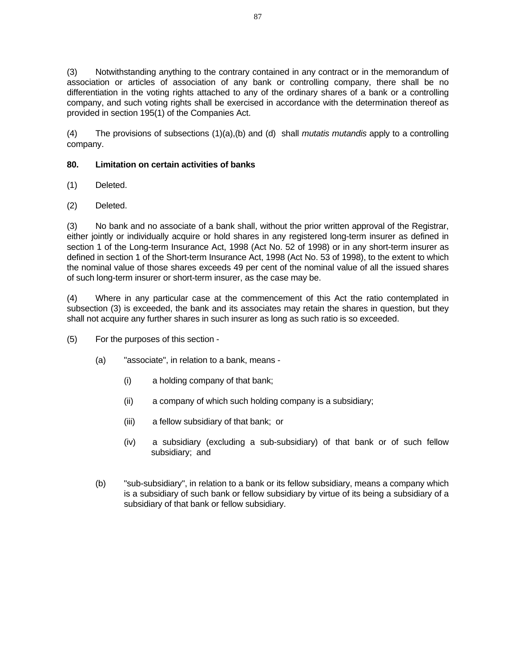(3) Notwithstanding anything to the contrary contained in any contract or in the memorandum of association or articles of association of any bank or controlling company, there shall be no differentiation in the voting rights attached to any of the ordinary shares of a bank or a controlling company, and such voting rights shall be exercised in accordance with the determination thereof as provided in section 195(1) of the Companies Act.

(4) The provisions of subsections (1)(a),(b) and (d) shall *mutatis mutandis* apply to a controlling company.

# **80. Limitation on certain activities of banks**

- (1) Deleted.
- (2) Deleted.

(3) No bank and no associate of a bank shall, without the prior written approval of the Registrar, either jointly or individually acquire or hold shares in any registered long-term insurer as defined in section 1 of the Long-term Insurance Act, 1998 (Act No. 52 of 1998) or in any short-term insurer as defined in section 1 of the Short-term Insurance Act, 1998 (Act No. 53 of 1998), to the extent to which the nominal value of those shares exceeds 49 per cent of the nominal value of all the issued shares of such long-term insurer or short-term insurer, as the case may be.

(4) Where in any particular case at the commencement of this Act the ratio contemplated in subsection (3) is exceeded, the bank and its associates may retain the shares in question, but they shall not acquire any further shares in such insurer as long as such ratio is so exceeded.

- (5) For the purposes of this section
	- (a) "associate", in relation to a bank, means
		- (i) a holding company of that bank;
		- (ii) a company of which such holding company is a subsidiary;
		- (iii) a fellow subsidiary of that bank; or
		- (iv) a subsidiary (excluding a sub-subsidiary) of that bank or of such fellow subsidiary; and
	- (b) "sub-subsidiary", in relation to a bank or its fellow subsidiary, means a company which is a subsidiary of such bank or fellow subsidiary by virtue of its being a subsidiary of a subsidiary of that bank or fellow subsidiary.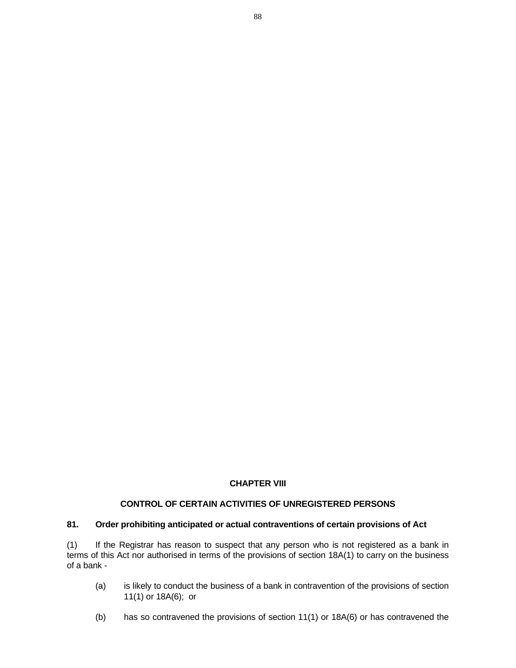# **CHAPTER VIII**

# **CONTROL OF CERTAIN ACTIVITIES OF UNREGISTERED PERSONS**

# **81. Order prohibiting anticipated or actual contraventions of certain provisions of Act**

(1) If the Registrar has reason to suspect that any person who is not registered as a bank in terms of this Act nor authorised in terms of the provisions of section 18A(1) to carry on the business of a bank -

- (a) is likely to conduct the business of a bank in contravention of the provisions of section 11(1) or 18A(6); or
- (b) has so contravened the provisions of section 11(1) or 18A(6) or has contravened the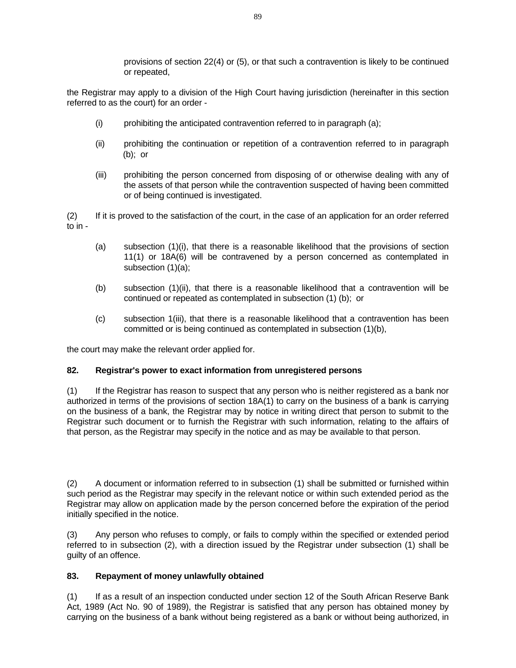provisions of section 22(4) or (5), or that such a contravention is likely to be continued or repeated,

the Registrar may apply to a division of the High Court having jurisdiction (hereinafter in this section referred to as the court) for an order -

- (i) prohibiting the anticipated contravention referred to in paragraph (a);
- (ii) prohibiting the continuation or repetition of a contravention referred to in paragraph (b); or
- (iii) prohibiting the person concerned from disposing of or otherwise dealing with any of the assets of that person while the contravention suspected of having been committed or of being continued is investigated.

(2) If it is proved to the satisfaction of the court, in the case of an application for an order referred to  $in -$ 

- (a) subsection (1)(i), that there is a reasonable likelihood that the provisions of section 11(1) or 18A(6) will be contravened by a person concerned as contemplated in subsection (1)(a);
- (b) subsection (1)(ii), that there is a reasonable likelihood that a contravention will be continued or repeated as contemplated in subsection (1) (b); or
- (c) subsection 1(iii), that there is a reasonable likelihood that a contravention has been committed or is being continued as contemplated in subsection (1)(b),

the court may make the relevant order applied for.

## **82. Registrar's power to exact information from unregistered persons**

(1) If the Registrar has reason to suspect that any person who is neither registered as a bank nor authorized in terms of the provisions of section 18A(1) to carry on the business of a bank is carrying on the business of a bank, the Registrar may by notice in writing direct that person to submit to the Registrar such document or to furnish the Registrar with such information, relating to the affairs of that person, as the Registrar may specify in the notice and as may be available to that person.

(2) A document or information referred to in subsection (1) shall be submitted or furnished within such period as the Registrar may specify in the relevant notice or within such extended period as the Registrar may allow on application made by the person concerned before the expiration of the period initially specified in the notice.

(3) Any person who refuses to comply, or fails to comply within the specified or extended period referred to in subsection (2), with a direction issued by the Registrar under subsection (1) shall be guilty of an offence.

# **83. Repayment of money unlawfully obtained**

(1) If as a result of an inspection conducted under section 12 of the South African Reserve Bank Act, 1989 (Act No. 90 of 1989), the Registrar is satisfied that any person has obtained money by carrying on the business of a bank without being registered as a bank or without being authorized, in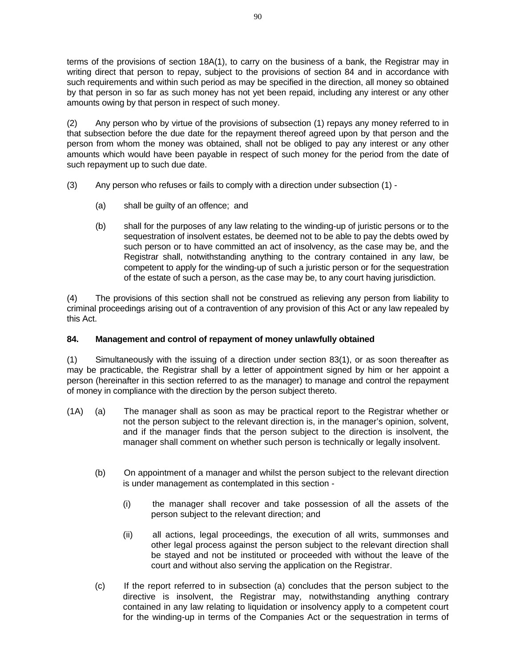terms of the provisions of section 18A(1), to carry on the business of a bank, the Registrar may in writing direct that person to repay, subject to the provisions of section 84 and in accordance with such requirements and within such period as may be specified in the direction, all money so obtained by that person in so far as such money has not yet been repaid, including any interest or any other amounts owing by that person in respect of such money.

(2) Any person who by virtue of the provisions of subsection (1) repays any money referred to in that subsection before the due date for the repayment thereof agreed upon by that person and the person from whom the money was obtained, shall not be obliged to pay any interest or any other amounts which would have been payable in respect of such money for the period from the date of such repayment up to such due date.

- (3) Any person who refuses or fails to comply with a direction under subsection (1)
	- (a) shall be guilty of an offence; and
	- (b) shall for the purposes of any law relating to the winding-up of juristic persons or to the sequestration of insolvent estates, be deemed not to be able to pay the debts owed by such person or to have committed an act of insolvency, as the case may be, and the Registrar shall, notwithstanding anything to the contrary contained in any law, be competent to apply for the winding-up of such a juristic person or for the sequestration of the estate of such a person, as the case may be, to any court having jurisdiction.

(4) The provisions of this section shall not be construed as relieving any person from liability to criminal proceedings arising out of a contravention of any provision of this Act or any law repealed by this Act.

# **84. Management and control of repayment of money unlawfully obtained**

(1) Simultaneously with the issuing of a direction under section 83(1), or as soon thereafter as may be practicable, the Registrar shall by a letter of appointment signed by him or her appoint a person (hereinafter in this section referred to as the manager) to manage and control the repayment of money in compliance with the direction by the person subject thereto.

- (1A) (a) The manager shall as soon as may be practical report to the Registrar whether or not the person subject to the relevant direction is, in the manager's opinion, solvent, and if the manager finds that the person subject to the direction is insolvent, the manager shall comment on whether such person is technically or legally insolvent.
	- (b) On appointment of a manager and whilst the person subject to the relevant direction is under management as contemplated in this section -
		- (i) the manager shall recover and take possession of all the assets of the person subject to the relevant direction; and
		- (ii) all actions, legal proceedings, the execution of all writs, summonses and other legal process against the person subject to the relevant direction shall be stayed and not be instituted or proceeded with without the leave of the court and without also serving the application on the Registrar.
	- (c) If the report referred to in subsection (a) concludes that the person subject to the directive is insolvent, the Registrar may, notwithstanding anything contrary contained in any law relating to liquidation or insolvency apply to a competent court for the winding-up in terms of the Companies Act or the sequestration in terms of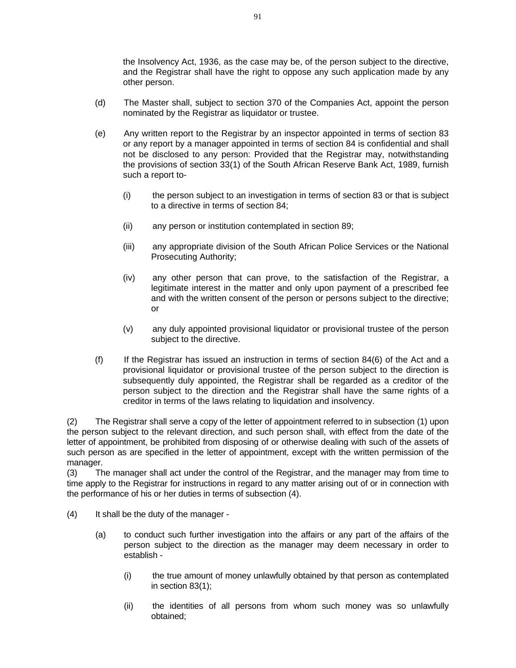the Insolvency Act, 1936, as the case may be, of the person subject to the directive, and the Registrar shall have the right to oppose any such application made by any other person.

- (d) The Master shall, subject to section 370 of the Companies Act, appoint the person nominated by the Registrar as liquidator or trustee.
- (e) Any written report to the Registrar by an inspector appointed in terms of section 83 or any report by a manager appointed in terms of section 84 is confidential and shall not be disclosed to any person: Provided that the Registrar may, notwithstanding the provisions of section 33(1) of the South African Reserve Bank Act, 1989, furnish such a report to-
	- (i) the person subject to an investigation in terms of section 83 or that is subject to a directive in terms of section 84;
	- (ii) any person or institution contemplated in section 89;
	- (iii) any appropriate division of the South African Police Services or the National Prosecuting Authority;
	- (iv) any other person that can prove, to the satisfaction of the Registrar, a legitimate interest in the matter and only upon payment of a prescribed fee and with the written consent of the person or persons subject to the directive; or
	- (v) any duly appointed provisional liquidator or provisional trustee of the person subject to the directive.
- (f) If the Registrar has issued an instruction in terms of section 84(6) of the Act and a provisional liquidator or provisional trustee of the person subject to the direction is subsequently duly appointed, the Registrar shall be regarded as a creditor of the person subject to the direction and the Registrar shall have the same rights of a creditor in terms of the laws relating to liquidation and insolvency.

(2) The Registrar shall serve a copy of the letter of appointment referred to in subsection (1) upon the person subject to the relevant direction, and such person shall, with effect from the date of the letter of appointment, be prohibited from disposing of or otherwise dealing with such of the assets of such person as are specified in the letter of appointment, except with the written permission of the manager.

(3) The manager shall act under the control of the Registrar, and the manager may from time to time apply to the Registrar for instructions in regard to any matter arising out of or in connection with the performance of his or her duties in terms of subsection (4).

- (4) It shall be the duty of the manager
	- (a) to conduct such further investigation into the affairs or any part of the affairs of the person subject to the direction as the manager may deem necessary in order to establish -
		- (i) the true amount of money unlawfully obtained by that person as contemplated in section 83(1);
		- (ii) the identities of all persons from whom such money was so unlawfully obtained;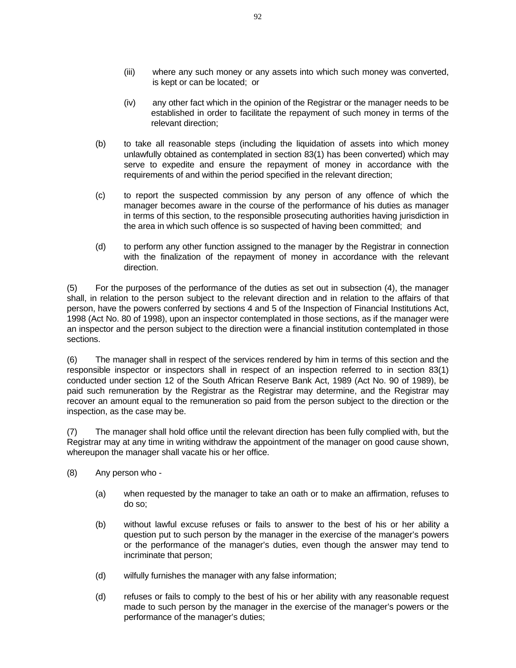- (iii) where any such money or any assets into which such money was converted, is kept or can be located; or
- (iv) any other fact which in the opinion of the Registrar or the manager needs to be established in order to facilitate the repayment of such money in terms of the relevant direction;
- (b) to take all reasonable steps (including the liquidation of assets into which money unlawfully obtained as contemplated in section 83(1) has been converted) which may serve to expedite and ensure the repayment of money in accordance with the requirements of and within the period specified in the relevant direction;
- (c) to report the suspected commission by any person of any offence of which the manager becomes aware in the course of the performance of his duties as manager in terms of this section, to the responsible prosecuting authorities having jurisdiction in the area in which such offence is so suspected of having been committed; and
- (d) to perform any other function assigned to the manager by the Registrar in connection with the finalization of the repayment of money in accordance with the relevant direction.

(5) For the purposes of the performance of the duties as set out in subsection (4), the manager shall, in relation to the person subject to the relevant direction and in relation to the affairs of that person, have the powers conferred by sections 4 and 5 of the Inspection of Financial Institutions Act, 1998 (Act No. 80 of 1998), upon an inspector contemplated in those sections, as if the manager were an inspector and the person subject to the direction were a financial institution contemplated in those sections.

(6) The manager shall in respect of the services rendered by him in terms of this section and the responsible inspector or inspectors shall in respect of an inspection referred to in section 83(1) conducted under section 12 of the South African Reserve Bank Act, 1989 (Act No. 90 of 1989), be paid such remuneration by the Registrar as the Registrar may determine, and the Registrar may recover an amount equal to the remuneration so paid from the person subject to the direction or the inspection, as the case may be.

(7) The manager shall hold office until the relevant direction has been fully complied with, but the Registrar may at any time in writing withdraw the appointment of the manager on good cause shown, whereupon the manager shall vacate his or her office.

- (8) Any person who
	- (a) when requested by the manager to take an oath or to make an affirmation, refuses to do so;
	- (b) without lawful excuse refuses or fails to answer to the best of his or her ability a question put to such person by the manager in the exercise of the manager's powers or the performance of the manager's duties, even though the answer may tend to incriminate that person;
	- (d) wilfully furnishes the manager with any false information;
	- (d) refuses or fails to comply to the best of his or her ability with any reasonable request made to such person by the manager in the exercise of the manager's powers or the performance of the manager's duties;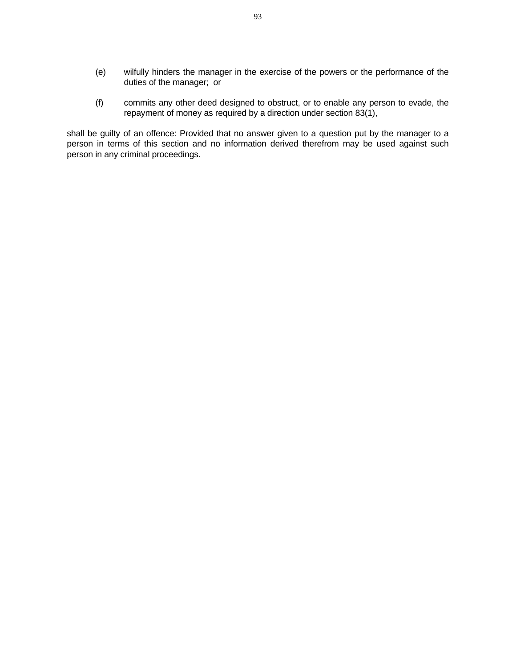- (e) wilfully hinders the manager in the exercise of the powers or the performance of the duties of the manager; or
- (f) commits any other deed designed to obstruct, or to enable any person to evade, the repayment of money as required by a direction under section 83(1),

shall be guilty of an offence: Provided that no answer given to a question put by the manager to a person in terms of this section and no information derived therefrom may be used against such person in any criminal proceedings.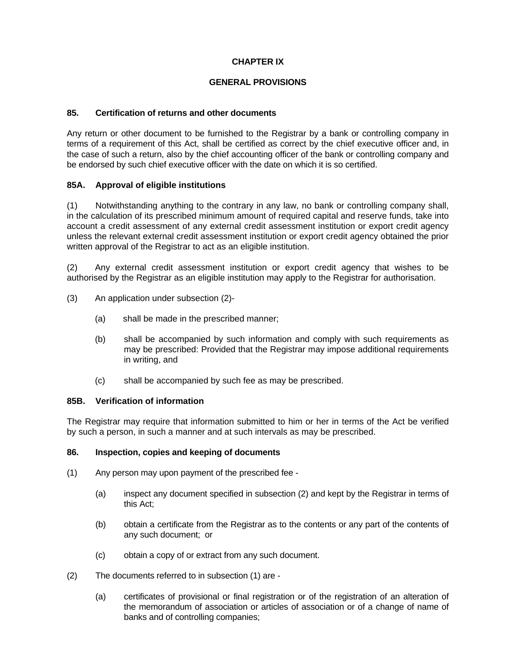# **CHAPTER IX**

# **GENERAL PROVISIONS**

# **85. Certification of returns and other documents**

Any return or other document to be furnished to the Registrar by a bank or controlling company in terms of a requirement of this Act, shall be certified as correct by the chief executive officer and, in the case of such a return, also by the chief accounting officer of the bank or controlling company and be endorsed by such chief executive officer with the date on which it is so certified.

## **85A. Approval of eligible institutions**

(1) Notwithstanding anything to the contrary in any law, no bank or controlling company shall, in the calculation of its prescribed minimum amount of required capital and reserve funds, take into account a credit assessment of any external credit assessment institution or export credit agency unless the relevant external credit assessment institution or export credit agency obtained the prior written approval of the Registrar to act as an eligible institution.

(2) Any external credit assessment institution or export credit agency that wishes to be authorised by the Registrar as an eligible institution may apply to the Registrar for authorisation.

- (3) An application under subsection (2)-
	- (a) shall be made in the prescribed manner;
	- (b) shall be accompanied by such information and comply with such requirements as may be prescribed: Provided that the Registrar may impose additional requirements in writing, and
	- (c) shall be accompanied by such fee as may be prescribed.

### **85B. Verification of information**

The Registrar may require that information submitted to him or her in terms of the Act be verified by such a person, in such a manner and at such intervals as may be prescribed.

### **86. Inspection, copies and keeping of documents**

- (1) Any person may upon payment of the prescribed fee
	- (a) inspect any document specified in subsection (2) and kept by the Registrar in terms of this Act;
	- (b) obtain a certificate from the Registrar as to the contents or any part of the contents of any such document; or
	- (c) obtain a copy of or extract from any such document.
- (2) The documents referred to in subsection (1) are
	- (a) certificates of provisional or final registration or of the registration of an alteration of the memorandum of association or articles of association or of a change of name of banks and of controlling companies;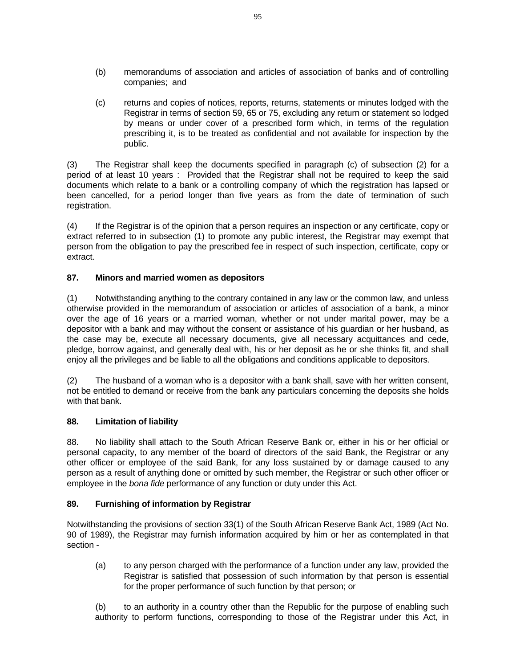- (b) memorandums of association and articles of association of banks and of controlling companies; and
- (c) returns and copies of notices, reports, returns, statements or minutes lodged with the Registrar in terms of section 59, 65 or 75, excluding any return or statement so lodged by means or under cover of a prescribed form which, in terms of the regulation prescribing it, is to be treated as confidential and not available for inspection by the public.

(3) The Registrar shall keep the documents specified in paragraph (c) of subsection (2) for a period of at least 10 years : Provided that the Registrar shall not be required to keep the said documents which relate to a bank or a controlling company of which the registration has lapsed or been cancelled, for a period longer than five years as from the date of termination of such registration.

(4) If the Registrar is of the opinion that a person requires an inspection or any certificate, copy or extract referred to in subsection (1) to promote any public interest, the Registrar may exempt that person from the obligation to pay the prescribed fee in respect of such inspection, certificate, copy or extract.

# **87. Minors and married women as depositors**

(1) Notwithstanding anything to the contrary contained in any law or the common law, and unless otherwise provided in the memorandum of association or articles of association of a bank, a minor over the age of 16 years or a married woman, whether or not under marital power, may be a depositor with a bank and may without the consent or assistance of his guardian or her husband, as the case may be, execute all necessary documents, give all necessary acquittances and cede, pledge, borrow against, and generally deal with, his or her deposit as he or she thinks fit, and shall enjoy all the privileges and be liable to all the obligations and conditions applicable to depositors.

(2) The husband of a woman who is a depositor with a bank shall, save with her written consent, not be entitled to demand or receive from the bank any particulars concerning the deposits she holds with that bank.

### **88. Limitation of liability**

88. No liability shall attach to the South African Reserve Bank or, either in his or her official or personal capacity, to any member of the board of directors of the said Bank, the Registrar or any other officer or employee of the said Bank, for any loss sustained by or damage caused to any person as a result of anything done or omitted by such member, the Registrar or such other officer or employee in the *bona fide* performance of any function or duty under this Act.

### **89. Furnishing of information by Registrar**

Notwithstanding the provisions of section 33(1) of the South African Reserve Bank Act, 1989 (Act No. 90 of 1989), the Registrar may furnish information acquired by him or her as contemplated in that section -

 (a) to any person charged with the performance of a function under any law, provided the Registrar is satisfied that possession of such information by that person is essential for the proper performance of such function by that person; or

 (b) to an authority in a country other than the Republic for the purpose of enabling such authority to perform functions, corresponding to those of the Registrar under this Act, in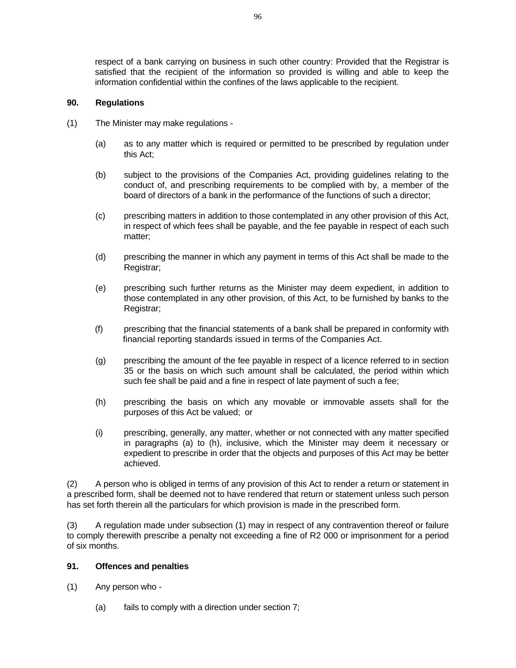respect of a bank carrying on business in such other country: Provided that the Registrar is satisfied that the recipient of the information so provided is willing and able to keep the information confidential within the confines of the laws applicable to the recipient.

# **90. Regulations**

- (1) The Minister may make regulations
	- (a) as to any matter which is required or permitted to be prescribed by regulation under this Act;
	- (b) subject to the provisions of the Companies Act, providing guidelines relating to the conduct of, and prescribing requirements to be complied with by, a member of the board of directors of a bank in the performance of the functions of such a director;
	- (c) prescribing matters in addition to those contemplated in any other provision of this Act, in respect of which fees shall be payable, and the fee payable in respect of each such matter;
	- (d) prescribing the manner in which any payment in terms of this Act shall be made to the Registrar;
	- (e) prescribing such further returns as the Minister may deem expedient, in addition to those contemplated in any other provision, of this Act, to be furnished by banks to the Registrar;
	- (f) prescribing that the financial statements of a bank shall be prepared in conformity with financial reporting standards issued in terms of the Companies Act.
	- (g) prescribing the amount of the fee payable in respect of a licence referred to in section 35 or the basis on which such amount shall be calculated, the period within which such fee shall be paid and a fine in respect of late payment of such a fee;
	- (h) prescribing the basis on which any movable or immovable assets shall for the purposes of this Act be valued; or
	- (i) prescribing, generally, any matter, whether or not connected with any matter specified in paragraphs (a) to (h), inclusive, which the Minister may deem it necessary or expedient to prescribe in order that the objects and purposes of this Act may be better achieved.

(2) A person who is obliged in terms of any provision of this Act to render a return or statement in a prescribed form, shall be deemed not to have rendered that return or statement unless such person has set forth therein all the particulars for which provision is made in the prescribed form.

(3) A regulation made under subsection (1) may in respect of any contravention thereof or failure to comply therewith prescribe a penalty not exceeding a fine of R2 000 or imprisonment for a period of six months.

## **91. Offences and penalties**

- (1) Any person who
	- (a) fails to comply with a direction under section 7;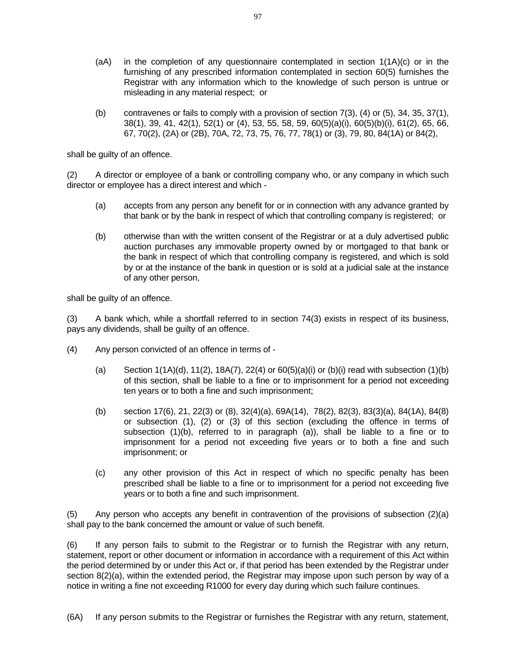- $(aA)$  in the completion of any questionnaire contemplated in section  $1(1A)(c)$  or in the furnishing of any prescribed information contemplated in section 60(5) furnishes the Registrar with any information which to the knowledge of such person is untrue or misleading in any material respect; or
- (b) contravenes or fails to comply with a provision of section  $7(3)$ ,  $(4)$  or  $(5)$ ,  $34$ ,  $35$ ,  $37(1)$ , 38(1), 39, 41, 42(1), 52(1) or (4), 53, 55, 58, 59, 60(5)(a)(i), 60(5)(b)(i), 61(2), 65, 66, 67, 70(2), (2A) or (2B), 70A, 72, 73, 75, 76, 77, 78(1) or (3), 79, 80, 84(1A) or 84(2),

shall be guilty of an offence.

(2) A director or employee of a bank or controlling company who, or any company in which such director or employee has a direct interest and which -

- (a) accepts from any person any benefit for or in connection with any advance granted by that bank or by the bank in respect of which that controlling company is registered; or
- (b) otherwise than with the written consent of the Registrar or at a duly advertised public auction purchases any immovable property owned by or mortgaged to that bank or the bank in respect of which that controlling company is registered, and which is sold by or at the instance of the bank in question or is sold at a judicial sale at the instance of any other person,

shall be guilty of an offence.

(3) A bank which, while a shortfall referred to in section 74(3) exists in respect of its business, pays any dividends, shall be guilty of an offence.

- (4) Any person convicted of an offence in terms of
	- (a) Section  $1(1A)(d)$ ,  $11(2)$ ,  $18A(7)$ ,  $22(4)$  or  $60(5)(a)(i)$  or  $(b)(i)$  read with subsection  $(1)(b)$ of this section, shall be liable to a fine or to imprisonment for a period not exceeding ten years or to both a fine and such imprisonment;
	- (b) section 17(6), 21, 22(3) or (8), 32(4)(a), 69A(14), 78(2), 82(3), 83(3)(a), 84(1A), 84(8) or subsection (1), (2) or (3) of this section (excluding the offence in terms of subsection (1)(b), referred to in paragraph (a)), shall be liable to a fine or to imprisonment for a period not exceeding five years or to both a fine and such imprisonment; or
	- (c) any other provision of this Act in respect of which no specific penalty has been prescribed shall be liable to a fine or to imprisonment for a period not exceeding five years or to both a fine and such imprisonment.

(5) Any person who accepts any benefit in contravention of the provisions of subsection (2)(a) shall pay to the bank concerned the amount or value of such benefit.

(6) If any person fails to submit to the Registrar or to furnish the Registrar with any return, statement, report or other document or information in accordance with a requirement of this Act within the period determined by or under this Act or, if that period has been extended by the Registrar under section 8(2)(a), within the extended period, the Registrar may impose upon such person by way of a notice in writing a fine not exceeding R1000 for every day during which such failure continues.

(6A) If any person submits to the Registrar or furnishes the Registrar with any return, statement,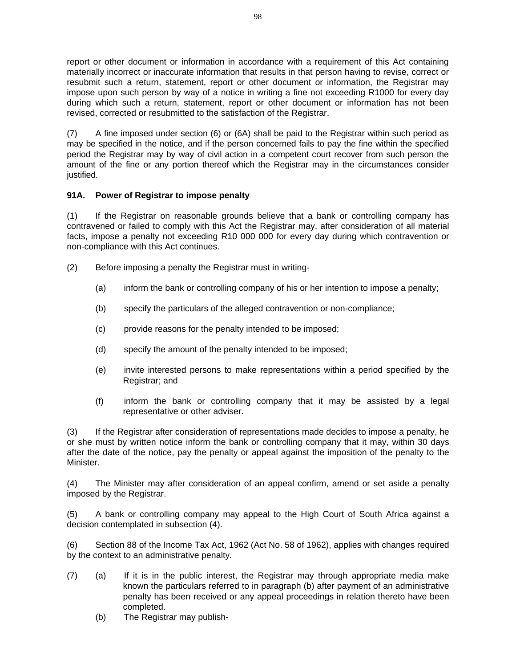report or other document or information in accordance with a requirement of this Act containing materially incorrect or inaccurate information that results in that person having to revise, correct or resubmit such a return, statement, report or other document or information, the Registrar may impose upon such person by way of a notice in writing a fine not exceeding R1000 for every day during which such a return, statement, report or other document or information has not been revised, corrected or resubmitted to the satisfaction of the Registrar.

(7) A fine imposed under section (6) or (6A) shall be paid to the Registrar within such period as may be specified in the notice, and if the person concerned fails to pay the fine within the specified period the Registrar may by way of civil action in a competent court recover from such person the amount of the fine or any portion thereof which the Registrar may in the circumstances consider justified.

# **91A. Power of Registrar to impose penalty**

(1) If the Registrar on reasonable grounds believe that a bank or controlling company has contravened or failed to comply with this Act the Registrar may, after consideration of all material facts, impose a penalty not exceeding R10 000 000 for every day during which contravention or non-compliance with this Act continues.

- (2) Before imposing a penalty the Registrar must in writing-
	- (a) inform the bank or controlling company of his or her intention to impose a penalty;
	- (b) specify the particulars of the alleged contravention or non-compliance;
	- (c) provide reasons for the penalty intended to be imposed;
	- (d) specify the amount of the penalty intended to be imposed;
	- (e) invite interested persons to make representations within a period specified by the Registrar; and
	- (f) inform the bank or controlling company that it may be assisted by a legal representative or other adviser.

(3) If the Registrar after consideration of representations made decides to impose a penalty, he or she must by written notice inform the bank or controlling company that it may, within 30 days after the date of the notice, pay the penalty or appeal against the imposition of the penalty to the Minister.

(4) The Minister may after consideration of an appeal confirm, amend or set aside a penalty imposed by the Registrar.

(5) A bank or controlling company may appeal to the High Court of South Africa against a decision contemplated in subsection (4).

(6) Section 88 of the Income Tax Act, 1962 (Act No. 58 of 1962), applies with changes required by the context to an administrative penalty.

- (7) (a) If it is in the public interest, the Registrar may through appropriate media make known the particulars referred to in paragraph (b) after payment of an administrative penalty has been received or any appeal proceedings in relation thereto have been completed.
	- (b) The Registrar may publish-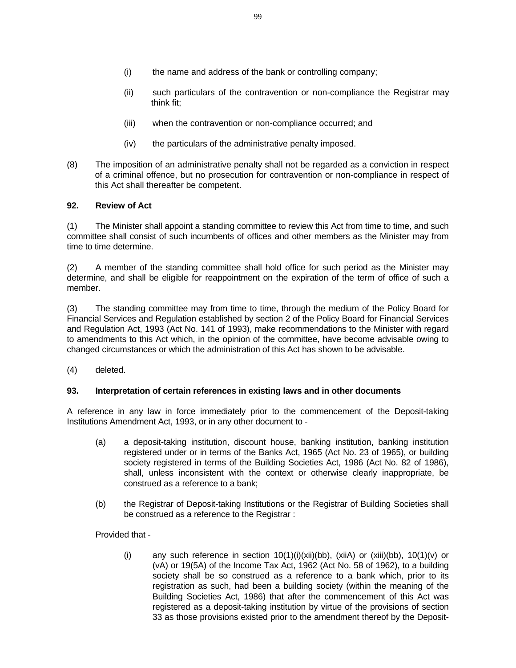- (ii) such particulars of the contravention or non-compliance the Registrar may think fit;
- (iii) when the contravention or non-compliance occurred; and
- (iv) the particulars of the administrative penalty imposed.
- (8) The imposition of an administrative penalty shall not be regarded as a conviction in respect of a criminal offence, but no prosecution for contravention or non-compliance in respect of this Act shall thereafter be competent.

# **92. Review of Act**

(1) The Minister shall appoint a standing committee to review this Act from time to time, and such committee shall consist of such incumbents of offices and other members as the Minister may from time to time determine.

(2) A member of the standing committee shall hold office for such period as the Minister may determine, and shall be eligible for reappointment on the expiration of the term of office of such a member.

(3) The standing committee may from time to time, through the medium of the Policy Board for Financial Services and Regulation established by section 2 of the Policy Board for Financial Services and Regulation Act, 1993 (Act No. 141 of 1993), make recommendations to the Minister with regard to amendments to this Act which, in the opinion of the committee, have become advisable owing to changed circumstances or which the administration of this Act has shown to be advisable.

(4) deleted.

# **93. Interpretation of certain references in existing laws and in other documents**

A reference in any law in force immediately prior to the commencement of the Deposit-taking Institutions Amendment Act, 1993, or in any other document to -

- (a) a deposit-taking institution, discount house, banking institution, banking institution registered under or in terms of the Banks Act, 1965 (Act No. 23 of 1965), or building society registered in terms of the Building Societies Act, 1986 (Act No. 82 of 1986), shall, unless inconsistent with the context or otherwise clearly inappropriate, be construed as a reference to a bank;
- (b) the Registrar of Deposit-taking Institutions or the Registrar of Building Societies shall be construed as a reference to the Registrar :

Provided that -

(i) any such reference in section  $10(1)(i)(xii)(bb)$ ,  $(xii)$  or  $(xiii)(bb)$ ,  $10(1)(v)$  or (vA) or 19(5A) of the Income Tax Act, 1962 (Act No. 58 of 1962), to a building society shall be so construed as a reference to a bank which, prior to its registration as such, had been a building society (within the meaning of the Building Societies Act, 1986) that after the commencement of this Act was registered as a deposit-taking institution by virtue of the provisions of section 33 as those provisions existed prior to the amendment thereof by the Deposit-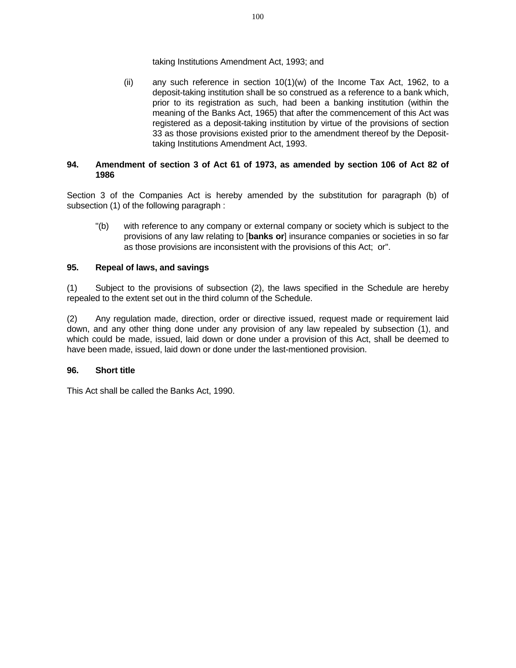## taking Institutions Amendment Act, 1993; and

(ii) any such reference in section  $10(1)(w)$  of the Income Tax Act, 1962, to a deposit-taking institution shall be so construed as a reference to a bank which, prior to its registration as such, had been a banking institution (within the meaning of the Banks Act, 1965) that after the commencement of this Act was registered as a deposit-taking institution by virtue of the provisions of section 33 as those provisions existed prior to the amendment thereof by the Deposittaking Institutions Amendment Act, 1993.

# **94. Amendment of section 3 of Act 61 of 1973, as amended by section 106 of Act 82 of 1986**

Section 3 of the Companies Act is hereby amended by the substitution for paragraph (b) of subsection (1) of the following paragraph :

 "(b) with reference to any company or external company or society which is subject to the provisions of any law relating to [**banks or**] insurance companies or societies in so far as those provisions are inconsistent with the provisions of this Act; or".

# **95. Repeal of laws, and savings**

(1) Subject to the provisions of subsection (2), the laws specified in the Schedule are hereby repealed to the extent set out in the third column of the Schedule.

(2) Any regulation made, direction, order or directive issued, request made or requirement laid down, and any other thing done under any provision of any law repealed by subsection (1), and which could be made, issued, laid down or done under a provision of this Act, shall be deemed to have been made, issued, laid down or done under the last-mentioned provision.

### **96. Short title**

This Act shall be called the Banks Act, 1990.